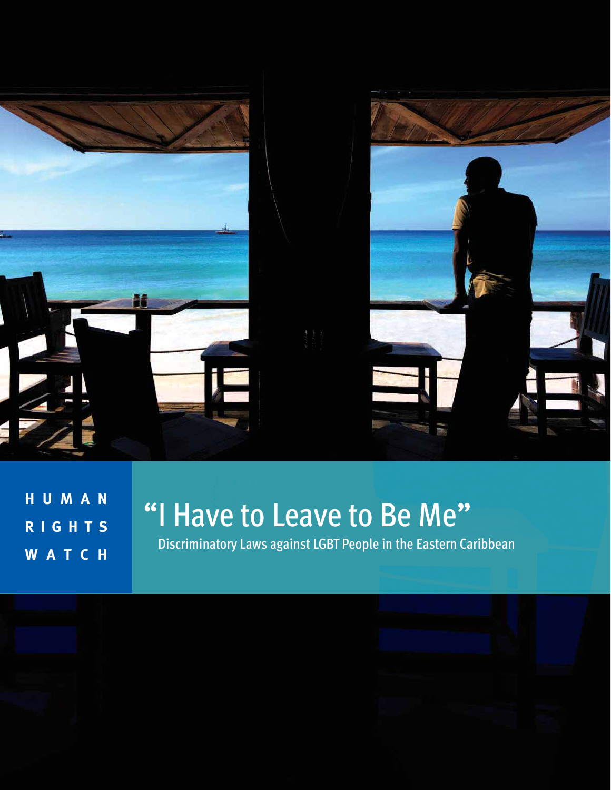

**H U M A N R I G H T S WATCH**

Discriminatory Laws against LGBT People in the Eastern Caribbean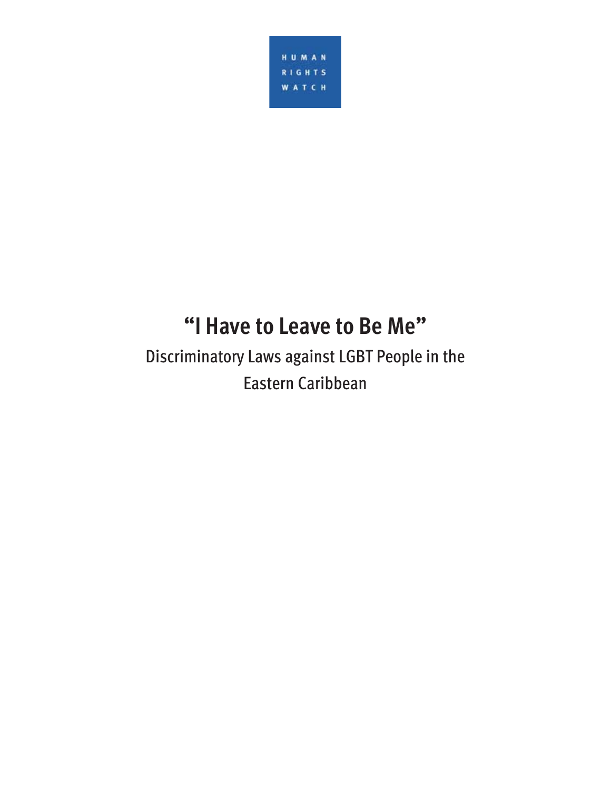

# **"I Have to Leave to Be Me"**

Discriminatory Laws against LGBT People in the Eastern Caribbean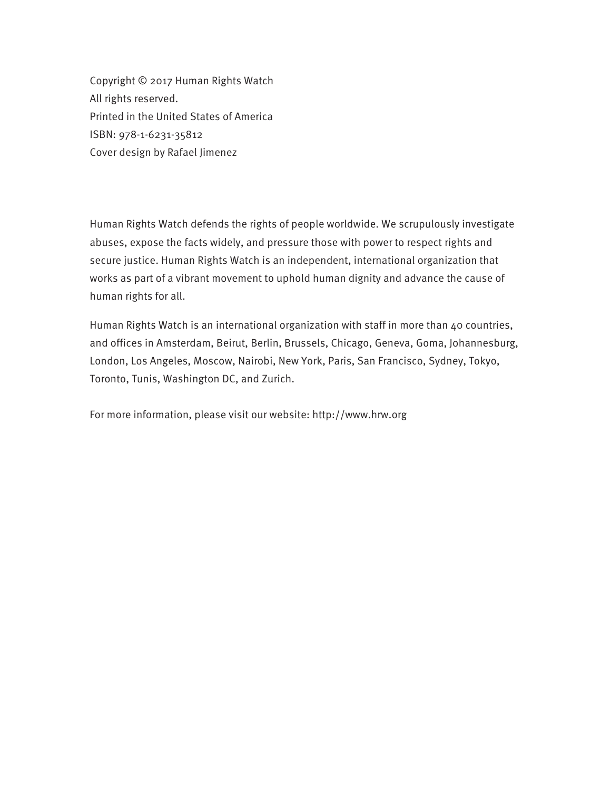Copyright © 2017 Human Rights Watch All rights reserved. Printed in the United States of America ISBN: 978-1-6231-35812 Cover design by Rafael Jimenez

Human Rights Watch defends the rights of people worldwide. We scrupulously investigate abuses, expose the facts widely, and pressure those with power to respect rights and secure justice. Human Rights Watch is an independent, international organization that works as part of a vibrant movement to uphold human dignity and advance the cause of human rights for all.

Human Rights Watch is an international organization with staff in more than 40 countries, and offices in Amsterdam, Beirut, Berlin, Brussels, Chicago, Geneva, Goma, Johannesburg, London, Los Angeles, Moscow, Nairobi, New York, Paris, San Francisco, Sydney, Tokyo, Toronto, Tunis, Washington DC, and Zurich.

For more information, please visit our website: http://www.hrw.org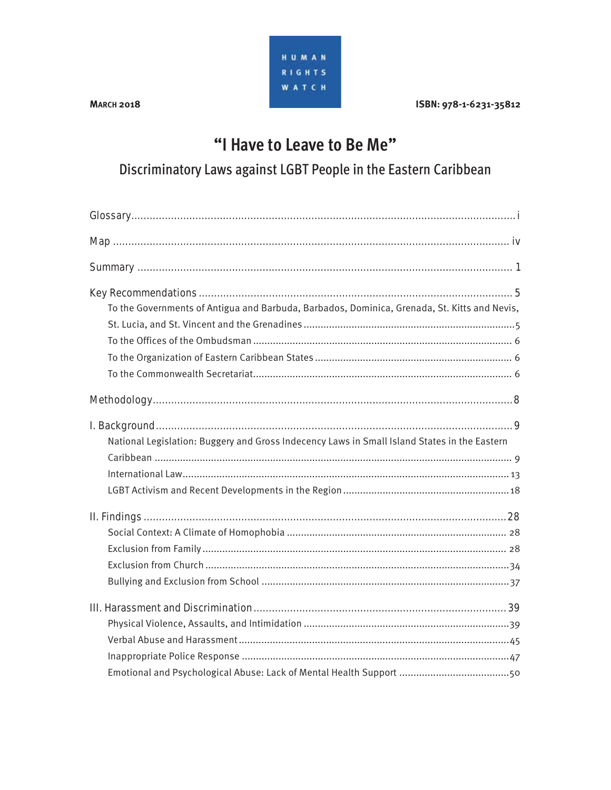

#### **MARCH 2018**

#### ISBN: 978-1-6231-35812

## "I Have to Leave to Be Me"

Discriminatory Laws against LGBT People in the Eastern Caribbean

| To the Governments of Antigua and Barbuda, Barbados, Dominica, Grenada, St. Kitts and Nevis, |
|----------------------------------------------------------------------------------------------|
|                                                                                              |
|                                                                                              |
|                                                                                              |
|                                                                                              |
|                                                                                              |
|                                                                                              |
| National Legislation: Buggery and Gross Indecency Laws in Small Island States in the Eastern |
|                                                                                              |
|                                                                                              |
|                                                                                              |
|                                                                                              |
|                                                                                              |
|                                                                                              |
|                                                                                              |
|                                                                                              |
|                                                                                              |
|                                                                                              |
|                                                                                              |
|                                                                                              |
|                                                                                              |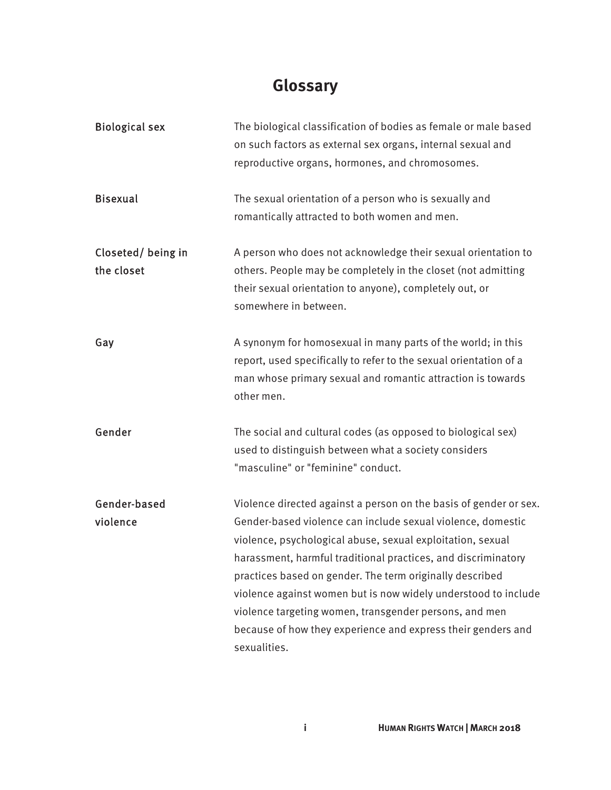## **Glossary**

| <b>Biological sex</b>           | The biological classification of bodies as female or male based<br>on such factors as external sex organs, internal sexual and<br>reproductive organs, hormones, and chromosomes.                                                                                                                                                                                                                                                                                  |
|---------------------------------|--------------------------------------------------------------------------------------------------------------------------------------------------------------------------------------------------------------------------------------------------------------------------------------------------------------------------------------------------------------------------------------------------------------------------------------------------------------------|
| <b>Bisexual</b>                 | The sexual orientation of a person who is sexually and<br>romantically attracted to both women and men.                                                                                                                                                                                                                                                                                                                                                            |
| Closeted/being in<br>the closet | A person who does not acknowledge their sexual orientation to<br>others. People may be completely in the closet (not admitting<br>their sexual orientation to anyone), completely out, or<br>somewhere in between.                                                                                                                                                                                                                                                 |
| Gay                             | A synonym for homosexual in many parts of the world; in this<br>report, used specifically to refer to the sexual orientation of a<br>man whose primary sexual and romantic attraction is towards<br>other men.                                                                                                                                                                                                                                                     |
| Gender                          | The social and cultural codes (as opposed to biological sex)<br>used to distinguish between what a society considers<br>"masculine" or "feminine" conduct.                                                                                                                                                                                                                                                                                                         |
| Gender-based                    | Violence directed against a person on the basis of gender or sex.                                                                                                                                                                                                                                                                                                                                                                                                  |
| violence                        | Gender-based violence can include sexual violence, domestic<br>violence, psychological abuse, sexual exploitation, sexual<br>harassment, harmful traditional practices, and discriminatory<br>practices based on gender. The term originally described<br>violence against women but is now widely understood to include<br>violence targeting women, transgender persons, and men<br>because of how they experience and express their genders and<br>sexualities. |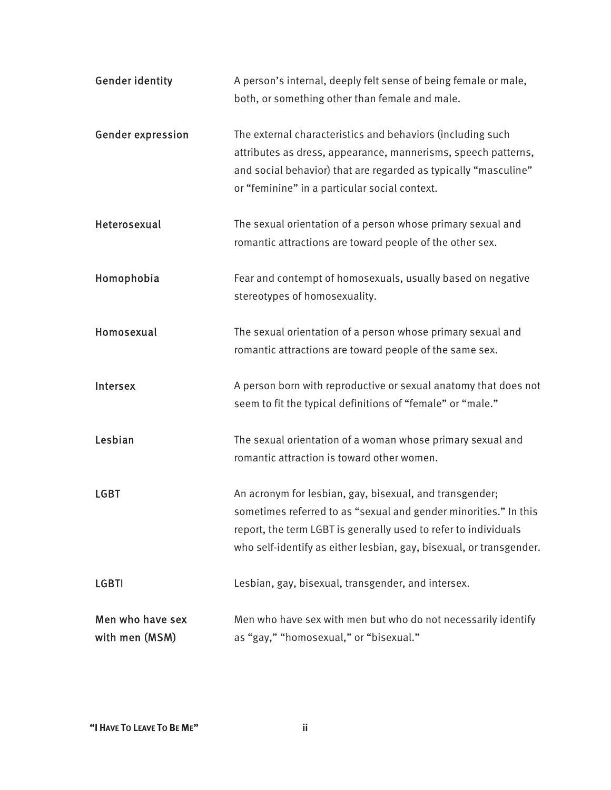| <b>Gender identity</b>             | A person's internal, deeply felt sense of being female or male,<br>both, or something other than female and male.                                                                                                                                                     |
|------------------------------------|-----------------------------------------------------------------------------------------------------------------------------------------------------------------------------------------------------------------------------------------------------------------------|
| <b>Gender expression</b>           | The external characteristics and behaviors (including such<br>attributes as dress, appearance, mannerisms, speech patterns,<br>and social behavior) that are regarded as typically "masculine"<br>or "feminine" in a particular social context.                       |
| Heterosexual                       | The sexual orientation of a person whose primary sexual and<br>romantic attractions are toward people of the other sex.                                                                                                                                               |
| Homophobia                         | Fear and contempt of homosexuals, usually based on negative<br>stereotypes of homosexuality.                                                                                                                                                                          |
| Homosexual                         | The sexual orientation of a person whose primary sexual and<br>romantic attractions are toward people of the same sex.                                                                                                                                                |
| Intersex                           | A person born with reproductive or sexual anatomy that does not<br>seem to fit the typical definitions of "female" or "male."                                                                                                                                         |
| Lesbian                            | The sexual orientation of a woman whose primary sexual and<br>romantic attraction is toward other women.                                                                                                                                                              |
| <b>LGBT</b>                        | An acronym for lesbian, gay, bisexual, and transgender;<br>sometimes referred to as "sexual and gender minorities." In this<br>report, the term LGBT is generally used to refer to individuals<br>who self-identify as either lesbian, gay, bisexual, or transgender. |
| <b>LGBTI</b>                       | Lesbian, gay, bisexual, transgender, and intersex.                                                                                                                                                                                                                    |
| Men who have sex<br>with men (MSM) | Men who have sex with men but who do not necessarily identify<br>as "gay," "homosexual," or "bisexual."                                                                                                                                                               |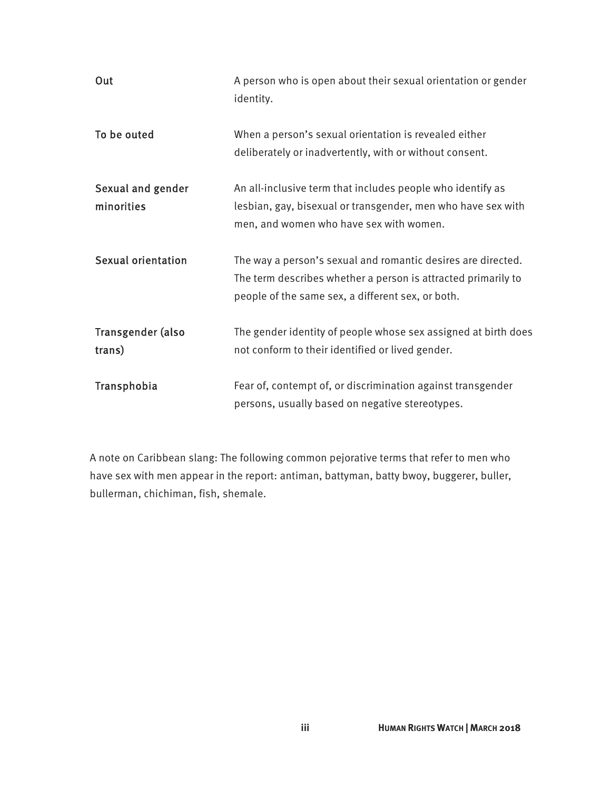| Out                             | A person who is open about their sexual orientation or gender<br>identity.                                                                                                         |
|---------------------------------|------------------------------------------------------------------------------------------------------------------------------------------------------------------------------------|
| To be outed                     | When a person's sexual orientation is revealed either<br>deliberately or inadvertently, with or without consent.                                                                   |
| Sexual and gender<br>minorities | An all-inclusive term that includes people who identify as<br>lesbian, gay, bisexual or transgender, men who have sex with<br>men, and women who have sex with women.              |
| <b>Sexual orientation</b>       | The way a person's sexual and romantic desires are directed.<br>The term describes whether a person is attracted primarily to<br>people of the same sex, a different sex, or both. |
| Transgender (also<br>trans)     | The gender identity of people whose sex assigned at birth does<br>not conform to their identified or lived gender.                                                                 |
| Transphobia                     | Fear of, contempt of, or discrimination against transgender<br>persons, usually based on negative stereotypes.                                                                     |

A note on Caribbean slang: The following common pejorative terms that refer to men who have sex with men appear in the report: antiman, battyman, batty bwoy, buggerer, buller, bullerman, chichiman, fish, shemale.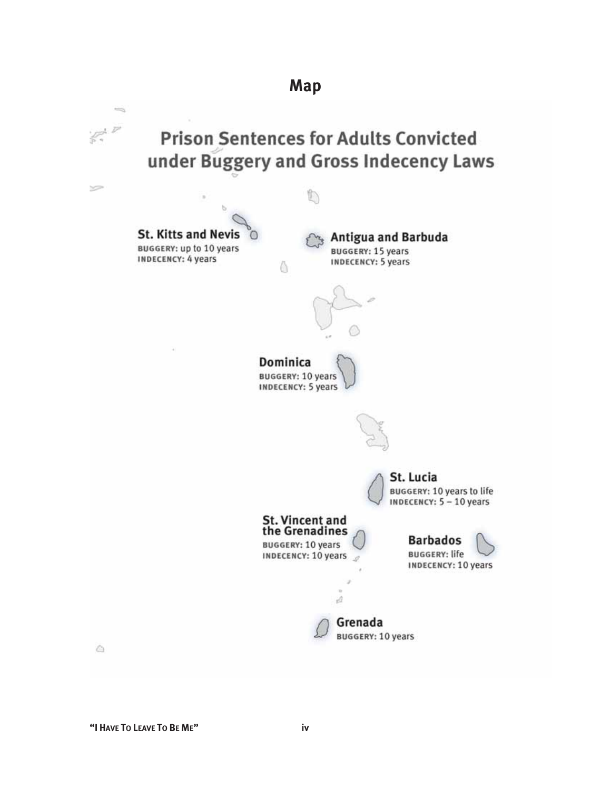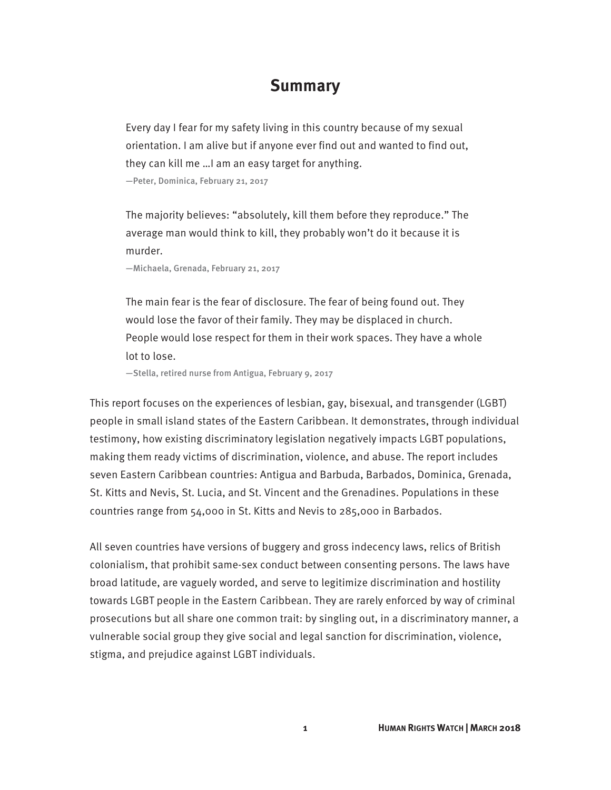#### **Summary**

Every day I fear for my safety living in this country because of my sexual orientation. I am alive but if anyone ever find out and wanted to find out, they can kill me …I am an easy target for anything. —Peter, Dominica, February 21, 2017

The majority believes: "absolutely, kill them before they reproduce." The average man would think to kill, they probably won't do it because it is murder.

—Michaela, Grenada, February 21, 2017

The main fear is the fear of disclosure. The fear of being found out. They would lose the favor of their family. They may be displaced in church. People would lose respect for them in their work spaces. They have a whole lot to lose.

—Stella, retired nurse from Antigua, February 9, 2017

This report focuses on the experiences of lesbian, gay, bisexual, and transgender (LGBT) people in small island states of the Eastern Caribbean. It demonstrates, through individual testimony, how existing discriminatory legislation negatively impacts LGBT populations, making them ready victims of discrimination, violence, and abuse. The report includes seven Eastern Caribbean countries: Antigua and Barbuda, Barbados, Dominica, Grenada, St. Kitts and Nevis, St. Lucia, and St. Vincent and the Grenadines. Populations in these countries range from 54,000 in St. Kitts and Nevis to 285,000 in Barbados.

All seven countries have versions of buggery and gross indecency laws, relics of British colonialism, that prohibit same-sex conduct between consenting persons. The laws have broad latitude, are vaguely worded, and serve to legitimize discrimination and hostility towards LGBT people in the Eastern Caribbean. They are rarely enforced by way of criminal prosecutions but all share one common trait: by singling out, in a discriminatory manner, a vulnerable social group they give social and legal sanction for discrimination, violence, stigma, and prejudice against LGBT individuals.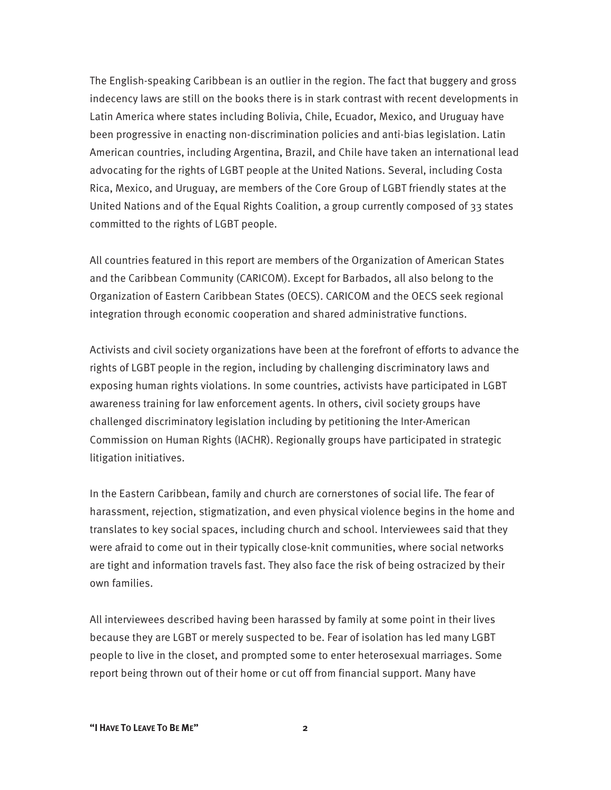The English-speaking Caribbean is an outlier in the region. The fact that buggery and gross indecency laws are still on the books there is in stark contrast with recent developments in Latin America where states including Bolivia, Chile, Ecuador, Mexico, and Uruguay have been progressive in enacting non-discrimination policies and anti-bias legislation. Latin American countries, including Argentina, Brazil, and Chile have taken an international lead advocating for the rights of LGBT people at the United Nations. Several, including Costa Rica, Mexico, and Uruguay, are members of the Core Group of LGBT friendly states at the United Nations and of the Equal Rights Coalition, a group currently composed of 33 states committed to the rights of LGBT people.

All countries featured in this report are members of the Organization of American States and the Caribbean Community (CARICOM). Except for Barbados, all also belong to the Organization of Eastern Caribbean States (OECS). CARICOM and the OECS seek regional integration through economic cooperation and shared administrative functions.

Activists and civil society organizations have been at the forefront of efforts to advance the rights of LGBT people in the region, including by challenging discriminatory laws and exposing human rights violations. In some countries, activists have participated in LGBT awareness training for law enforcement agents. In others, civil society groups have challenged discriminatory legislation including by petitioning the Inter-American Commission on Human Rights (IACHR). Regionally groups have participated in strategic litigation initiatives.

In the Eastern Caribbean, family and church are cornerstones of social life. The fear of harassment, rejection, stigmatization, and even physical violence begins in the home and translates to key social spaces, including church and school. Interviewees said that they were afraid to come out in their typically close-knit communities, where social networks are tight and information travels fast. They also face the risk of being ostracized by their own families.

All interviewees described having been harassed by family at some point in their lives because they are LGBT or merely suspected to be. Fear of isolation has led many LGBT people to live in the closet, and prompted some to enter heterosexual marriages. Some report being thrown out of their home or cut off from financial support. Many have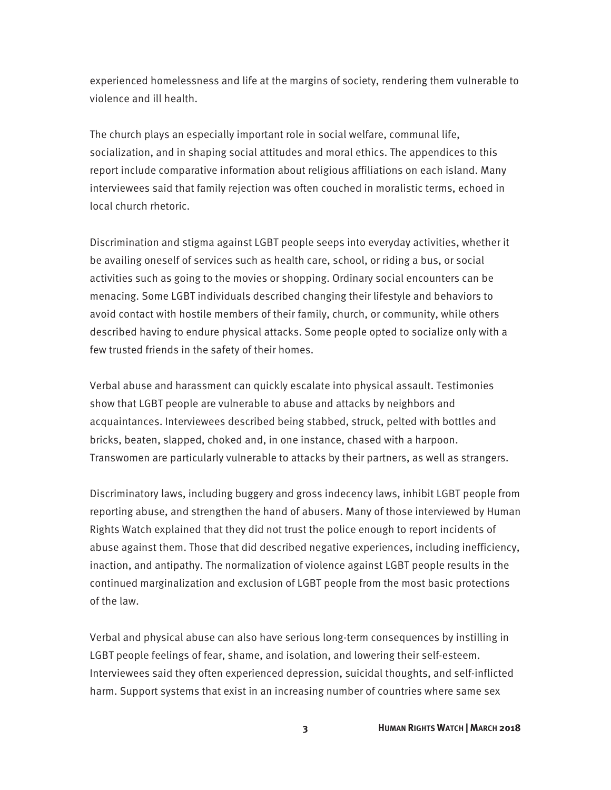experienced homelessness and life at the margins of society, rendering them vulnerable to violence and ill health.

The church plays an especially important role in social welfare, communal life, socialization, and in shaping social attitudes and moral ethics. The appendices to this report include comparative information about religious affiliations on each island. Many interviewees said that family rejection was often couched in moralistic terms, echoed in local church rhetoric.

Discrimination and stigma against LGBT people seeps into everyday activities, whether it be availing oneself of services such as health care, school, or riding a bus, or social activities such as going to the movies or shopping. Ordinary social encounters can be menacing. Some LGBT individuals described changing their lifestyle and behaviors to avoid contact with hostile members of their family, church, or community, while others described having to endure physical attacks. Some people opted to socialize only with a few trusted friends in the safety of their homes.

Verbal abuse and harassment can quickly escalate into physical assault. Testimonies show that LGBT people are vulnerable to abuse and attacks by neighbors and acquaintances. Interviewees described being stabbed, struck, pelted with bottles and bricks, beaten, slapped, choked and, in one instance, chased with a harpoon. Transwomen are particularly vulnerable to attacks by their partners, as well as strangers.

Discriminatory laws, including buggery and gross indecency laws, inhibit LGBT people from reporting abuse, and strengthen the hand of abusers. Many of those interviewed by Human Rights Watch explained that they did not trust the police enough to report incidents of abuse against them. Those that did described negative experiences, including inefficiency, inaction, and antipathy. The normalization of violence against LGBT people results in the continued marginalization and exclusion of LGBT people from the most basic protections of the law.

Verbal and physical abuse can also have serious long-term consequences by instilling in LGBT people feelings of fear, shame, and isolation, and lowering their self-esteem. Interviewees said they often experienced depression, suicidal thoughts, and self-inflicted harm. Support systems that exist in an increasing number of countries where same sex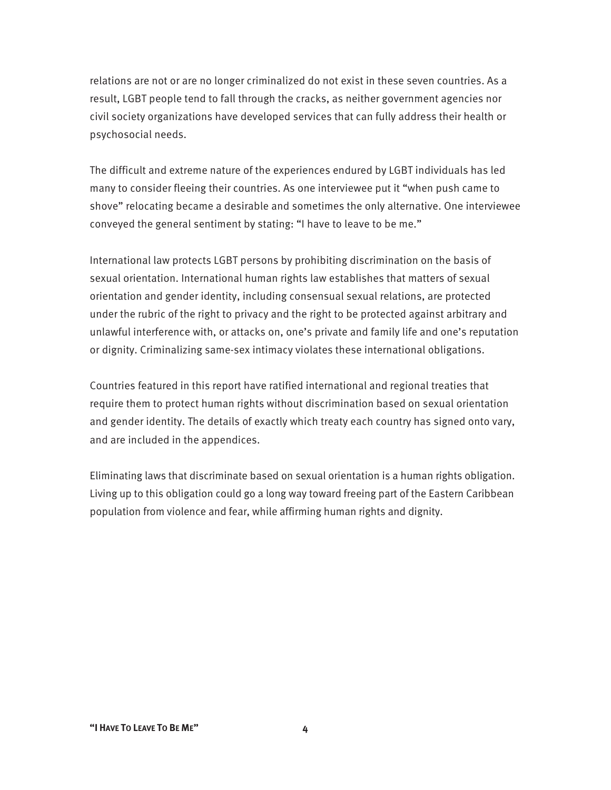relations are not or are no longer criminalized do not exist in these seven countries. As a result, LGBT people tend to fall through the cracks, as neither government agencies nor civil society organizations have developed services that can fully address their health or psychosocial needs.

The difficult and extreme nature of the experiences endured by LGBT individuals has led many to consider fleeing their countries. As one interviewee put it "when push came to shove" relocating became a desirable and sometimes the only alternative. One interviewee conveyed the general sentiment by stating: "I have to leave to be me."

International law protects LGBT persons by prohibiting discrimination on the basis of sexual orientation. International human rights law establishes that matters of sexual orientation and gender identity, including consensual sexual relations, are protected under the rubric of the right to privacy and the right to be protected against arbitrary and unlawful interference with, or attacks on, one's private and family life and one's reputation or dignity. Criminalizing same-sex intimacy violates these international obligations.

Countries featured in this report have ratified international and regional treaties that require them to protect human rights without discrimination based on sexual orientation and gender identity. The details of exactly which treaty each country has signed onto vary, and are included in the appendices.

Eliminating laws that discriminate based on sexual orientation is a human rights obligation. Living up to this obligation could go a long way toward freeing part of the Eastern Caribbean population from violence and fear, while affirming human rights and dignity.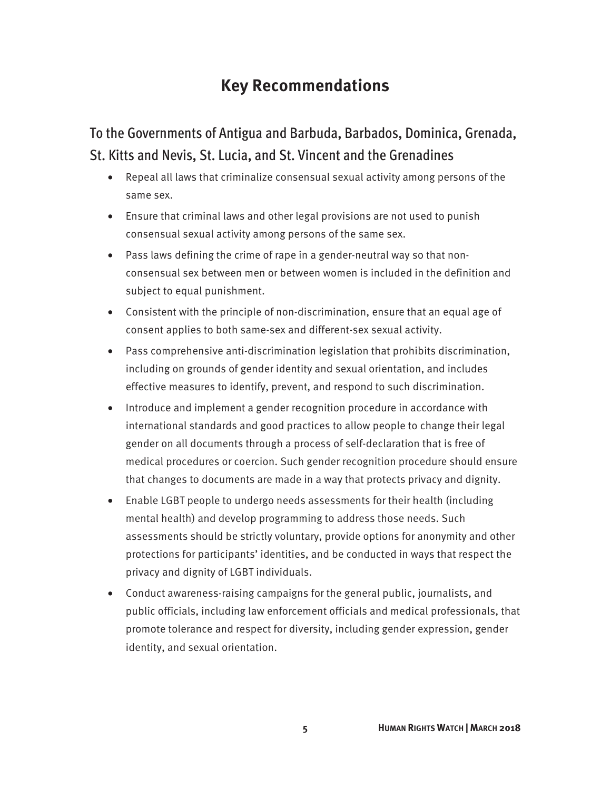### **Key Recommendations**

To the Governments of Antigua and Barbuda, Barbados, Dominica, Grenada, St. Kitts and Nevis, St. Lucia, and St. Vincent and the Grenadines

- Repeal all laws that criminalize consensual sexual activity among persons of the same sex.
- Ensure that criminal laws and other legal provisions are not used to punish consensual sexual activity among persons of the same sex.
- Pass laws defining the crime of rape in a gender-neutral way so that nonconsensual sex between men or between women is included in the definition and subject to equal punishment.
- Consistent with the principle of non-discrimination, ensure that an equal age of consent applies to both same-sex and different-sex sexual activity.
- Pass comprehensive anti-discrimination legislation that prohibits discrimination, including on grounds of gender identity and sexual orientation, and includes effective measures to identify, prevent, and respond to such discrimination.
- Introduce and implement a gender recognition procedure in accordance with international standards and good practices to allow people to change their legal gender on all documents through a process of self-declaration that is free of medical procedures or coercion. Such gender recognition procedure should ensure that changes to documents are made in a way that protects privacy and dignity.
- Enable LGBT people to undergo needs assessments for their health (including mental health) and develop programming to address those needs. Such assessments should be strictly voluntary, provide options for anonymity and other protections for participants' identities, and be conducted in ways that respect the privacy and dignity of LGBT individuals.
- Conduct awareness-raising campaigns for the general public, journalists, and public officials, including law enforcement officials and medical professionals, that promote tolerance and respect for diversity, including gender expression, gender identity, and sexual orientation.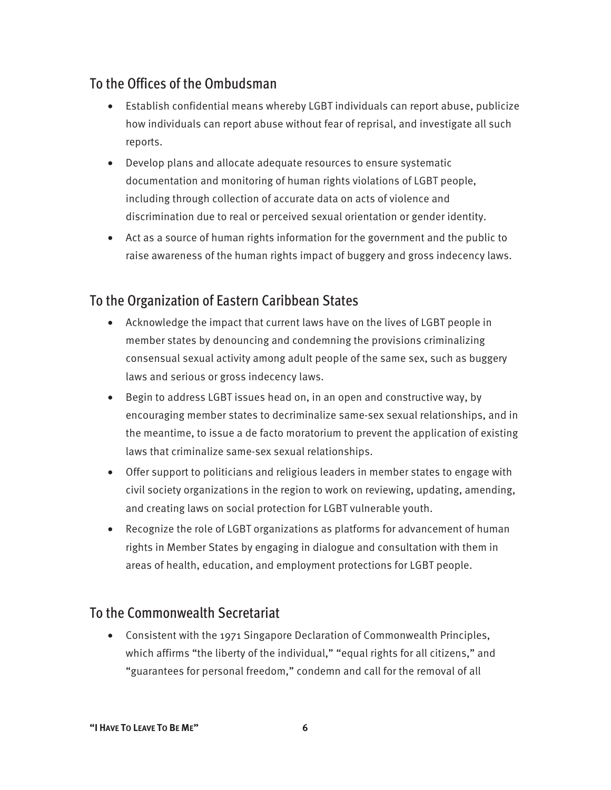### To the Offices of the Ombudsman

- Establish confidential means whereby LGBT individuals can report abuse, publicize how individuals can report abuse without fear of reprisal, and investigate all such reports.
- Develop plans and allocate adequate resources to ensure systematic documentation and monitoring of human rights violations of LGBT people, including through c0llection of accurate data on acts of violence and discrimination due to real or perceived sexual orientation or gender identity.
- Act as a source of human rights information for the government and the public to raise awareness of the human rights impact of buggery and gross indecency laws.

### To the Organization of Eastern Caribbean States

- Acknowledge the impact that current laws have on the lives of LGBT people in member states by denouncing and condemning the provisions criminalizing consensual sexual activity among adult people of the same sex, such as buggery laws and serious or gross indecency laws.
- Begin to address LGBT issues head on, in an open and constructive way, by encouraging member states to decriminalize same-sex sexual relationships, and in the meantime, to issue a de facto moratorium to prevent the application of existing laws that criminalize same-sex sexual relationships.
- Offer support to politicians and religious leaders in member states to engage with civil society organizations in the region to work on reviewing, updating, amending, and creating laws on social protection for LGBT vulnerable youth.
- Recognize the role of LGBT organizations as platforms for advancement of human rights in Member States by engaging in dialogue and consultation with them in areas of health, education, and employment protections for LGBT people.

### To the Commonwealth Secretariat

• Consistent with the 1971 Singapore Declaration of Commonwealth Principles, which affirms "the liberty of the individual," "equal rights for all citizens," and "guarantees for personal freedom," condemn and call for the removal of all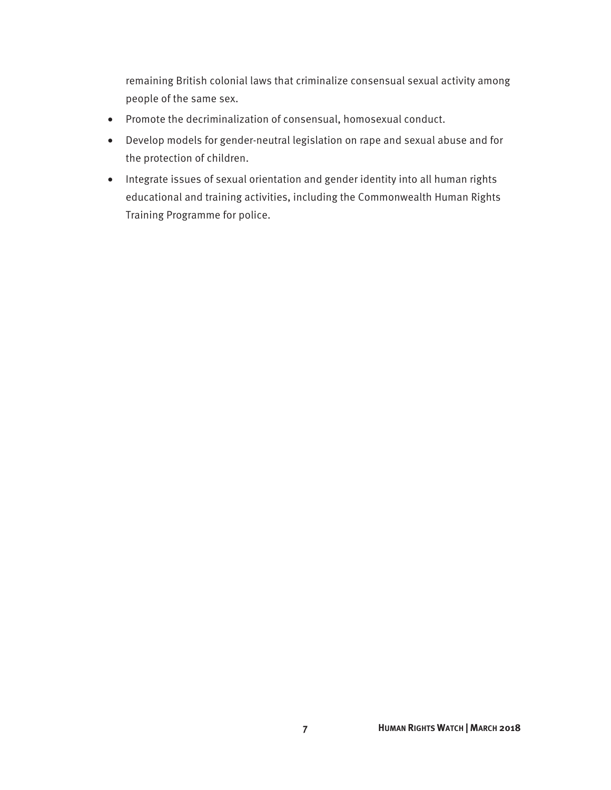remaining British colonial laws that criminalize consensual sexual activity among people of the same sex.

- Promote the decriminalization of consensual, homosexual conduct.
- Develop models for gender-neutral legislation on rape and sexual abuse and for the protection of children.
- Integrate issues of sexual orientation and gender identity into all human rights educational and training activities, including the Commonwealth Human Rights Training Programme for police.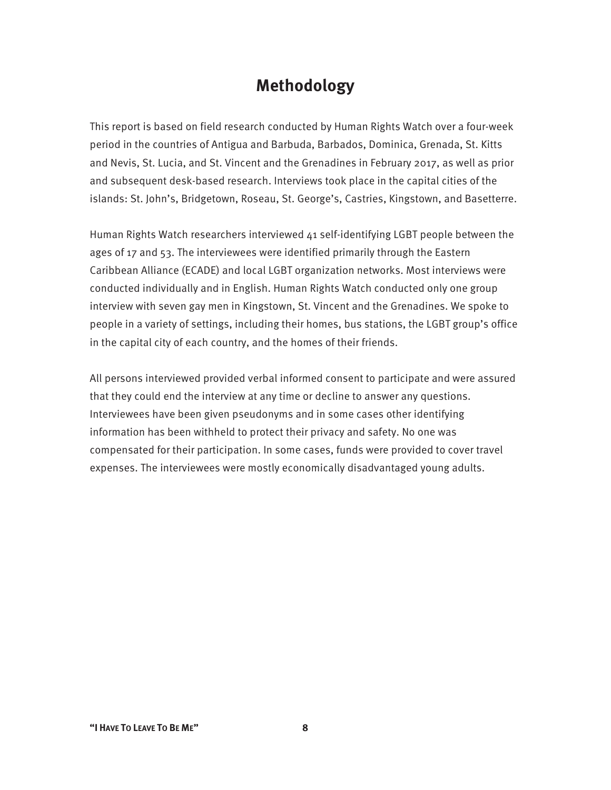### **Methodology**

This report is based on field research conducted by Human Rights Watch over a four-week period in the countries of Antigua and Barbuda, Barbados, Dominica, Grenada, St. Kitts and Nevis, St. Lucia, and St. Vincent and the Grenadines in February 2017, as well as prior and subsequent desk-based research. Interviews took place in the capital cities of the islands: St. John's, Bridgetown, Roseau, St. George's, Castries, Kingstown, and Basetterre.

Human Rights Watch researchers interviewed 41 self-identifying LGBT people between the ages of 17 and 53. The interviewees were identified primarily through the Eastern Caribbean Alliance (ECADE) and local LGBT organization networks. Most interviews were conducted individually and in English. Human Rights Watch conducted only one group interview with seven gay men in Kingstown, St. Vincent and the Grenadines. We spoke to people in a variety of settings, including their homes, bus stations, the LGBT group's office in the capital city of each country, and the homes of their friends.

All persons interviewed provided verbal informed consent to participate and were assured that they could end the interview at any time or decline to answer any questions. Interviewees have been given pseudonyms and in some cases other identifying information has been withheld to protect their privacy and safety. No one was compensated for their participation. In some cases, funds were provided to cover travel expenses. The interviewees were mostly economically disadvantaged young adults.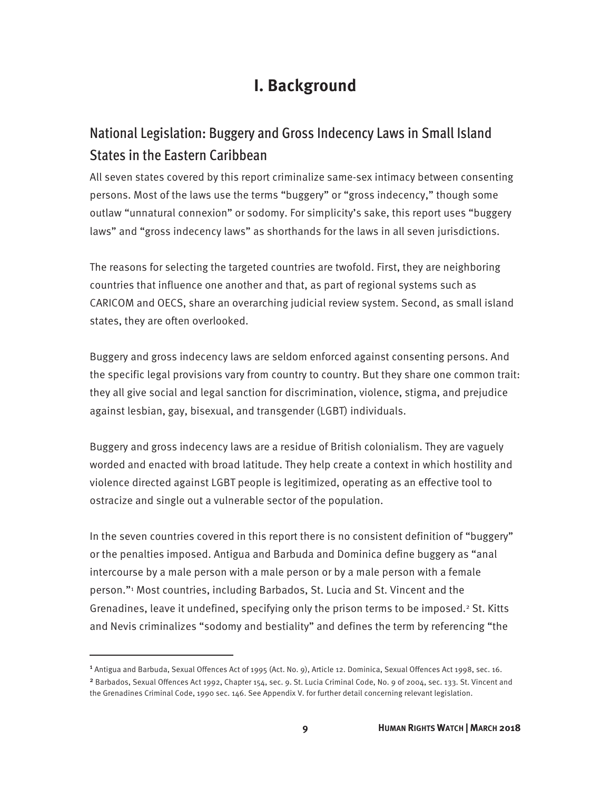### **I. Background**

### National Legislation: Buggery and Gross Indecency Laws in Small Island States in the Eastern Caribbean

All seven states covered by this report criminalize same-sex intimacy between consenting persons. Most of the laws use the terms "buggery" or "gross indecency," though some outlaw "unnatural connexion" or sodomy. For simplicity's sake, this report uses "buggery laws" and "gross indecency laws" as shorthands for the laws in all seven jurisdictions.

The reasons for selecting the targeted countries are twofold. First, they are neighboring countries that influence one another and that, as part of regional systems such as CARICOM and OECS, share an overarching judicial review system. Second, as small island states, they are often overlooked.

Buggery and gross indecency laws are seldom enforced against consenting persons. And the specific legal provisions vary from country to country. But they share one common trait: they all give social and legal sanction for discrimination, violence, stigma, and prejudice against lesbian, gay, bisexual, and transgender (LGBT) individuals.

Buggery and gross indecency laws are a residue of British colonialism. They are vaguely worded and enacted with broad latitude. They help create a context in which hostility and violence directed against LGBT people is legitimized, operating as an effective tool to ostracize and single out a vulnerable sector of the population.

In the seven countries covered in this report there is no consistent definition of "buggery" or the penalties imposed. Antigua and Barbuda and Dominica define buggery as "anal intercourse by a male person with a male person or by a male person with a female person."1 Most countries, including Barbados, St. Lucia and St. Vincent and the Grenadines, leave it undefined, specifying only the prison terms to be imposed.<sup>2</sup> St. Kitts and Nevis criminalizes "sodomy and bestiality" and defines the term by referencing "the

<sup>1</sup> Antigua and Barbuda, Sexual Offences Act of 1995 (Act. No. 9), Article 12. Dominica, Sexual Offences Act 1998, sec. 16.

<sup>2</sup> Barbados, Sexual Offences Act 1992, Chapter 154, sec. 9. St. Lucia Criminal Code, No. 9 of 2004, sec. 133. St. Vincent and the Grenadines Criminal Code, 1990 sec. 146. See Appendix V. for further detail concerning relevant legislation.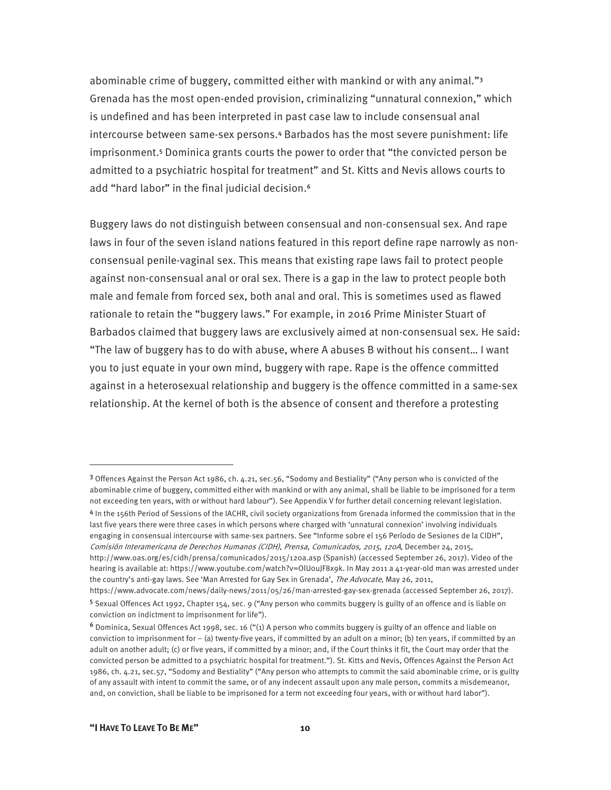abominable crime of buggery, committed either with mankind or with any animal."<sup>3</sup> Grenada has the most open-ended provision, criminalizing "unnatural connexion," which is undefined and has been interpreted in past case law to include consensual anal intercourse between same-sex persons.4 Barbados has the most severe punishment: life imprisonment.5 Dominica grants courts the power to order that "the convicted person be admitted to a psychiatric hospital for treatment" and St. Kitts and Nevis allows courts to add "hard labor" in the final judicial decision.<sup>6</sup>

Buggery laws do not distinguish between consensual and non-consensual sex. And rape laws in four of the seven island nations featured in this report define rape narrowly as nonconsensual penile-vaginal sex. This means that existing rape laws fail to protect people against non-consensual anal or oral sex. There is a gap in the law to protect people both male and female from forced sex, both anal and oral. This is sometimes used as flawed rationale to retain the "buggery laws." For example, in 2016 Prime Minister Stuart of Barbados claimed that buggery laws are exclusively aimed at non-consensual sex. He said: "The law of buggery has to do with abuse, where A abuses B without his consent… I want you to just equate in your own mind, buggery with rape. Rape is the offence committed against in a heterosexual relationship and buggery is the offence committed in a same-sex relationship. At the kernel of both is the absence of consent and therefore a protesting

<sup>3</sup> Offences Against the Person Act 1986, ch. 4.21, sec.56, "Sodomy and Bestiality" ("Any person who is convicted of the abominable crime of buggery, committed either with mankind or with any animal, shall be liable to be imprisoned for a term not exceeding ten years, with or without hard labour"). See Appendix V for further detail concerning relevant legislation.

<sup>4</sup> In the 156th Period of Sessions of the IACHR, civil society organizations from Grenada informed the commission that in the last five years there were three cases in which persons where charged with 'unnatural connexion' involving individuals engaging in consensual intercourse with same-sex partners. See "Informe sobre el 156 Período de Sesiones de la CIDH", Comisión Interamericana de Derechos Humanos (CIDH), Prensa, Comunicados, 2015, 120A, December 24, 2015, http://www.oas.org/es/cidh/prensa/comunicados/2015/120a.asp (Spanish) (accessed September 26, 2017). Video of the hearing is available at: https://www.youtube.com/watch?v=OlU0uJF8x9k. In May 2011 a 41-year-old man was arrested under the country's anti-gay laws. See 'Man Arrested for Gay Sex in Grenada', The Advocate, May 26, 2011,

https://www.advocate.com/news/daily-news/2011/05/26/man-arrested-gay-sex-grenada (accessed September 26, 2017). <sup>5</sup> Sexual Offences Act 1992, Chapter 154, sec. 9 ("Any person who commits buggery is guilty of an offence and is liable on conviction on indictment to imprisonment for life").

<sup>6</sup> Dominica, Sexual Offences Act 1998, sec. 16 ("(1) A person who commits buggery is guilty of an offence and liable on conviction to imprisonment for – (a) twenty-five years, if committed by an adult on a minor; (b) ten years, if committed by an adult on another adult; (c) or five years, if committed by a minor; and, if the Court thinks it fit, the Court may order that the convicted person be admitted to a psychiatric hospital for treatment."). St. Kitts and Nevis, Offences Against the Person Act 1986, ch. 4.21, sec.57, "Sodomy and Bestiality" ("Any person who attempts to commit the said abominable crime, or is guilty of any assault with intent to commit the same, or of any indecent assault upon any male person, commits a misdemeanor, and, on conviction, shall be liable to be imprisoned for a term not exceeding four years, with or without hard labor").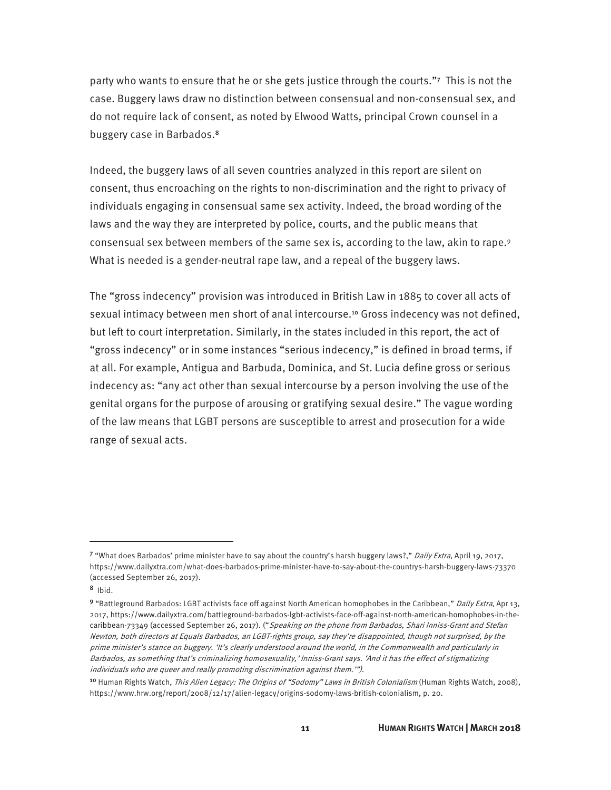party who wants to ensure that he or she gets justice through the courts."7 This is not the case. Buggery laws draw no distinction between consensual and non-consensual sex, and do not require lack of consent, as noted by Elwood Watts, principal Crown counsel in a buggery case in Barbados.<sup>8</sup>

Indeed, the buggery laws of all seven countries analyzed in this report are silent on consent, thus encroaching on the rights to non-discrimination and the right to privacy of individuals engaging in consensual same sex activity. Indeed, the broad wording of the laws and the way they are interpreted by police, courts, and the public means that consensual sex between members of the same sex is, according to the law, akin to rape.9 What is needed is a gender-neutral rape law, and a repeal of the buggery laws.

The "gross indecency" provision was introduced in British Law in 1885 to cover all acts of sexual intimacy between men short of anal intercourse.<sup>10</sup> Gross indecency was not defined, but left to court interpretation. Similarly, in the states included in this report, the act of "gross indecency" or in some instances "serious indecency," is defined in broad terms, if at all. For example, Antigua and Barbuda, Dominica, and St. Lucia define gross or serious indecency as: "any act other than sexual intercourse by a person involving the use of the genital organs for the purpose of arousing or gratifying sexual desire." The vague wording of the law means that LGBT persons are susceptible to arrest and prosecution for a wide range of sexual acts.

-

<sup>7 &</sup>quot;What does Barbados' prime minister have to say about the country's harsh buggery laws?," Daily Extra, April 19, 2017, https://www.dailyxtra.com/what-does-barbados-prime-minister-have-to-say-about-the-countrys-harsh-buggery-laws-73370 (accessed September 26, 2017).

 $8$  Ibid.

<sup>9 &</sup>quot;Battleground Barbados: LGBT activists face off against North American homophobes in the Caribbean," Daily Extra, Apr 13, 2017, https://www.dailyxtra.com/battleground-barbados-lgbt-activists-face-off-against-north-american-homophobes-in-thecaribbean-73349 (accessed September 26, 2017). ("Speaking on the phone from Barbados, Shari Inniss-Grant and Stefan Newton, both directors at Equals Barbados, an LGBT-rights group, say they're disappointed, though not surprised, by the prime minister's stance on buggery. 'It's clearly understood around the world, in the Commonwealth and particularly in Barbados, as something that's criminalizing homosexuality,' Inniss-Grant says. 'And it has the effect of stigmatizing individuals who are queer and really promoting discrimination against them.'").

<sup>&</sup>lt;sup>10</sup> Human Rights Watch, *This Alien Legacy: The Origins of "Sodomy" Laws in British Colonialism* (Human Rights Watch, 2008), https://www.hrw.org/report/2008/12/17/alien-legacy/origins-sodomy-laws-british-colonialism, p. 20.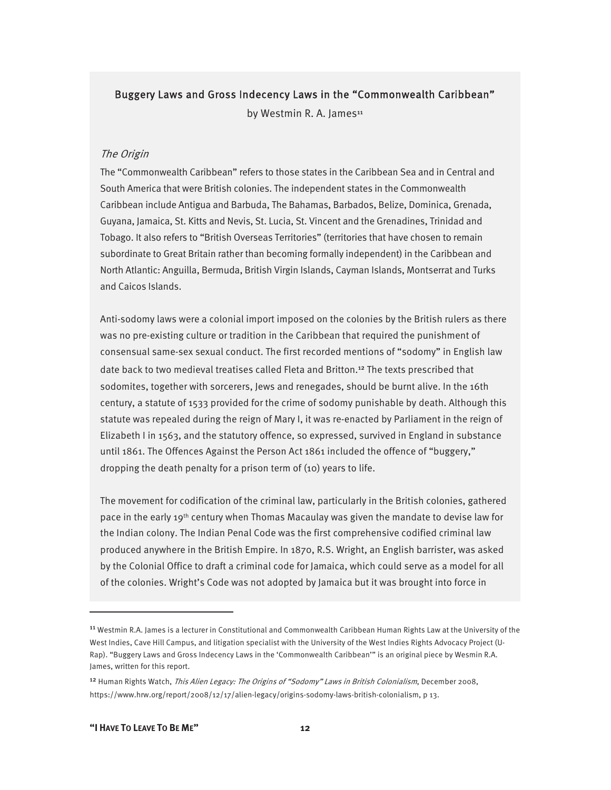#### Buggery Laws and Gross Indecency Laws in the "Commonwealth Caribbean"

by Westmin R. A. James<sup>11</sup>

#### The Origin

The "Commonwealth Caribbean" refers to those states in the Caribbean Sea and in Central and South America that were British colonies. The independent states in the Commonwealth Caribbean include Antigua and Barbuda, The Bahamas, Barbados, Belize, Dominica, Grenada, Guyana, Jamaica, St. Kitts and Nevis, St. Lucia, St. Vincent and the Grenadines, Trinidad and Tobago. It also refers to "British Overseas Territories" (territories that have chosen to remain subordinate to Great Britain rather than becoming formally independent) in the Caribbean and North Atlantic: Anguilla, Bermuda, British Virgin Islands, Cayman Islands, Montserrat and Turks and Caicos Islands.

Anti-sodomy laws were a colonial import imposed on the colonies by the British rulers as there was no pre-existing culture or tradition in the Caribbean that required the punishment of consensual same-sex sexual conduct. The first recorded mentions of "sodomy" in English law date back to two medieval treatises called Fleta and Britton.<sup>12</sup> The texts prescribed that sodomites, together with sorcerers, Jews and renegades, should be burnt alive. In the 16th century, a statute of 1533 provided for the crime of sodomy punishable by death. Although this statute was repealed during the reign of Mary I, it was re-enacted by Parliament in the reign of Elizabeth I in 1563, and the statutory offence, so expressed, survived in England in substance until 1861. The Offences Against the Person Act 1861 included the offence of "buggery," dropping the death penalty for a prison term of (10) years to life.

The movement for codification of the criminal law, particularly in the British colonies, gathered pace in the early 19th century when Thomas Macaulay was given the mandate to devise law for the Indian colony. The Indian Penal Code was the first comprehensive codified criminal law produced anywhere in the British Empire. In 1870, R.S. Wright, an English barrister, was asked by the Colonial Office to draft a criminal code for Jamaica, which could serve as a model for all of the colonies. Wright's Code was not adopted by Jamaica but it was brought into force in

<sup>&</sup>lt;sup>11</sup> Westmin R.A. James is a lecturer in Constitutional and Commonwealth Caribbean Human Rights Law at the University of the West Indies, Cave Hill Campus, and litigation specialist with the University of the West Indies Rights Advocacy Project (U-Rap). "Buggery Laws and Gross Indecency Laws in the 'Commonwealth Caribbean'" is an original piece by Wesmin R.A. James, written for this report.

<sup>&</sup>lt;sup>12</sup> Human Rights Watch, This Alien Legacy: The Origins of "Sodomy" Laws in British Colonialism, December 2008, https://www.hrw.org/report/2008/12/17/alien-legacy/origins-sodomy-laws-british-colonialism, p 13.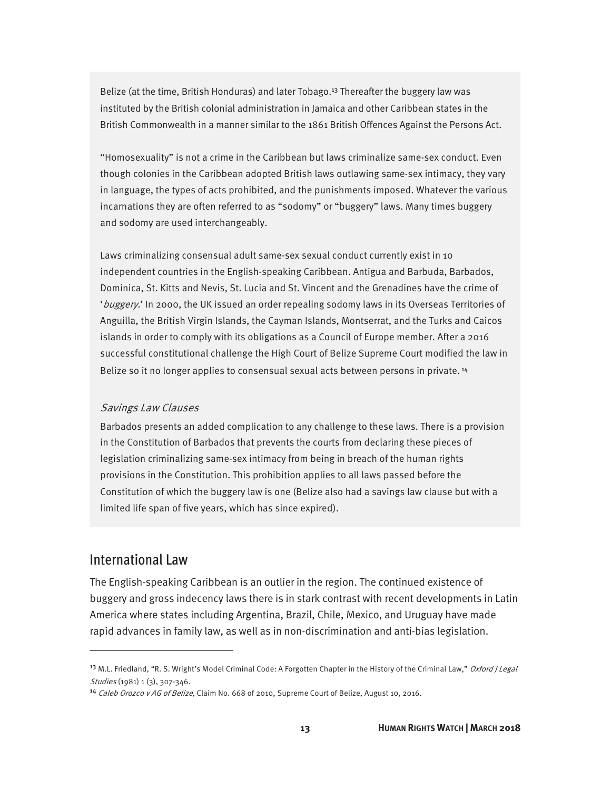Belize (at the time, British Honduras) and later Tobago.<sup>13</sup> Thereafter the buggery law was instituted by the British colonial administration in Jamaica and other Caribbean states in the British Commonwealth in a manner similar to the 1861 British Offences Against the Persons Act.

"Homosexuality" is not a crime in the Caribbean but laws criminalize same-sex conduct. Even though colonies in the Caribbean adopted British laws outlawing same-sex intimacy, they vary in language, the types of acts prohibited, and the punishments imposed. Whatever the various incarnations they are often referred to as "sodomy" or "buggery" laws. Many times buggery and sodomy are used interchangeably.

Laws criminalizing consensual adult same-sex sexual conduct currently exist in 10 independent countries in the English-speaking Caribbean. Antigua and Barbuda, Barbados, Dominica, St. Kitts and Nevis, St. Lucia and St. Vincent and the Grenadines have the crime of 'buggery.' In 2000, the UK issued an order repealing sodomy laws in its Overseas Territories of Anguilla, the British Virgin Islands, the Cayman Islands, Montserrat, and the Turks and Caicos islands in order to comply with its obligations as a Council of Europe member. After a 2016 successful constitutional challenge the High Court of Belize Supreme Court modified the law in Belize so it no longer applies to consensual sexual acts between persons in private. <sup>14</sup>

#### Savings Law Clauses

Barbados presents an added complication to any challenge to these laws. There is a provision in the Constitution of Barbados that prevents the courts from declaring these pieces of legislation criminalizing same-sex intimacy from being in breach of the human rights provisions in the Constitution. This prohibition applies to all laws passed before the Constitution of which the buggery law is one (Belize also had a savings law clause but with a limited life span of five years, which has since expired).

#### International Law

 $\overline{a}$ 

The English-speaking Caribbean is an outlier in the region. The continued existence of buggery and gross indecency laws there is in stark contrast with recent developments in Latin America where states including Argentina, Brazil, Chile, Mexico, and Uruguay have made rapid advances in family law, as well as in non-discrimination and anti-bias legislation.

<sup>&</sup>lt;sup>13</sup> M.L. Friedland, "R. S. Wright's Model Criminal Code: A Forgotten Chapter in the History of the Criminal Law," Oxford / Legal Studies (1981) 1 (3), 307-346.

<sup>&</sup>lt;sup>14</sup> Caleb Orozco v AG of Belize, Claim No. 668 of 2010, Supreme Court of Belize, August 10, 2016.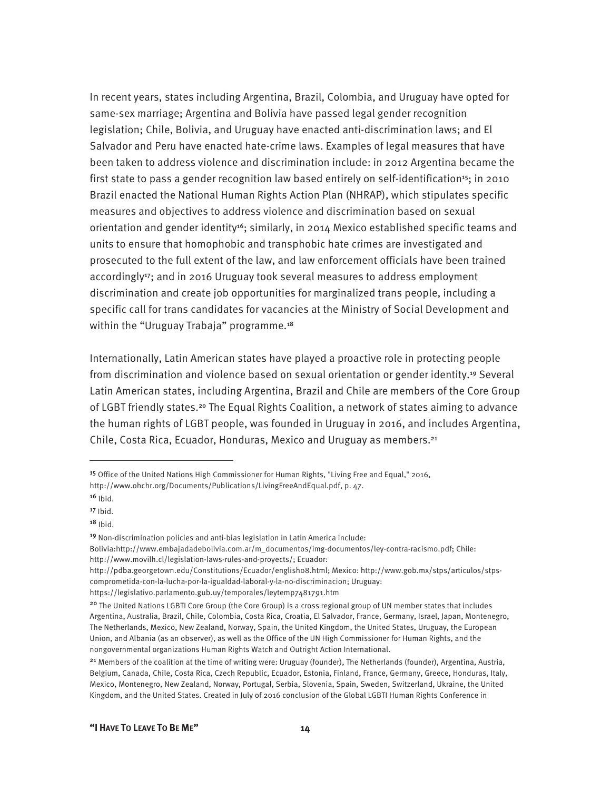In recent years, states including Argentina, Brazil, Colombia, and Uruguay have opted for same-sex marriage; Argentina and Bolivia have passed legal gender recognition legislation; Chile, Bolivia, and Uruguay have enacted anti-discrimination laws; and El Salvador and Peru have enacted hate-crime laws. Examples of legal measures that have been taken to address violence and discrimination include: in 2012 Argentina became the first state to pass a gender recognition law based entirely on self-identification<sup>15</sup>; in 2010 Brazil enacted the National Human Rights Action Plan (NHRAP), which stipulates specific measures and objectives to address violence and discrimination based on sexual orientation and gender identity<sup>16</sup>; similarly, in 2014 Mexico established specific teams and units to ensure that homophobic and transphobic hate crimes are investigated and prosecuted to the full extent of the law, and law enforcement officials have been trained accordingly<sup>17</sup>; and in 2016 Uruguay took several measures to address employment discrimination and create job opportunities for marginalized trans people, including a specific call for trans candidates for vacancies at the Ministry of Social Development and within the "Uruguay Trabaja" programme.<sup>18</sup>

Internationally, Latin American states have played a proactive role in protecting people from discrimination and violence based on sexual orientation or gender identity.<sup>19</sup> Several Latin American states, including Argentina, Brazil and Chile are members of the Core Group of LGBT friendly states.20 The Equal Rights Coalition, a network of states aiming to advance the human rights of LGBT people, was founded in Uruguay in 2016, and includes Argentina, Chile, Costa Rica, Ecuador, Honduras, Mexico and Uruguay as members.<sup>21</sup>

<sup>15</sup> Office of the United Nations High Commissioner for Human Rights, "Living Free and Equal," 2016, http://www.ohchr.org/Documents/Publications/LivingFreeAndEqual.pdf, p. 47.

 $16$  Ibid.

 $17$  Ibid.

 $18$  Ibid.

<sup>19</sup> Non-discrimination policies and anti-bias legislation in Latin America include:

Bolivia:http://www.embajadadebolivia.com.ar/m\_documentos/img-documentos/ley-contra-racismo.pdf; Chile: http://www.movilh.cl/legislation-laws-rules-and-proyects/; Ecuador:

http://pdba.georgetown.edu/Constitutions/Ecuador/english08.html; Mexico: http://www.gob.mx/stps/articulos/stpscomprometida-con-la-lucha-por-la-igualdad-laboral-y-la-no-discriminacion; Uruguay:

https://legislativo.parlamento.gub.uy/temporales/leytemp7481791.htm

<sup>&</sup>lt;sup>20</sup> The United Nations LGBTI Core Group (the Core Group) is a cross regional group of UN member states that includes Argentina, Australia, Brazil, Chile, Colombia, Costa Rica, Croatia, El Salvador, France, Germany, Israel, Japan, Montenegro, The Netherlands, Mexico, New Zealand, Norway, Spain, the United Kingdom, the United States, Uruguay, the European Union, and Albania (as an observer), as well as the Office of the UN High Commissioner for Human Rights, and the nongovernmental organizations Human Rights Watch and Outright Action International.

<sup>&</sup>lt;sup>21</sup> Members of the coalition at the time of writing were: Uruguay (founder), The Netherlands (founder), Argentina, Austria, Belgium, Canada, Chile, Costa Rica, Czech Republic, Ecuador, Estonia, Finland, France, Germany, Greece, Honduras, Italy, Mexico, Montenegro, New Zealand, Norway, Portugal, Serbia, Slovenia, Spain, Sweden, Switzerland, Ukraine, the United Kingdom, and the United States. Created in July of 2016 conclusion of the Global LGBTI Human Rights Conference in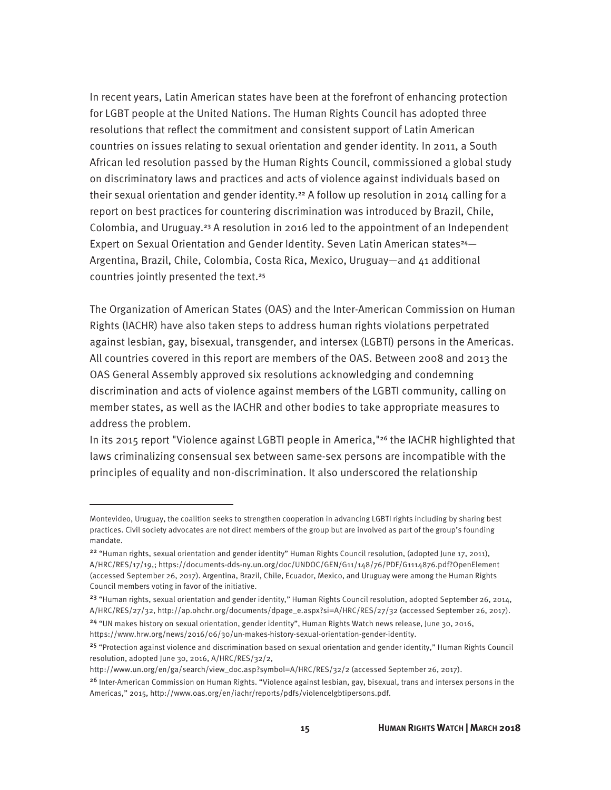In recent years, Latin American states have been at the forefront of enhancing protection for LGBT people at the United Nations. The Human Rights Council has adopted three resolutions that reflect the commitment and consistent support of Latin American countries on issues relating to sexual orientation and gender identity. In 2011, a South African led resolution passed by the Human Rights Council, commissioned a global study on discriminatory laws and practices and acts of violence against individuals based on their sexual orientation and gender identity.<sup>22</sup> A follow up resolution in 2014 calling for a report on best practices for countering discrimination was introduced by Brazil, Chile, Colombia, and Uruguay.23 A resolution in 2016 led to the appointment of an Independent Expert on Sexual Orientation and Gender Identity. Seven Latin American states<sup>24</sup>-Argentina, Brazil, Chile, Colombia, Costa Rica, Mexico, Uruguay—and 41 additional countries jointly presented the text.<sup>25</sup>

The Organization of American States (OAS) and the Inter-American Commission on Human Rights (IACHR) have also taken steps to address human rights violations perpetrated against lesbian, gay, bisexual, transgender, and intersex (LGBTI) persons in the Americas. All countries covered in this report are members of the OAS. Between 2008 and 2013 the OAS General Assembly approved six resolutions acknowledging and condemning discrimination and acts of violence against members of the LGBTI community, calling on member states, as well as the IACHR and other bodies to take appropriate measures to address the problem.

In its 2015 report "Violence against LGBTI people in America,"26 the IACHR highlighted that laws criminalizing consensual sex between same-sex persons are incompatible with the principles of equality and non-discrimination. It also underscored the relationship

Montevideo, Uruguay, the coalition seeks to strengthen cooperation in advancing LGBTI rights including by sharing best practices. Civil society advocates are not direct members of the group but are involved as part of the group's founding mandate.

<sup>&</sup>lt;sup>22</sup> "Human rights, sexual orientation and gender identity" Human Rights Council resolution, (adopted June 17, 2011), A/HRC/RES/17/19,; https://documents-dds-ny.un.org/doc/UNDOC/GEN/G11/148/76/PDF/G1114876.pdf?OpenElement (accessed September 26, 2017). Argentina, Brazil, Chile, Ecuador, Mexico, and Uruguay were among the Human Rights Council members voting in favor of the initiative.

<sup>&</sup>lt;sup>23</sup> "Human rights, sexual orientation and gender identity," Human Rights Council resolution, adopted September 26, 2014, A/HRC/RES/27/32, http://ap.ohchr.org/documents/dpage\_e.aspx?si=A/HRC/RES/27/32 (accessed September 26, 2017). <sup>24</sup> "UN makes history on sexual orientation, gender identity", Human Rights Watch news release, June 30, 2016,

https://www.hrw.org/news/2016/06/30/un-makes-history-sexual-orientation-gender-identity.

<sup>25</sup> "Protection against violence and discrimination based on sexual orientation and gender identity," Human Rights Council resolution, adopted June 30, 2016, A/HRC/RES/32/2,

http://www.un.org/en/ga/search/view\_doc.asp?symbol=A/HRC/RES/32/2 (accessed September 26, 2017).

<sup>&</sup>lt;sup>26</sup> Inter-American Commission on Human Rights. "Violence against lesbian, gay, bisexual, trans and intersex persons in the Americas," 2015, http://www.oas.org/en/iachr/reports/pdfs/violencelgbtipersons.pdf.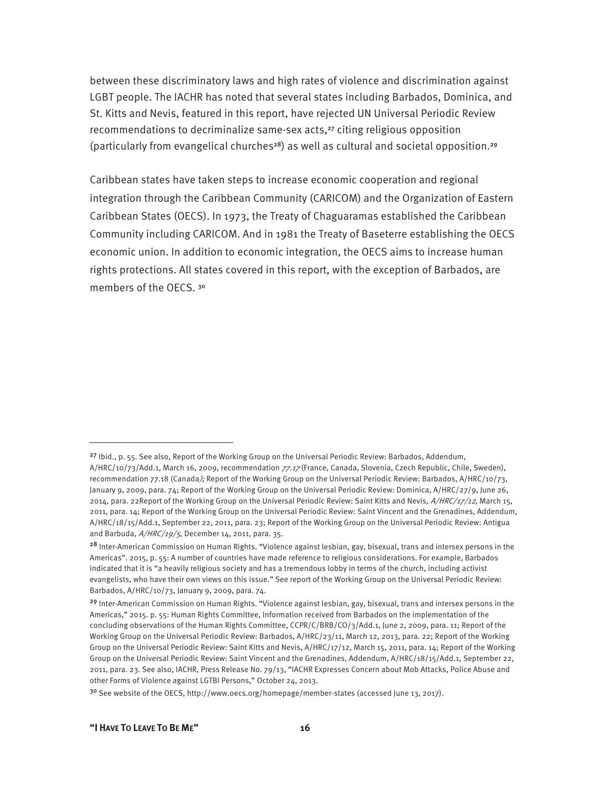between these discriminatory laws and high rates of violence and discrimination against LGBT people. The IACHR has noted that several states including Barbados, Dominica, and St. Kitts and Nevis, featured in this report, have rejected UN Universal Periodic Review recommendations to decriminalize same-sex acts,27 citing religious opposition (particularly from evangelical churches<sup>28</sup>) as well as cultural and societal opposition.<sup>29</sup>

Caribbean states have taken steps to increase economic cooperation and regional integration through the Caribbean Community (CARICOM) and the Organization of Eastern Caribbean States (OECS). In 1973, the Treaty of Chaguaramas established the Caribbean Community including CARICOM. And in 1981 the Treaty of Baseterre establishing the OECS economic union. In addition to economic integration, the OECS aims to increase human rights protections. All states covered in this report, with the exception of Barbados, are members of the OECS. <sup>30</sup>

<sup>&</sup>lt;sup>27</sup> Ibid., p. 55. See also, Report of the Working Group on the Universal Periodic Review: Barbados, Addendum, A/HRC/10/73/Add.1, March 16, 2009, recommendation 77.17 (France, Canada, Slovenia, Czech Republic, Chile, Sweden), recommendation 77.18 (Canada); Report of the Working Group on the Universal Periodic Review: Barbados, A/HRC/10/73, January 9, 2009, para. 74; Report of the Working Group on the Universal Periodic Review: Dominica, A/HRC/27/9, June 26, 2014, para. 22Report of the Working Group on the Universal Periodic Review: Saint Kitts and Nevis,  $A/HRC/17/12$ , March 15, 2011, para. 14; Report of the Working Group on the Universal Periodic Review: Saint Vincent and the Grenadines, Addendum, A/HRC/18/15/Add.1, September 22, 2011, para. 23; Report of the Working Group on the Universal Periodic Review: Antigua and Barbuda,  $A/HRC/19/5$ , December 14, 2011, para. 35.

<sup>28</sup> Inter-American Commission on Human Rights. "Violence against lesbian, gay, bisexual, trans and intersex persons in the Americas". 2015, p. 55: A number of countries have made reference to religious considerations. For example, Barbados indicated that it is "a heavily religious society and has a tremendous lobby in terms of the church, including activist evangelists, who have their own views on this issue." See report of the Working Group on the Universal Periodic Review: Barbados, A/HRC/10/73, January 9, 2009, para. 74.

<sup>29</sup> Inter-American Commission on Human Rights. "Violence against lesbian, gay, bisexual, trans and intersex persons in the Americas," 2015. p. 55: Human Rights Committee, Information received from Barbados on the implementation of the concluding observations of the Human Rights Committee, CCPR/C/BRB/CO/3/Add.1, June 2, 2009, para. 11; Report of the Working Group on the Universal Periodic Review: Barbados, A/HRC/23/11, March 12, 2013, para. 22; Report of the Working Group on the Universal Periodic Review: Saint Kitts and Nevis, A/HRC/17/12, March 15, 2011, para. 14; Report of the Working Group on the Universal Periodic Review: Saint Vincent and the Grenadines, Addendum, A/HRC/18/15/Add.1, September 22, 2011, para. 23. See also, IACHR, Press Release No. 79/13, "IACHR Expresses Concern about Mob Attacks, Police Abuse and other Forms of Violence against LGTBI Persons," October 24, 2013.

<sup>&</sup>lt;sup>30</sup> See website of the OECS, http://www.oecs.org/homepage/member-states (accessed June 13, 2017).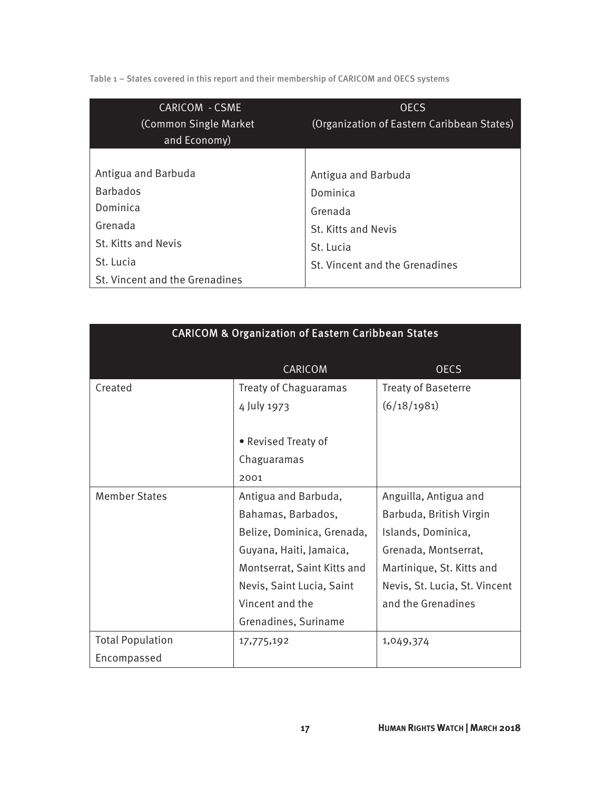Table 1 – States covered in this report and their membership of CARICOM and OECS systems

| <b>CARICOM - CSME</b><br>(Common Single Market)<br>and Economy) | <b>OECS</b><br>(Organization of Eastern Caribbean States) |  |
|-----------------------------------------------------------------|-----------------------------------------------------------|--|
|                                                                 |                                                           |  |
| Antigua and Barbuda                                             | Antigua and Barbuda                                       |  |
| <b>Barbados</b>                                                 | Dominica                                                  |  |
| Dominica                                                        | Grenada                                                   |  |
| Grenada                                                         | St. Kitts and Nevis                                       |  |
| St. Kitts and Nevis                                             | St. Lucia                                                 |  |
| St. Lucia                                                       | St. Vincent and the Grenadines                            |  |
| St. Vincent and the Grenadines                                  |                                                           |  |

| <b>CARICOM &amp; Organization of Eastern Caribbean States</b> |                             |                               |  |  |
|---------------------------------------------------------------|-----------------------------|-------------------------------|--|--|
|                                                               | CARICOM                     | <b>OECS</b>                   |  |  |
| Created                                                       | Treaty of Chaguaramas       | <b>Treaty of Baseterre</b>    |  |  |
|                                                               | 4 July 1973                 | (6/18/1981)                   |  |  |
|                                                               |                             |                               |  |  |
|                                                               | • Revised Treaty of         |                               |  |  |
|                                                               | Chaguaramas                 |                               |  |  |
|                                                               | 2001                        |                               |  |  |
| <b>Member States</b>                                          | Antigua and Barbuda,        | Anguilla, Antigua and         |  |  |
|                                                               | Bahamas, Barbados,          | Barbuda, British Virgin       |  |  |
|                                                               | Belize, Dominica, Grenada,  | Islands, Dominica,            |  |  |
|                                                               | Guyana, Haiti, Jamaica,     | Grenada, Montserrat,          |  |  |
|                                                               | Montserrat, Saint Kitts and | Martinique, St. Kitts and     |  |  |
|                                                               | Nevis, Saint Lucia, Saint   | Nevis, St. Lucia, St. Vincent |  |  |
|                                                               | Vincent and the             | and the Grenadines            |  |  |
|                                                               | Grenadines, Suriname        |                               |  |  |
| <b>Total Population</b>                                       | 17,775,192                  | 1,049,374                     |  |  |
| Encompassed                                                   |                             |                               |  |  |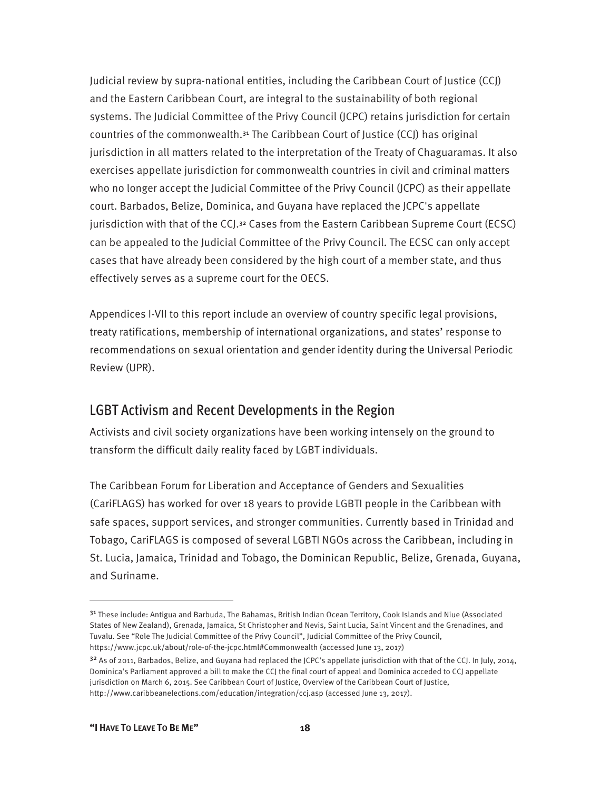Judicial review by supra-national entities, including the Caribbean Court of Justice (CCJ) and the Eastern Caribbean Court, are integral to the sustainability of both regional systems. The Judicial Committee of the Privy Council (JCPC) retains jurisdiction for certain countries of the commonwealth.31 The Caribbean Court of Justice (CCJ) has original jurisdiction in all matters related to the interpretation of the Treaty of Chaguaramas. It also exercises appellate jurisdiction for commonwealth countries in civil and criminal matters who no longer accept the Judicial Committee of the Privy Council (JCPC) as their appellate court. Barbados, Belize, Dominica, and Guyana have replaced the JCPC's appellate jurisdiction with that of the CCJ.<sup>32</sup> Cases from the Eastern Caribbean Supreme Court (ECSC) can be appealed to the Judicial Committee of the Privy Council. The ECSC can only accept cases that have already been considered by the high court of a member state, and thus effectively serves as a supreme court for the OECS.

Appendices I-VII to this report include an overview of country specific legal provisions, treaty ratifications, membership of international organizations, and states' response to recommendations on sexual orientation and gender identity during the Universal Periodic Review (UPR).

#### LGBT Activism and Recent Developments in the Region

Activists and civil society organizations have been working intensely on the ground to transform the difficult daily reality faced by LGBT individuals.

The Caribbean Forum for Liberation and Acceptance of Genders and Sexualities (CariFLAGS) has worked for over 18 years to provide LGBTI people in the Caribbean with safe spaces, support services, and stronger communities. Currently based in Trinidad and Tobago, CariFLAGS is composed of several LGBTI NGOs across the Caribbean, including in St. Lucia, Jamaica, Trinidad and Tobago, the Dominican Republic, Belize, Grenada, Guyana, and Suriname.

-

<sup>31</sup> These include: Antigua and Barbuda, The Bahamas, British Indian Ocean Territory, Cook Islands and Niue (Associated States of New Zealand), Grenada, Jamaica, St Christopher and Nevis, Saint Lucia, Saint Vincent and the Grenadines, and Tuvalu. See "Role The Judicial Committee of the Privy Council", Judicial Committee of the Privy Council, https://www.jcpc.uk/about/role-of-the-jcpc.html#Commonwealth (accessed June 13, 2017)

<sup>32</sup> As of 2011, Barbados, Belize, and Guyana had replaced the JCPC's appellate jurisdiction with that of the CCJ. In July, 2014, Dominica's Parliament approved a bill to make the CCJ the final court of appeal and Dominica acceded to CCJ appellate jurisdiction on March 6, 2015. See Caribbean Court of Justice, Overview of the Caribbean Court of Justice, http://www.caribbeanelections.com/education/integration/ccj.asp (accessed June 13, 2017).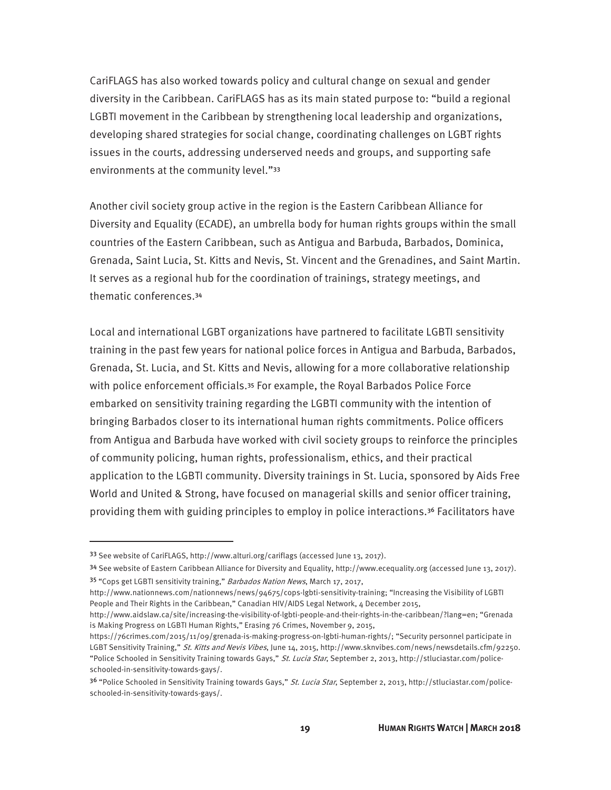CariFLAGS has also worked towards policy and cultural change on sexual and gender diversity in the Caribbean. CariFLAGS has as its main stated purpose to: "build a regional LGBTI movement in the Caribbean by strengthening local leadership and organizations, developing shared strategies for social change, coordinating challenges on LGBT rights issues in the courts, addressing underserved needs and groups, and supporting safe environments at the community level."<sup>33</sup>

Another civil society group active in the region is the Eastern Caribbean Alliance for Diversity and Equality (ECADE), an umbrella body for human rights groups within the small countries of the Eastern Caribbean, such as Antigua and Barbuda, Barbados, Dominica, Grenada, Saint Lucia, St. Kitts and Nevis, St. Vincent and the Grenadines, and Saint Martin. It serves as a regional hub for the coordination of trainings, strategy meetings, and thematic conferences.<sup>34</sup>

Local and international LGBT organizations have partnered to facilitate LGBTI sensitivity training in the past few years for national police forces in Antigua and Barbuda, Barbados, Grenada, St. Lucia, and St. Kitts and Nevis, allowing for a more collaborative relationship with police enforcement officials.35 For example, the Royal Barbados Police Force embarked on sensitivity training regarding the LGBTI community with the intention of bringing Barbados closer to its international human rights commitments. Police officers from Antigua and Barbuda have worked with civil society groups to reinforce the principles of community policing, human rights, professionalism, ethics, and their practical application to the LGBTI community. Diversity trainings in St. Lucia, sponsored by Aids Free World and United & Strong, have focused on managerial skills and senior officer training, providing them with guiding principles to employ in police interactions.36 Facilitators have

<sup>33</sup> See website of CariFLAGS, http://www.alturi.org/cariflags (accessed June 13, 2017).

<sup>34</sup> See website of Eastern Caribbean Alliance for Diversity and Equality, http://www.ecequality.org (accessed June 13, 2017). 35 "Cops get LGBTI sensitivity training," Barbados Nation News, March 17, 2017,

http://www.nationnews.com/nationnews/news/94675/cops-lgbti-sensitivity-training; "Increasing the Visibility of LGBTI People and Their Rights in the Caribbean," Canadian HIV/AIDS Legal Network, 4 December 2015,

http://www.aidslaw.ca/site/increasing-the-visibility-of-lgbti-people-and-their-rights-in-the-caribbean/?lang=en; "Grenada is Making Progress on LGBTI Human Rights," Erasing 76 Crimes, November 9, 2015,

https://76crimes.com/2015/11/09/grenada-is-making-progress-on-lgbti-human-rights/; "Security personnel participate in LGBT Sensitivity Training," St. Kitts and Nevis Vibes, June 14, 2015, http://www.sknvibes.com/news/newsdetails.cfm/92250. "Police Schooled in Sensitivity Training towards Gays," St. Lucia Star, September 2, 2013, http://stluciastar.com/policeschooled-in-sensitivity-towards-gays/.

<sup>3&</sup>lt;sup>6</sup> "Police Schooled in Sensitivity Training towards Gays," St. Lucia Star, September 2, 2013, http://stluciastar.com/policeschooled-in-sensitivity-towards-gays/.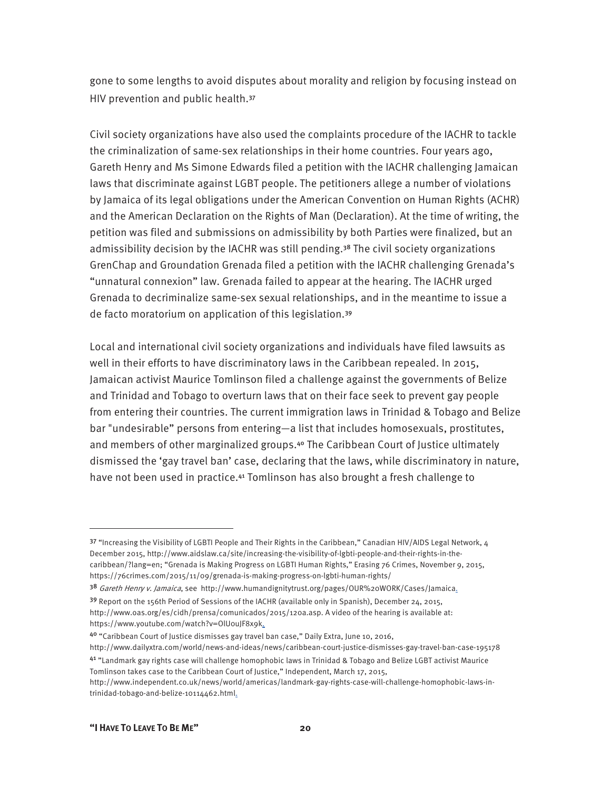gone to some lengths to avoid disputes about morality and religion by focusing instead on HIV prevention and public health.<sup>37</sup>

Civil society organizations have also used the complaints procedure of the IACHR to tackle the criminalization of same-sex relationships in their home countries. Four years ago, Gareth Henry and Ms Simone Edwards filed a petition with the IACHR challenging Jamaican laws that discriminate against LGBT people. The petitioners allege a number of violations by Jamaica of its legal obligations under the American Convention on Human Rights (ACHR) and the American Declaration on the Rights of Man (Declaration). At the time of writing, the petition was filed and submissions on admissibility by both Parties were finalized, but an admissibility decision by the IACHR was still pending.38 The civil society organizations GrenChap and Groundation Grenada filed a petition with the IACHR challenging Grenada's "unnatural connexion" law. Grenada failed to appear at the hearing. The IACHR urged Grenada to decriminalize same-sex sexual relationships, and in the meantime to issue a de facto moratorium on application of this legislation.<sup>39</sup>

Local and international civil society organizations and individuals have filed lawsuits as well in their efforts to have discriminatory laws in the Caribbean repealed. In 2015, Jamaican activist Maurice Tomlinson filed a challenge against the governments of Belize and Trinidad and Tobago to overturn laws that on their face seek to prevent gay people from entering their countries. The current immigration laws in Trinidad & Tobago and Belize bar "undesirable" persons from entering—a list that includes homosexuals, prostitutes, and members of other marginalized groups.40 The Caribbean Court of Justice ultimately dismissed the 'gay travel ban' case, declaring that the laws, while discriminatory in nature, have not been used in practice.<sup>41</sup> Tomlinson has also brought a fresh challenge to

<sup>37 &</sup>quot;Increasing the Visibility of LGBTI People and Their Rights in the Caribbean," Canadian HIV/AIDS Legal Network, 4 December 2015, http://www.aidslaw.ca/site/increasing-the-visibility-of-lgbti-people-and-their-rights-in-thecaribbean/?lang=en; "Grenada is Making Progress on LGBTI Human Rights," Erasing 76 Crimes, November 9, 2015, https://76crimes.com/2015/11/09/grenada-is-making-progress-on-lgbti-human-rights/

<sup>38</sup> Gareth Henry v. Jamaica, see http://www.humandignitytrust.org/pages/OUR%20WORK/Cases/Jamaica.

<sup>&</sup>lt;sup>39</sup> Report on the 156th Period of Sessions of the IACHR (available only in Spanish), December 24, 2015, http://www.oas.org/es/cidh/prensa/comunicados/2015/120a.asp. A video of the hearing is available at: https://www.youtube.com/watch?v=OlUouJF8x9k.

<sup>40</sup> "Caribbean Court of Justice dismisses gay travel ban case," Daily Extra, June 10, 2016,

http://www.dailyxtra.com/world/news-and-ideas/news/caribbean-court-justice-dismisses-gay-travel-ban-case-195178 <sup>41</sup> "Landmark gay rights case will challenge homophobic laws in Trinidad & Tobago and Belize LGBT activist Maurice Tomlinson takes case to the Caribbean Court of Justice," Independent, March 17, 2015,

http://www.independent.co.uk/news/world/americas/landmark-gay-rights-case-will-challenge-homophobic-laws-intrinidad-tobago-and-belize-10114462.html.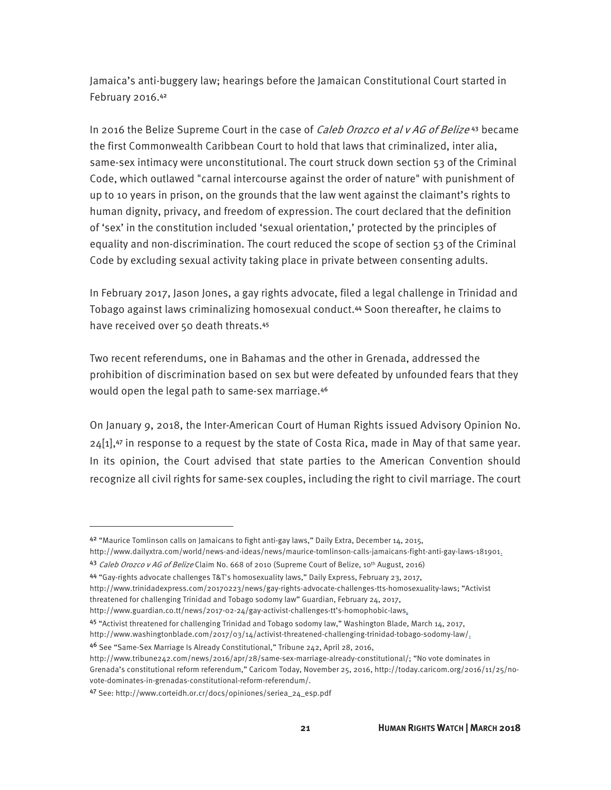Jamaica's anti-buggery law; hearings before the Jamaican Constitutional Court started in February 2016.<sup>42</sup>

In 2016 the Belize Supreme Court in the case of *Caleb Orozco et al v AG of Belize*<sup>43</sup> became the first Commonwealth Caribbean Court to hold that laws that criminalized, inter alia, same-sex intimacy were unconstitutional. The court struck down section 53 of the Criminal Code, which outlawed "carnal intercourse against the order of nature" with punishment of up to 10 years in prison, on the grounds that the law went against the claimant's rights to human dignity, privacy, and freedom of expression. The court declared that the definition of 'sex' in the constitution included 'sexual orientation,' protected by the principles of equality and non-discrimination. The court reduced the scope of section 53 of the Criminal Code by excluding sexual activity taking place in private between consenting adults.

In February 2017, Jason Jones, a gay rights advocate, filed a legal challenge in Trinidad and Tobago against laws criminalizing homosexual conduct.44 Soon thereafter, he claims to have received over 50 death threats.<sup>45</sup>

Two recent referendums, one in Bahamas and the other in Grenada, addressed the prohibition of discrimination based on sex but were defeated by unfounded fears that they would open the legal path to same-sex marriage.<sup>46</sup>

On January 9, 2018, the Inter-American Court of Human Rights issued Advisory Opinion No.  $24[1]$ ,<sup>47</sup> in response to a request by the state of Costa Rica, made in May of that same year. In its opinion, the Court advised that state parties to the American Convention should recognize all civil rights for same-sex couples, including the right to civil marriage. The court

<sup>44</sup> "Gay-rights advocate challenges T&T's homosexuality laws," Daily Express, February 23, 2017,

<sup>42</sup> "Maurice Tomlinson calls on Jamaicans to fight anti-gay laws," Daily Extra, December 14, 2015,

http://www.dailyxtra.com/world/news-and-ideas/news/maurice-tomlinson-calls-jamaicans-fight-anti-gay-laws-181901. 43 Caleb Orozco v AG of Belize Claim No. 668 of 2010 (Supreme Court of Belize, 10th August, 2016)

http://www.trinidadexpress.com/20170223/news/gay-rights-advocate-challenges-tts-homosexuality-laws; "Activist

threatened for challenging Trinidad and Tobago sodomy law" Guardian, February 24, 2017,

http://www.guardian.co.tt/news/2017-02-24/gay-activist-challenges-tt's-homophobic-laws.

<sup>45</sup> "Activist threatened for challenging Trinidad and Tobago sodomy law," Washington Blade, March 14, 2017,

http://www.washingtonblade.com/2017/03/14/activist-threatened-challenging-trinidad-tobago-sodomy-law/.

<sup>46</sup> See "Same-Sex Marriage Is Already Constitutional," Tribune 242, April 28, 2016,

http://www.tribune242.com/news/2016/apr/28/same-sex-marriage-already-constitutional/; "No vote dominates in Grenada's constitutional reform referendum," Caricom Today, November 25, 2016, http://today.caricom.org/2016/11/25/novote-dominates-in-grenadas-constitutional-reform-referendum/.

<sup>47</sup> See: http://www.corteidh.or.cr/docs/opiniones/seriea\_24\_esp.pdf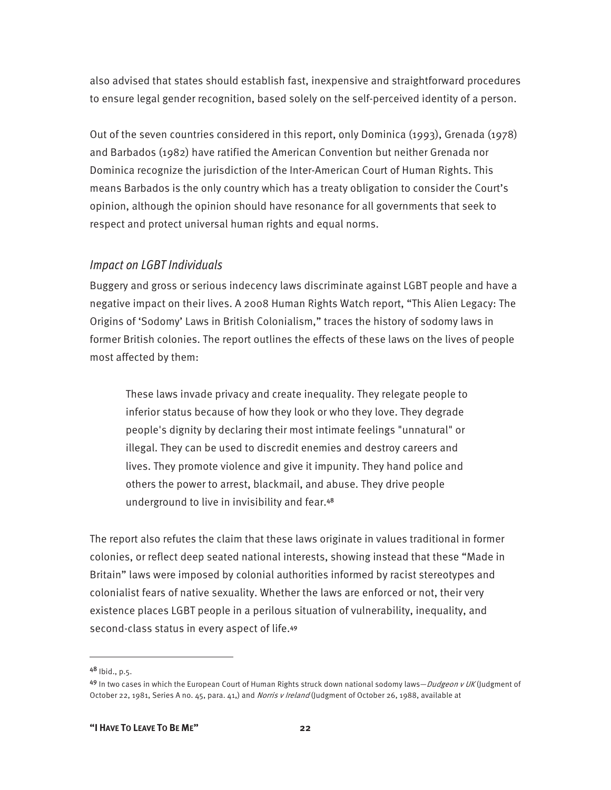also advised that states should establish fast, inexpensive and straightforward procedures to ensure legal gender recognition, based solely on the self-perceived identity of a person.

Out of the seven countries considered in this report, only Dominica (1993), Grenada (1978) and Barbados (1982) have ratified the American Convention but neither Grenada nor Dominica recognize the jurisdiction of the Inter-American Court of Human Rights. This means Barbados is the only country which has a treaty obligation to consider the Court's opinion, although the opinion should have resonance for all governments that seek to respect and protect universal human rights and equal norms.

#### *Impact on LGBT Individuals*

Buggery and gross or serious indecency laws discriminate against LGBT people and have a negative impact on their lives. A 2008 Human Rights Watch report, "This Alien Legacy: The Origins of 'Sodomy' Laws in British Colonialism," traces the history of sodomy laws in former British colonies. The report outlines the effects of these laws on the lives of people most affected by them:

These laws invade privacy and create inequality. They relegate people to inferior status because of how they look or who they love. They degrade people's dignity by declaring their most intimate feelings "unnatural" or illegal. They can be used to discredit enemies and destroy careers and lives. They promote violence and give it impunity. They hand police and others the power to arrest, blackmail, and abuse. They drive people underground to live in invisibility and fear.<sup>48</sup>

The report also refutes the claim that these laws originate in values traditional in former colonies, or reflect deep seated national interests, showing instead that these "Made in Britain" laws were imposed by colonial authorities informed by racist stereotypes and colonialist fears of native sexuality. Whether the laws are enforced or not, their very existence places LGBT people in a perilous situation of vulnerability, inequality, and second-class status in every aspect of life.<sup>49</sup>

<sup>48</sup> Ibid., p.5.

<sup>49</sup> In two cases in which the European Court of Human Rights struck down national sodomy laws—*Dudgeon v UK* (Judgment of October 22, 1981, Series A no. 45, para. 41,) and Norris v Ireland (Judgment of October 26, 1988, available at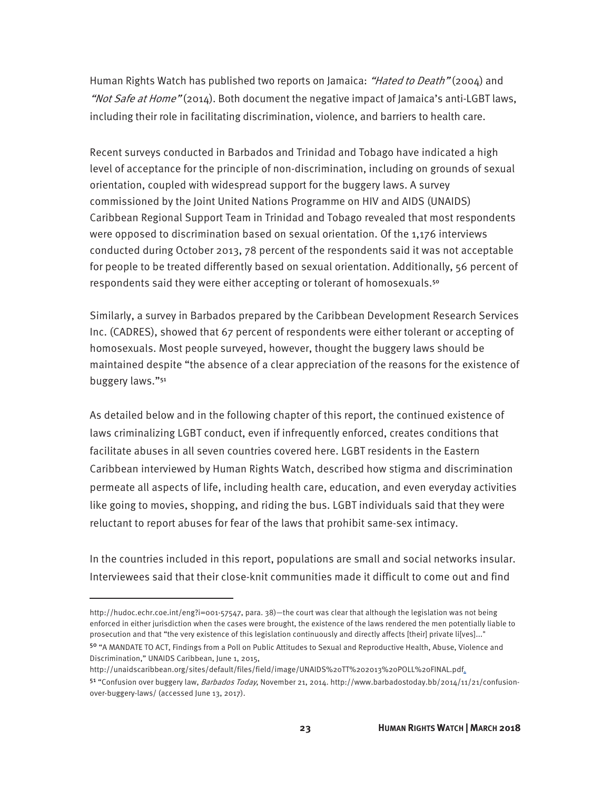Human Rights Watch has published two reports on Jamaica: "Hated to Death" (2004) and "Not Safe at Home" (2014). Both document the negative impact of Jamaica's anti-LGBT laws, including their role in facilitating discrimination, violence, and barriers to health care.

Recent surveys conducted in Barbados and Trinidad and Tobago have indicated a high level of acceptance for the principle of non-discrimination, including on grounds of sexual orientation, coupled with widespread support for the buggery laws. A survey commissioned by the Joint United Nations Programme on HIV and AIDS (UNAIDS) Caribbean Regional Support Team in Trinidad and Tobago revealed that most respondents were opposed to discrimination based on sexual orientation. Of the 1,176 interviews conducted during October 2013, 78 percent of the respondents said it was not acceptable for people to be treated differently based on sexual orientation. Additionally, 56 percent of respondents said they were either accepting or tolerant of homosexuals.<sup>50</sup>

Similarly, a survey in Barbados prepared by the Caribbean Development Research Services Inc. (CADRES), showed that 67 percent of respondents were either tolerant or accepting of homosexuals. Most people surveyed, however, thought the buggery laws should be maintained despite "the absence of a clear appreciation of the reasons for the existence of buggery laws."<sup>51</sup>

As detailed below and in the following chapter of this report, the continued existence of laws criminalizing LGBT conduct, even if infrequently enforced, creates conditions that facilitate abuses in all seven countries covered here. LGBT residents in the Eastern Caribbean interviewed by Human Rights Watch, described how stigma and discrimination permeate all aspects of life, including health care, education, and even everyday activities like going to movies, shopping, and riding the bus. LGBT individuals said that they were reluctant to report abuses for fear of the laws that prohibit same-sex intimacy.

In the countries included in this report, populations are small and social networks insular. Interviewees said that their close-knit communities made it difficult to come out and find

http://hudoc.echr.coe.int/eng?i=001-57547, para. 38)—the court was clear that although the legislation was not being enforced in either jurisdiction when the cases were brought, the existence of the laws rendered the men potentially liable to prosecution and that "the very existence of this legislation continuously and directly affects [their] private li[ves]..." <sup>50</sup> "A MANDATE TO ACT, Findings from a Poll on Public Attitudes to Sexual and Reproductive Health, Abuse, Violence and

Discrimination," UNAIDS Caribbean, June 1, 2015, http://unaidscaribbean.org/sites/default/files/field/image/UNAIDS%20TT%202013%20POLL%20FINAL.pdf.

<sup>51 &</sup>quot;Confusion over buggery law, Barbados Today, November 21, 2014. http://www.barbadostoday.bb/2014/11/21/confusionover-buggery-laws/ (accessed June 13, 2017).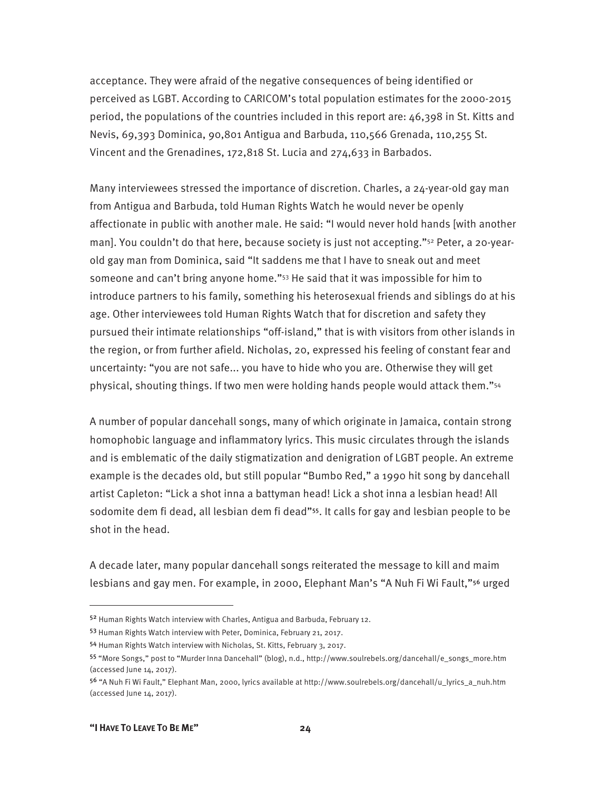acceptance. They were afraid of the negative consequences of being identified or perceived as LGBT. According to CARICOM's total population estimates for the 2000-2015 period, the populations of the countries included in this report are: 46,398 in St. Kitts and Nevis, 69,393 Dominica, 90,801 Antigua and Barbuda, 110,566 Grenada, 110,255 St. Vincent and the Grenadines, 172,818 St. Lucia and 274,633 in Barbados.

Many interviewees stressed the importance of discretion. Charles, a 24-year-old gay man from Antigua and Barbuda, told Human Rights Watch he would never be openly affectionate in public with another male. He said: "I would never hold hands [with another man]. You couldn't do that here, because society is just not accepting."<sup>52</sup> Peter, a 20-yearold gay man from Dominica, said "It saddens me that I have to sneak out and meet someone and can't bring anyone home."53 He said that it was impossible for him to introduce partners to his family, something his heterosexual friends and siblings do at his age. Other interviewees told Human Rights Watch that for discretion and safety they pursued their intimate relationships "off-island," that is with visitors from other islands in the region, or from further afield. Nicholas, 20, expressed his feeling of constant fear and uncertainty: "you are not safe... you have to hide who you are. Otherwise they will get physical, shouting things. If two men were holding hands people would attack them."54

A number of popular dancehall songs, many of which originate in Jamaica, contain strong homophobic language and inflammatory lyrics. This music circulates through the islands and is emblematic of the daily stigmatization and denigration of LGBT people. An extreme example is the decades old, but still popular "Bumbo Red," a 1990 hit song by dancehall artist Capleton: "Lick a shot inna a battyman head! Lick a shot inna a lesbian head! All sodomite dem fi dead, all lesbian dem fi dead"55. It calls for gay and lesbian people to be shot in the head.

A decade later, many popular dancehall songs reiterated the message to kill and maim lesbians and gay men. For example, in 2000, Elephant Man's "A Nuh Fi Wi Fault,"56 urged

<sup>52</sup> Human Rights Watch interview with Charles, Antigua and Barbuda, February 12.

<sup>53</sup> Human Rights Watch interview with Peter, Dominica, February 21, 2017.

<sup>54</sup> Human Rights Watch interview with Nicholas, St. Kitts, February 3, 2017.

<sup>55</sup> "More Songs," post to "Murder Inna Dancehall" (blog), n.d., http://www.soulrebels.org/dancehall/e\_songs\_more.htm (accessed June 14, 2017).

<sup>56</sup> "A Nuh Fi Wi Fault," Elephant Man, 2000, lyrics available at http://www.soulrebels.org/dancehall/u\_lyrics\_a\_nuh.htm (accessed June 14, 2017).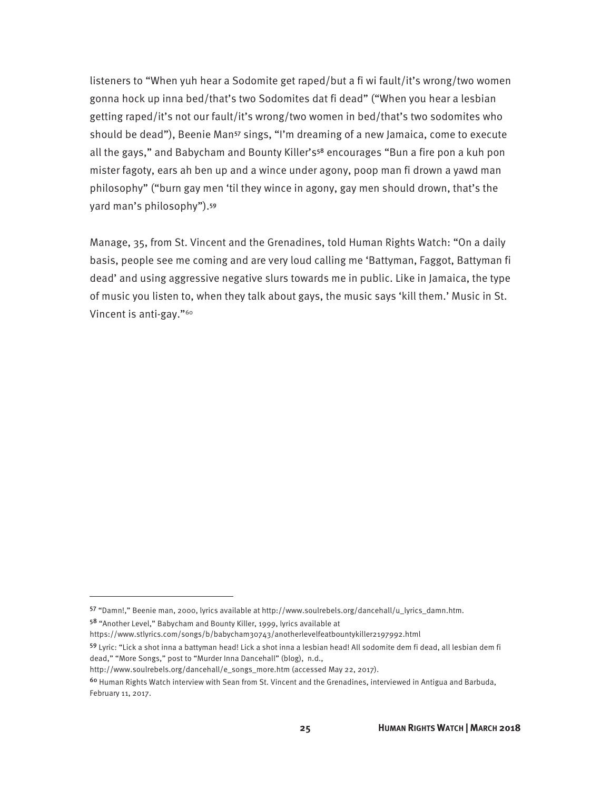listeners to "When yuh hear a Sodomite get raped/but a fi wi fault/it's wrong/two women gonna hock up inna bed/that's two Sodomites dat fi dead" ("When you hear a lesbian getting raped/it's not our fault/it's wrong/two women in bed/that's two sodomites who should be dead"), Beenie Man<sup>57</sup> sings, "I'm dreaming of a new Jamaica, come to execute all the gays," and Babycham and Bounty Killer's<sup>58</sup> encourages "Bun a fire pon a kuh pon mister fagoty, ears ah ben up and a wince under agony, poop man fi drown a yawd man philosophy" ("burn gay men 'til they wince in agony, gay men should drown, that's the yard man's philosophy").<sup>59</sup>

Manage, 35, from St. Vincent and the Grenadines, told Human Rights Watch: "On a daily basis, people see me coming and are very loud calling me 'Battyman, Faggot, Battyman fi dead' and using aggressive negative slurs towards me in public. Like in Jamaica, the type of music you listen to, when they talk about gays, the music says 'kill them.' Music in St. Vincent is anti-gay."60

<sup>57</sup> "Damn!," Beenie man, 2000, lyrics available at http://www.soulrebels.org/dancehall/u\_lyrics\_damn.htm.

<sup>58</sup> "Another Level," Babycham and Bounty Killer, 1999, lyrics available at

https://www.stlyrics.com/songs/b/babycham30743/anotherlevelfeatbountykiller2197992.html

<sup>59</sup> Lyric: "Lick a shot inna a battyman head! Lick a shot inna a lesbian head! All sodomite dem fi dead, all lesbian dem fi dead," "More Songs," post to "Murder Inna Dancehall" (blog), n.d.,

http://www.soulrebels.org/dancehall/e\_songs\_more.htm (accessed May 22, 2017).

<sup>&</sup>lt;sup>60</sup> Human Rights Watch interview with Sean from St. Vincent and the Grenadines, interviewed in Antigua and Barbuda, February 11, 2017.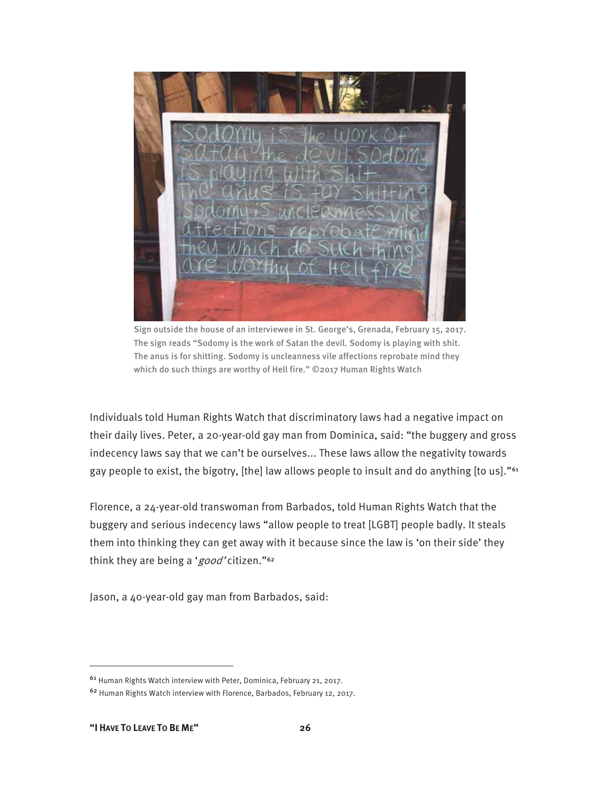

Sign outside the house of an interviewee in St. George's, Grenada, February 15, 2017. The sign reads "Sodomy is the work of Satan the devil. Sodomy is playing with shit. The anus is for shitting. Sodomy is uncleanness vile affections reprobate mind they which do such things are worthy of Hell fire." ©2017 Human Rights Watch

Individuals told Human Rights Watch that discriminatory laws had a negative impact on their daily lives. Peter, a 20-year-old gay man from Dominica, said: "the buggery and gross indecency laws say that we can't be ourselves... These laws allow the negativity towards gay people to exist, the bigotry, [the] law allows people to insult and do anything [to us]."<sup>61</sup>

Florence, a 24-year-old transwoman from Barbados, told Human Rights Watch that the buggery and serious indecency laws "allow people to treat [LGBT] people badly. It steals them into thinking they can get away with it because since the law is 'on their side' they think they are being a 'good' citizen."<sup>62</sup>

Jason, a 40-year-old gay man from Barbados, said:

<sup>61</sup> Human Rights Watch interview with Peter, Dominica, February 21, 2017.

<sup>62</sup> Human Rights Watch interview with Florence, Barbados, February 12, 2017.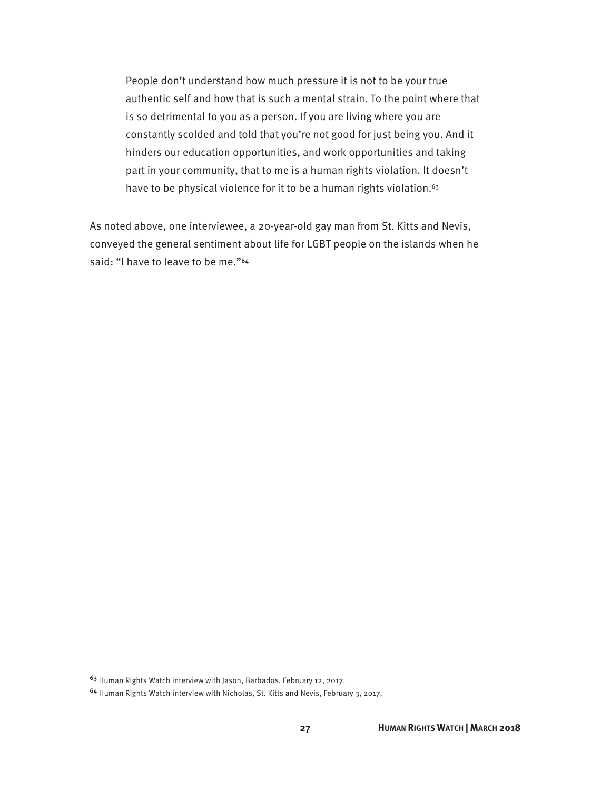People don't understand how much pressure it is not to be your true authentic self and how that is such a mental strain. To the point where that is so detrimental to you as a person. If you are living where you are constantly scolded and told that you're not good for just being you. And it hinders our education opportunities, and work opportunities and taking part in your community, that to me is a human rights violation. It doesn't have to be physical violence for it to be a human rights violation.<sup>63</sup>

As noted above, one interviewee, a 20-year-old gay man from St. Kitts and Nevis, conveyed the general sentiment about life for LGBT people on the islands when he said: "I have to leave to be me."<sup>64</sup>

<sup>63</sup> Human Rights Watch interview with Jason, Barbados, February 12, 2017.

<sup>64</sup> Human Rights Watch interview with Nicholas, St. Kitts and Nevis, February 3, 2017.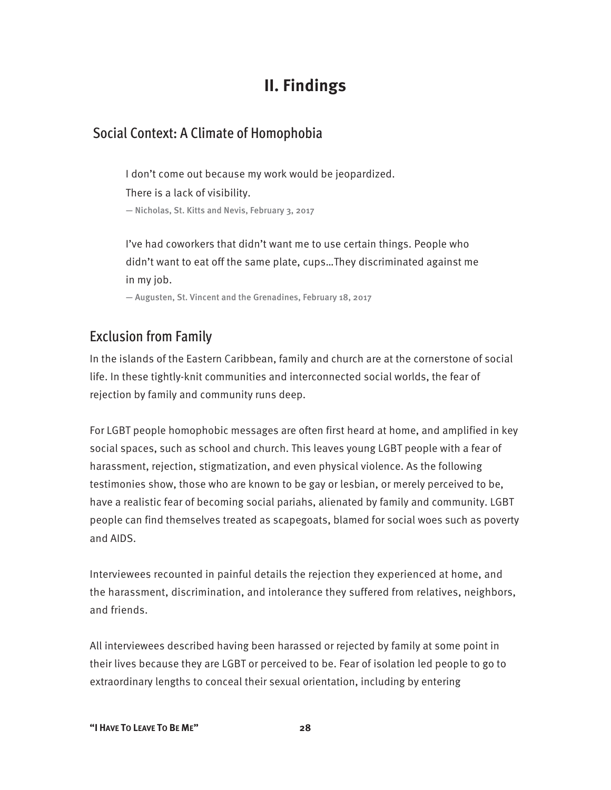# **II. Findings**

# Social Context: A Climate of Homophobia

I don't come out because my work would be jeopardized. There is a lack of visibility. — Nicholas, St. Kitts and Nevis, February 3, 2017

I've had coworkers that didn't want me to use certain things. People who didn't want to eat off the same plate, cups…They discriminated against me in my job.

— Augusten, St. Vincent and the Grenadines, February 18, 2017

# Exclusion from Family

In the islands of the Eastern Caribbean, family and church are at the cornerstone of social life. In these tightly-knit communities and interconnected social worlds, the fear of rejection by family and community runs deep.

For LGBT people homophobic messages are often first heard at home, and amplified in key social spaces, such as school and church. This leaves young LGBT people with a fear of harassment, rejection, stigmatization, and even physical violence. As the following testimonies show, those who are known to be gay or lesbian, or merely perceived to be, have a realistic fear of becoming social pariahs, alienated by family and community. LGBT people can find themselves treated as scapegoats, blamed for social woes such as poverty and AIDS.

Interviewees recounted in painful details the rejection they experienced at home, and the harassment, discrimination, and intolerance they suffered from relatives, neighbors, and friends.

All interviewees described having been harassed or rejected by family at some point in their lives because they are LGBT or perceived to be. Fear of isolation led people to go to extraordinary lengths to conceal their sexual orientation, including by entering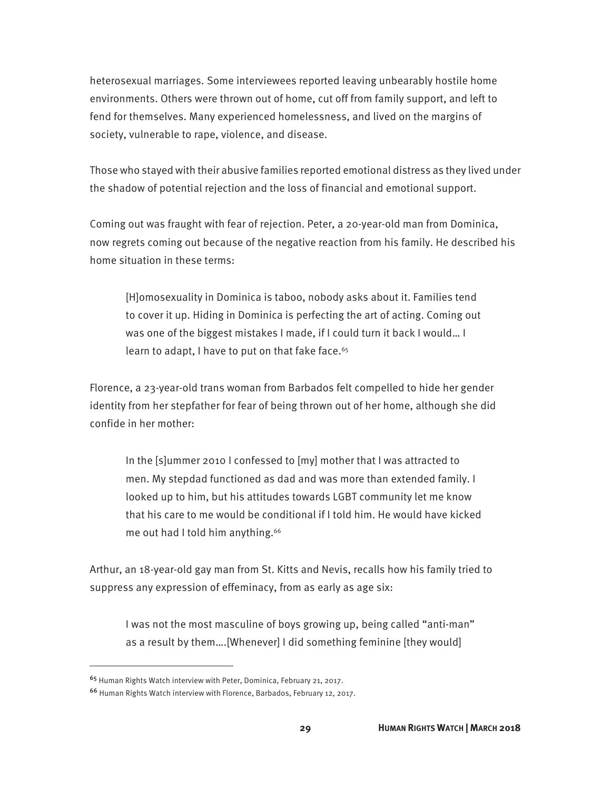heterosexual marriages. Some interviewees reported leaving unbearably hostile home environments. Others were thrown out of home, cut off from family support, and left to fend for themselves. Many experienced homelessness, and lived on the margins of society, vulnerable to rape, violence, and disease.

Those who stayed with their abusive families reported emotional distress as they lived under the shadow of potential rejection and the loss of financial and emotional support.

Coming out was fraught with fear of rejection. Peter, a 20-year-old man from Dominica, now regrets coming out because of the negative reaction from his family. He described his home situation in these terms:

[H]omosexuality in Dominica is taboo, nobody asks about it. Families tend to cover it up. Hiding in Dominica is perfecting the art of acting. Coming out was one of the biggest mistakes I made, if I could turn it back I would… I learn to adapt, I have to put on that fake face.<sup>65</sup>

Florence, a 23-year-old trans woman from Barbados felt compelled to hide her gender identity from her stepfather for fear of being thrown out of her home, although she did confide in her mother:

In the [s]ummer 2010 I confessed to [my] mother that I was attracted to men. My stepdad functioned as dad and was more than extended family. I looked up to him, but his attitudes towards LGBT community let me know that his care to me would be conditional if I told him. He would have kicked me out had I told him anything.<sup>66</sup>

Arthur, an 18-year-old gay man from St. Kitts and Nevis, recalls how his family tried to suppress any expression of effeminacy, from as early as age six:

I was not the most masculine of boys growing up, being called "anti-man" as a result by them….[Whenever] I did something feminine [they would]

<sup>65</sup> Human Rights Watch interview with Peter, Dominica, February 21, 2017.

<sup>66</sup> Human Rights Watch interview with Florence, Barbados, February 12, 2017.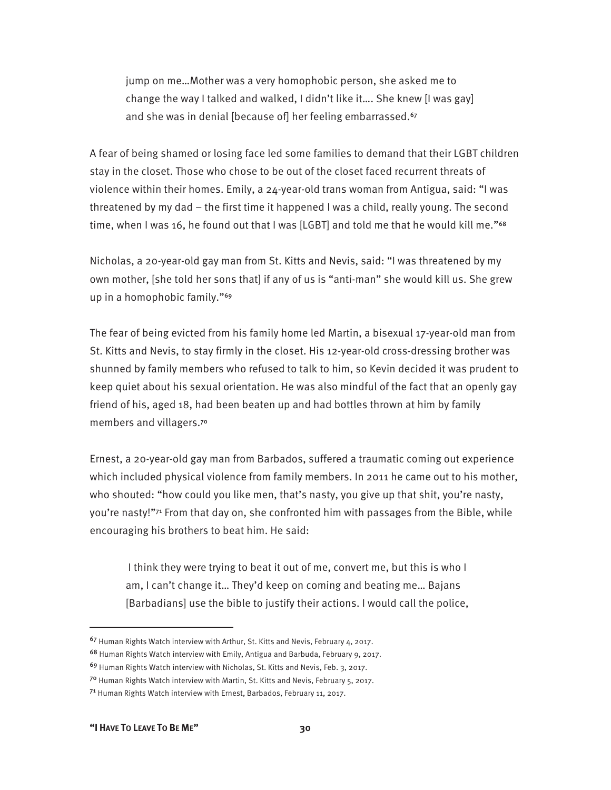jump on me…Mother was a very homophobic person, she asked me to change the way I talked and walked, I didn't like it…. She knew [I was gay] and she was in denial [because of] her feeling embarrassed.<sup>67</sup>

A fear of being shamed or losing face led some families to demand that their LGBT children stay in the closet. Those who chose to be out of the closet faced recurrent threats of violence within their homes. Emily, a 24-year-old trans woman from Antigua, said: "I was threatened by my dad – the first time it happened I was a child, really young. The second time, when I was 16, he found out that I was [LGBT] and told me that he would kill me."<sup>68</sup>

Nicholas, a 20-year-old gay man from St. Kitts and Nevis, said: "I was threatened by my own mother, [she told her sons that] if any of us is "anti-man" she would kill us. She grew up in a homophobic family."<sup>69</sup>

The fear of being evicted from his family home led Martin, a bisexual 17-year-old man from St. Kitts and Nevis, to stay firmly in the closet. His 12-year-old cross-dressing brother was shunned by family members who refused to talk to him, so Kevin decided it was prudent to keep quiet about his sexual orientation. He was also mindful of the fact that an openly gay friend of his, aged 18, had been beaten up and had bottles thrown at him by family members and villagers.<sup>70</sup>

Ernest, a 20-year-old gay man from Barbados, suffered a traumatic coming out experience which included physical violence from family members. In 2011 he came out to his mother, who shouted: "how could you like men, that's nasty, you give up that shit, you're nasty, you're nasty!"71 From that day on, she confronted him with passages from the Bible, while encouraging his brothers to beat him. He said:

 I think they were trying to beat it out of me, convert me, but this is who I am, I can't change it… They'd keep on coming and beating me… Bajans [Barbadians] use the bible to justify their actions. I would call the police,

**"I HAVE TO LEAVE TO BE ME" 30** 

-

<sup>67</sup> Human Rights Watch interview with Arthur, St. Kitts and Nevis, February 4, 2017.

<sup>68</sup> Human Rights Watch interview with Emily, Antigua and Barbuda, February 9, 2017.

<sup>69</sup> Human Rights Watch interview with Nicholas, St. Kitts and Nevis, Feb. 3, 2017.

<sup>7</sup>º Human Rights Watch interview with Martin, St. Kitts and Nevis, February 5, 2017.

<sup>71</sup> Human Rights Watch interview with Ernest, Barbados, February 11, 2017.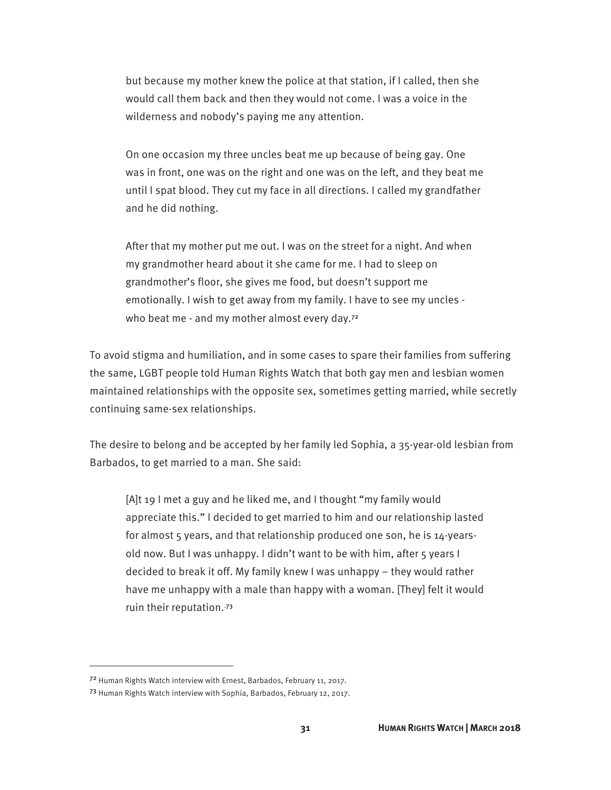but because my mother knew the police at that station, if I called, then she would call them back and then they would not come. I was a voice in the wilderness and nobody's paying me any attention.

On one occasion my three uncles beat me up because of being gay. One was in front, one was on the right and one was on the left, and they beat me until I spat blood. They cut my face in all directions. I called my grandfather and he did nothing.

After that my mother put me out. I was on the street for a night. And when my grandmother heard about it she came for me. I had to sleep on grandmother's floor, she gives me food, but doesn't support me emotionally. I wish to get away from my family. I have to see my uncles who beat me - and my mother almost every day.<sup>72</sup>

To avoid stigma and humiliation, and in some cases to spare their families from suffering the same, LGBT people told Human Rights Watch that both gay men and lesbian women maintained relationships with the opposite sex, sometimes getting married, while secretly continuing same-sex relationships.

The desire to belong and be accepted by her family led Sophia, a 35-year-old lesbian from Barbados, to get married to a man. She said:

[A]t 19 I met a guy and he liked me, and I thought "my family would appreciate this." I decided to get married to him and our relationship lasted for almost 5 years, and that relationship produced one son, he is 14-yearsold now. But I was unhappy. I didn't want to be with him, after 5 years I decided to break it off. My family knew I was unhappy – they would rather have me unhappy with a male than happy with a woman. [They] felt it would ruin their reputation.<sup>73</sup>

<sup>72</sup> Human Rights Watch interview with Ernest, Barbados, February 11, 2017.

<sup>73</sup> Human Rights Watch interview with Sophia, Barbados, February 12, 2017.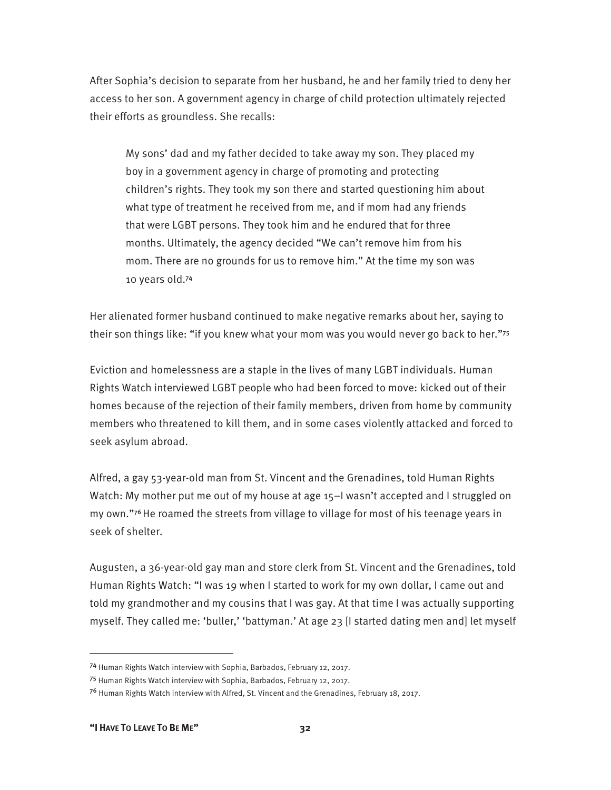After Sophia's decision to separate from her husband, he and her family tried to deny her access to her son. A government agency in charge of child protection ultimately rejected their efforts as groundless. She recalls:

My sons' dad and my father decided to take away my son. They placed my boy in a government agency in charge of promoting and protecting children's rights. They took my son there and started questioning him about what type of treatment he received from me, and if mom had any friends that were LGBT persons. They took him and he endured that for three months. Ultimately, the agency decided "We can't remove him from his mom. There are no grounds for us to remove him." At the time my son was 10 years old.<sup>74</sup>

Her alienated former husband continued to make negative remarks about her, saying to their son things like: "if you knew what your mom was you would never go back to her."<sup>75</sup>

Eviction and homelessness are a staple in the lives of many LGBT individuals. Human Rights Watch interviewed LGBT people who had been forced to move: kicked out of their homes because of the rejection of their family members, driven from home by community members who threatened to kill them, and in some cases violently attacked and forced to seek asylum abroad.

Alfred, a gay 53-year-old man from St. Vincent and the Grenadines, told Human Rights Watch: My mother put me out of my house at age 15-I wasn't accepted and I struggled on my own."76 He roamed the streets from village to village for most of his teenage years in seek of shelter.

Augusten, a 36-year-old gay man and store clerk from St. Vincent and the Grenadines, told Human Rights Watch: "I was 19 when I started to work for my own dollar, I came out and told my grandmother and my cousins that I was gay. At that time I was actually supporting myself. They called me: 'buller,' 'battyman.' At age 23 [I started dating men and] let myself

<sup>74</sup> Human Rights Watch interview with Sophia, Barbados, February 12, 2017.

<sup>75</sup> Human Rights Watch interview with Sophia, Barbados, February 12, 2017.

<sup>76</sup> Human Rights Watch interview with Alfred, St. Vincent and the Grenadines, February 18, 2017.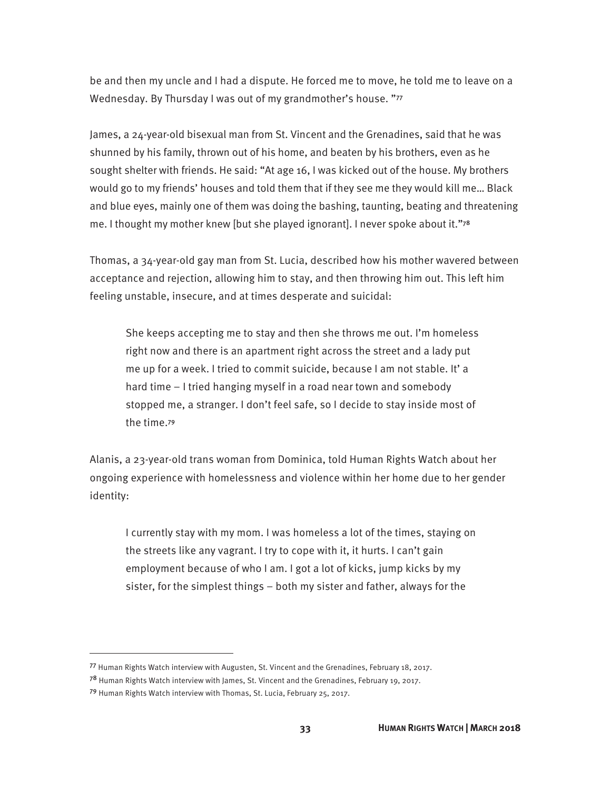be and then my uncle and I had a dispute. He forced me to move, he told me to leave on a Wednesday. By Thursday I was out of my grandmother's house. "77

James, a 24-year-old bisexual man from St. Vincent and the Grenadines, said that he was shunned by his family, thrown out of his home, and beaten by his brothers, even as he sought shelter with friends. He said: "At age 16, I was kicked out of the house. My brothers would go to my friends' houses and told them that if they see me they would kill me… Black and blue eyes, mainly one of them was doing the bashing, taunting, beating and threatening me. I thought my mother knew [but she played ignorant]. I never spoke about it."<sup>78</sup>

Thomas, a 34-year-old gay man from St. Lucia, described how his mother wavered between acceptance and rejection, allowing him to stay, and then throwing him out. This left him feeling unstable, insecure, and at times desperate and suicidal:

She keeps accepting me to stay and then she throws me out. I'm homeless right now and there is an apartment right across the street and a lady put me up for a week. I tried to commit suicide, because I am not stable. It' a hard time – I tried hanging myself in a road near town and somebody stopped me, a stranger. I don't feel safe, so I decide to stay inside most of the time.<sup>79</sup>

Alanis, a 23-year-old trans woman from Dominica, told Human Rights Watch about her ongoing experience with homelessness and violence within her home due to her gender identity:

I currently stay with my mom. I was homeless a lot of the times, staying on the streets like any vagrant. I try to cope with it, it hurts. I can't gain employment because of who I am. I got a lot of kicks, jump kicks by my sister, for the simplest things – both my sister and father, always for the

<sup>77</sup> Human Rights Watch interview with Augusten, St. Vincent and the Grenadines, February 18, 2017.

<sup>78</sup> Human Rights Watch interview with James, St. Vincent and the Grenadines, February 19, 2017.

<sup>79</sup> Human Rights Watch interview with Thomas, St. Lucia, February 25, 2017.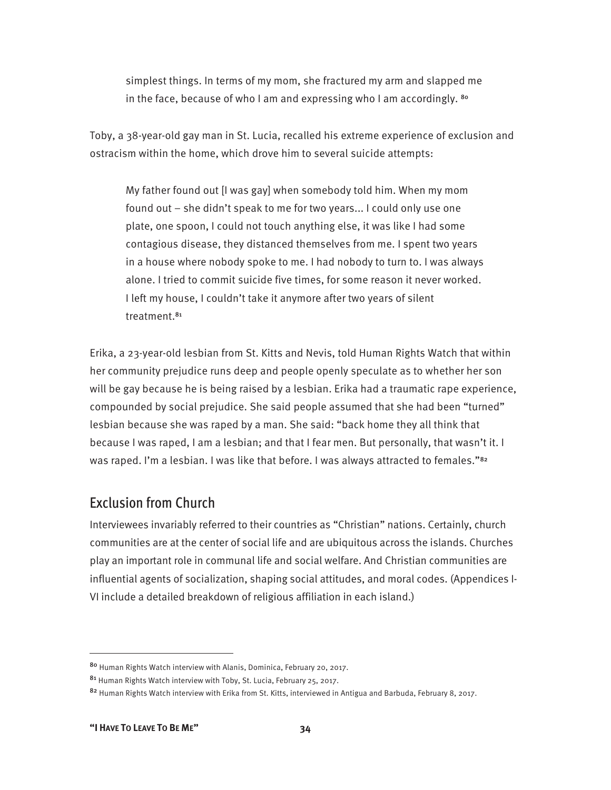simplest things. In terms of my mom, she fractured my arm and slapped me in the face, because of who I am and expressing who I am accordingly. 80

Toby, a 38-year-old gay man in St. Lucia, recalled his extreme experience of exclusion and ostracism within the home, which drove him to several suicide attempts:

My father found out [I was gay] when somebody told him. When my mom found out – she didn't speak to me for two years... I could only use one plate, one spoon, I could not touch anything else, it was like I had some contagious disease, they distanced themselves from me. I spent two years in a house where nobody spoke to me. I had nobody to turn to. I was always alone. I tried to commit suicide five times, for some reason it never worked. I left my house, I couldn't take it anymore after two years of silent treatment.<sup>81</sup>

Erika, a 23-year-old lesbian from St. Kitts and Nevis, told Human Rights Watch that within her community prejudice runs deep and people openly speculate as to whether her son will be gay because he is being raised by a lesbian. Erika had a traumatic rape experience, compounded by social prejudice. She said people assumed that she had been "turned" lesbian because she was raped by a man. She said: "back home they all think that because I was raped, I am a lesbian; and that I fear men. But personally, that wasn't it. I was raped. I'm a lesbian. I was like that before. I was always attracted to females."<sup>82</sup>

## Exclusion from Church

Interviewees invariably referred to their countries as "Christian" nations. Certainly, church communities are at the center of social life and are ubiquitous across the islands. Churches play an important role in communal life and social welfare. And Christian communities are influential agents of socialization, shaping social attitudes, and moral codes. (Appendices I-VI include a detailed breakdown of religious affiliation in each island.)

<sup>80</sup> Human Rights Watch interview with Alanis, Dominica, February 20, 2017.

<sup>81</sup> Human Rights Watch interview with Toby, St. Lucia, February 25, 2017.

<sup>82</sup> Human Rights Watch interview with Erika from St. Kitts, interviewed in Antigua and Barbuda, February 8, 2017.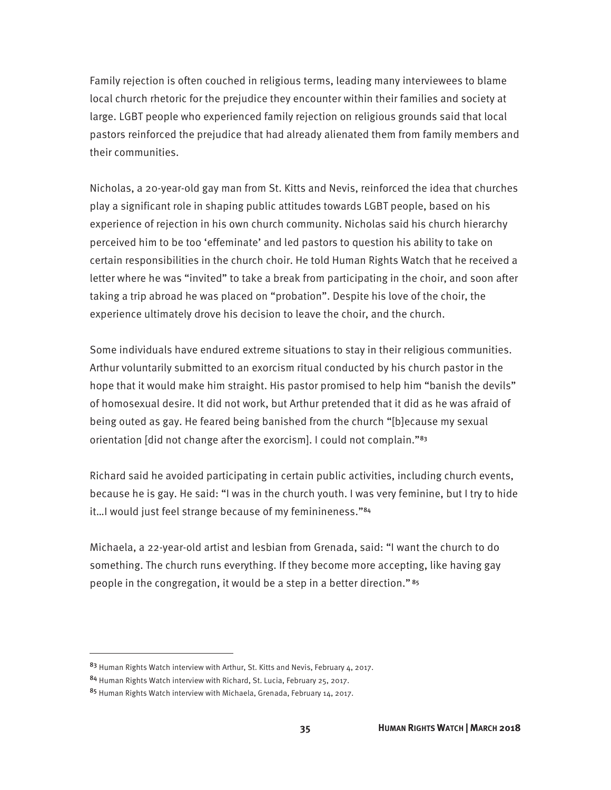Family rejection is often couched in religious terms, leading many interviewees to blame local church rhetoric for the prejudice they encounter within their families and society at large. LGBT people who experienced family rejection on religious grounds said that local pastors reinforced the prejudice that had already alienated them from family members and their communities.

Nicholas, a 20-year-old gay man from St. Kitts and Nevis, reinforced the idea that churches play a significant role in shaping public attitudes towards LGBT people, based on his experience of rejection in his own church community. Nicholas said his church hierarchy perceived him to be too 'effeminate' and led pastors to question his ability to take on certain responsibilities in the church choir. He told Human Rights Watch that he received a letter where he was "invited" to take a break from participating in the choir, and soon after taking a trip abroad he was placed on "probation". Despite his love of the choir, the experience ultimately drove his decision to leave the choir, and the church.

Some individuals have endured extreme situations to stay in their religious communities. Arthur voluntarily submitted to an exorcism ritual conducted by his church pastor in the hope that it would make him straight. His pastor promised to help him "banish the devils" of homosexual desire. It did not work, but Arthur pretended that it did as he was afraid of being outed as gay. He feared being banished from the church "[b]ecause my sexual orientation [did not change after the exorcism]. I could not complain."<sup>83</sup>

Richard said he avoided participating in certain public activities, including church events, because he is gay. He said: "I was in the church youth. I was very feminine, but I try to hide it...I would just feel strange because of my feminineness."<sup>84</sup>

Michaela, a 22-year-old artist and lesbian from Grenada, said: "I want the church to do something. The church runs everything. If they become more accepting, like having gay people in the congregation, it would be a step in a better direction."<sup>85</sup>

<sup>83</sup> Human Rights Watch interview with Arthur, St. Kitts and Nevis, February 4, 2017.

<sup>84</sup> Human Rights Watch interview with Richard, St. Lucia, February 25, 2017.

<sup>85</sup> Human Rights Watch interview with Michaela, Grenada, February 14, 2017.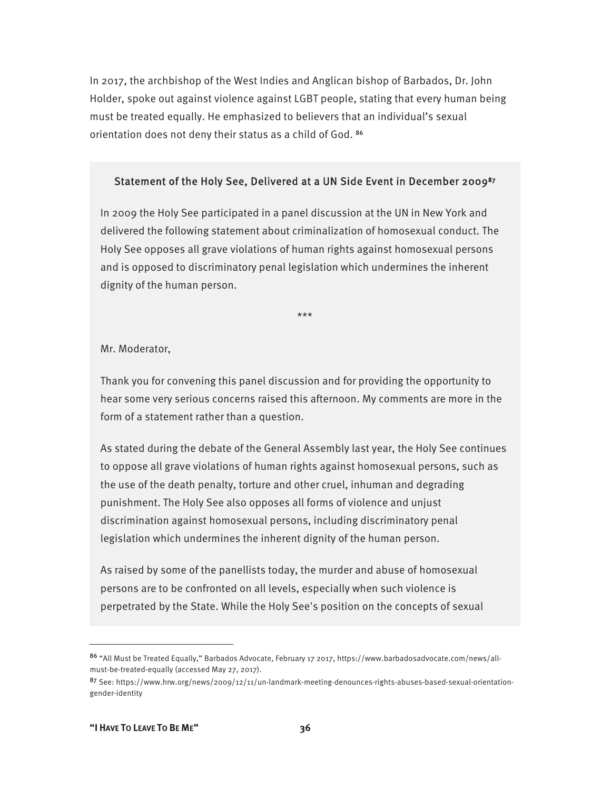In 2017, the archbishop of the West Indies and Anglican bishop of Barbados, Dr. John Holder, spoke out against violence against LGBT people, stating that every human being must be treated equally. He emphasized to believers that an individual's sexual orientation does not deny their status as a child of God. <sup>86</sup>

#### Statement of the Holy See, Delivered at a UN Side Event in December 2009<sup>87</sup>

In 2009 the Holy See participated in a panel discussion at the UN in New York and delivered the following statement about criminalization of homosexual conduct. The Holy See opposes all grave violations of human rights against homosexual persons and is opposed to discriminatory penal legislation which undermines the inherent dignity of the human person.

\*\*\*

Mr. Moderator,

Thank you for convening this panel discussion and for providing the opportunity to hear some very serious concerns raised this afternoon. My comments are more in the form of a statement rather than a question.

As stated during the debate of the General Assembly last year, the Holy See continues to oppose all grave violations of human rights against homosexual persons, such as the use of the death penalty, torture and other cruel, inhuman and degrading punishment. The Holy See also opposes all forms of violence and unjust discrimination against homosexual persons, including discriminatory penal legislation which undermines the inherent dignity of the human person.

As raised by some of the panellists today, the murder and abuse of homosexual persons are to be confronted on all levels, especially when such violence is perpetrated by the State. While the Holy See's position on the concepts of sexual

<sup>86</sup> "All Must be Treated Equally," Barbados Advocate, February 17 2017, https://www.barbadosadvocate.com/news/allmust-be-treated-equally (accessed May 27, 2017).

<sup>87</sup> See: https://www.hrw.org/news/2009/12/11/un-landmark-meeting-denounces-rights-abuses-based-sexual-orientationgender-identity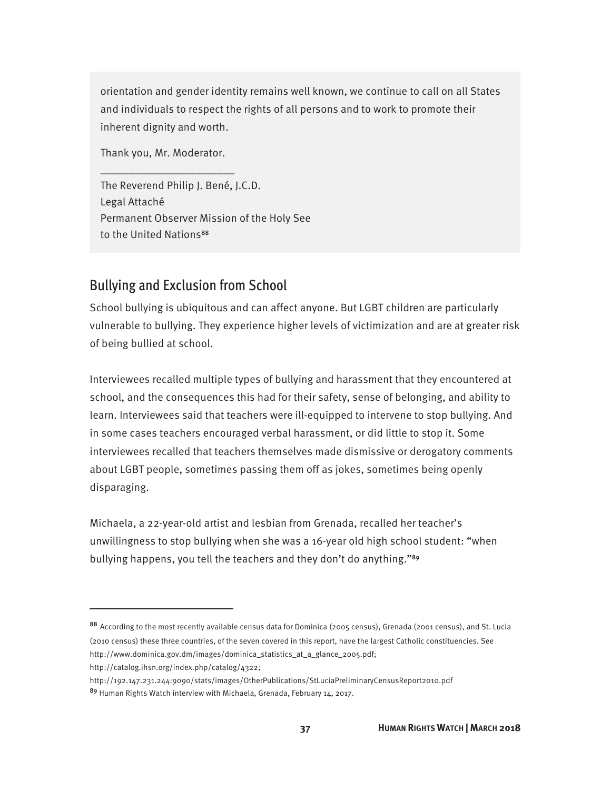orientation and gender identity remains well known, we continue to call on all States and individuals to respect the rights of all persons and to work to promote their inherent dignity and worth.

Thank you, Mr. Moderator.

\_\_\_\_\_\_\_\_\_\_\_\_\_\_\_\_\_\_\_\_\_\_\_\_

The Reverend Philip J. Bené, J.C.D. Legal Attaché Permanent Observer Mission of the Holy See to the United Nations<sup>88</sup>

## Bullying and Exclusion from School

School bullying is ubiquitous and can affect anyone. But LGBT children are particularly vulnerable to bullying. They experience higher levels of victimization and are at greater risk of being bullied at school.

Interviewees recalled multiple types of bullying and harassment that they encountered at school, and the consequences this had for their safety, sense of belonging, and ability to learn. Interviewees said that teachers were ill-equipped to intervene to stop bullying. And in some cases teachers encouraged verbal harassment, or did little to stop it. Some interviewees recalled that teachers themselves made dismissive or derogatory comments about LGBT people, sometimes passing them off as jokes, sometimes being openly disparaging.

Michaela, a 22-year-old artist and lesbian from Grenada, recalled her teacher's unwillingness to stop bullying when she was a 16-year old high school student: "when bullying happens, you tell the teachers and they don't do anything."<sup>89</sup>

http://catalog.ihsn.org/index.php/catalog/4322;

 $\overline{a}$ 

http://192.147.231.244:9090/stats/images/OtherPublications/StLuciaPreliminaryCensusReport2010.pdf 89 Human Rights Watch interview with Michaela, Grenada, February 14, 2017.

<sup>88</sup> According to the most recently available census data for Dominica (2005 census), Grenada (2001 census), and St. Lucia (2010 census) these three countries, of the seven covered in this report, have the largest Catholic constituencies. See http://www.dominica.gov.dm/images/dominica\_statistics\_at\_a\_glance\_2005.pdf;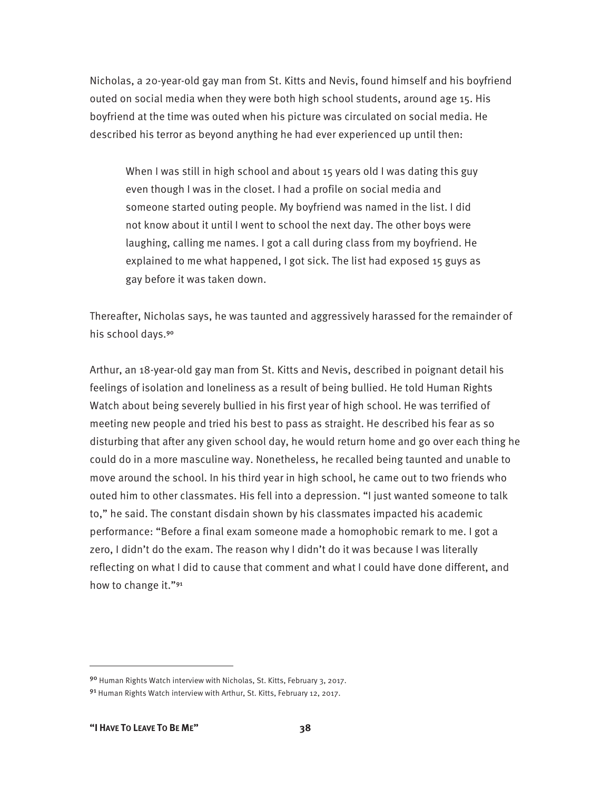Nicholas, a 20-year-old gay man from St. Kitts and Nevis, found himself and his boyfriend outed on social media when they were both high school students, around age 15. His boyfriend at the time was outed when his picture was circulated on social media. He described his terror as beyond anything he had ever experienced up until then:

When I was still in high school and about 15 years old I was dating this guy even though I was in the closet. I had a profile on social media and someone started outing people. My boyfriend was named in the list. I did not know about it until I went to school the next day. The other boys were laughing, calling me names. I got a call during class from my boyfriend. He explained to me what happened, I got sick. The list had exposed 15 guys as gay before it was taken down.

Thereafter, Nicholas says, he was taunted and aggressively harassed for the remainder of his school days.<sup>90</sup>

Arthur, an 18-year-old gay man from St. Kitts and Nevis, described in poignant detail his feelings of isolation and loneliness as a result of being bullied. He told Human Rights Watch about being severely bullied in his first year of high school. He was terrified of meeting new people and tried his best to pass as straight. He described his fear as so disturbing that after any given school day, he would return home and go over each thing he could do in a more masculine way. Nonetheless, he recalled being taunted and unable to move around the school. In his third year in high school, he came out to two friends who outed him to other classmates. His fell into a depression. "I just wanted someone to talk to," he said. The constant disdain shown by his classmates impacted his academic performance: "Before a final exam someone made a homophobic remark to me. I got a zero, I didn't do the exam. The reason why I didn't do it was because I was literally reflecting on what I did to cause that comment and what I could have done different, and how to change it."<sup>91</sup>

<sup>90</sup> Human Rights Watch interview with Nicholas, St. Kitts, February 3, 2017.

<sup>9&</sup>lt;sup>1</sup> Human Rights Watch interview with Arthur, St. Kitts, February 12, 2017.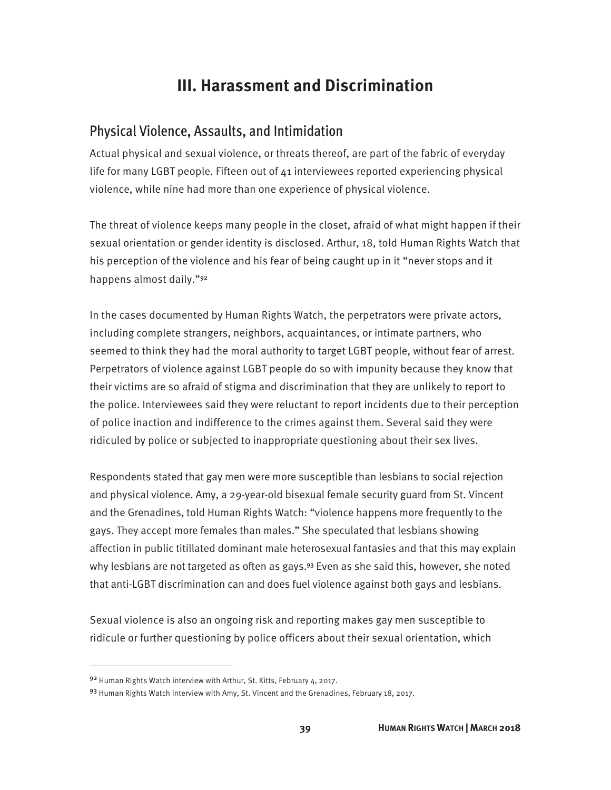# **III. Harassment and Discrimination**

#### Physical Violence, Assaults, and Intimidation

Actual physical and sexual violence, or threats thereof, are part of the fabric of everyday life for many LGBT people. Fifteen out of 41 interviewees reported experiencing physical violence, while nine had more than one experience of physical violence.

The threat of violence keeps many people in the closet, afraid of what might happen if their sexual orientation or gender identity is disclosed. Arthur, 18, told Human Rights Watch that his perception of the violence and his fear of being caught up in it "never stops and it happens almost daily."<sup>92</sup>

In the cases documented by Human Rights Watch, the perpetrators were private actors, including complete strangers, neighbors, acquaintances, or intimate partners, who seemed to think they had the moral authority to target LGBT people, without fear of arrest. Perpetrators of violence against LGBT people do so with impunity because they know that their victims are so afraid of stigma and discrimination that they are unlikely to report to the police. Interviewees said they were reluctant to report incidents due to their perception of police inaction and indifference to the crimes against them. Several said they were ridiculed by police or subjected to inappropriate questioning about their sex lives.

Respondents stated that gay men were more susceptible than lesbians to social rejection and physical violence. Amy, a 29-year-old bisexual female security guard from St. Vincent and the Grenadines, told Human Rights Watch: "violence happens more frequently to the gays. They accept more females than males." She speculated that lesbians showing affection in public titillated dominant male heterosexual fantasies and that this may explain why lesbians are not targeted as often as gays.<sup>93</sup> Even as she said this, however, she noted that anti-LGBT discrimination can and does fuel violence against both gays and lesbians.

Sexual violence is also an ongoing risk and reporting makes gay men susceptible to ridicule or further questioning by police officers about their sexual orientation, which

<sup>92</sup> Human Rights Watch interview with Arthur, St. Kitts, February 4, 2017.

<sup>93</sup> Human Rights Watch interview with Amy, St. Vincent and the Grenadines, February 18, 2017.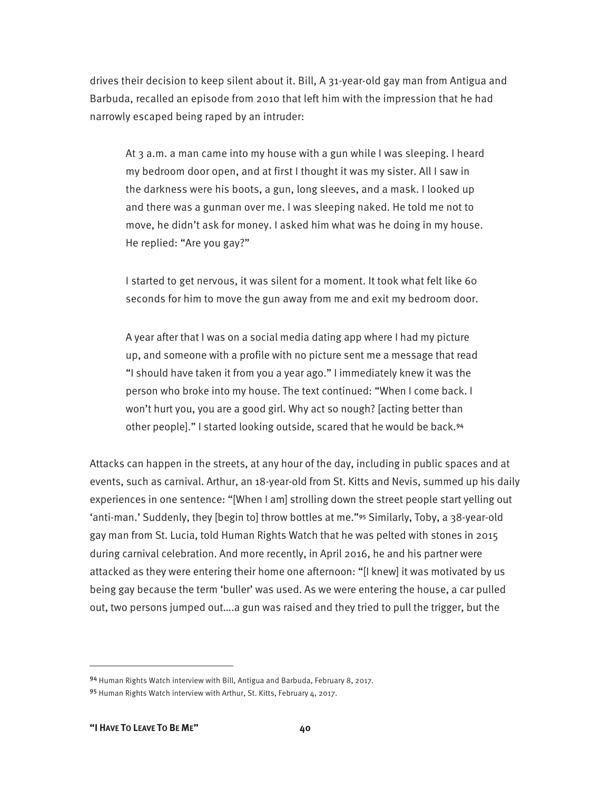drives their decision to keep silent about it. Bill, A 31-year-old gay man from Antigua and Barbuda, recalled an episode from 2010 that left him with the impression that he had narrowly escaped being raped by an intruder:

At 3 a.m. a man came into my house with a gun while I was sleeping. I heard my bedroom door open, and at first I thought it was my sister. All I saw in the darkness were his boots, a gun, long sleeves, and a mask. I looked up and there was a gunman over me. I was sleeping naked. He told me not to move, he didn't ask for money. I asked him what was he doing in my house. He replied: "Are you gay?"

I started to get nervous, it was silent for a moment. It took what felt like 60 seconds for him to move the gun away from me and exit my bedroom door.

A year after that I was on a social media dating app where I had my picture up, and someone with a profile with no picture sent me a message that read "I should have taken it from you a year ago." I immediately knew it was the person who broke into my house. The text continued: "When I come back. I won't hurt you, you are a good girl. Why act so nough? [acting better than other people]." I started looking outside, scared that he would be back.<sup>94</sup>

Attacks can happen in the streets, at any hour of the day, including in public spaces and at events, such as carnival. Arthur, an 18-year-old from St. Kitts and Nevis, summed up his daily experiences in one sentence: "[When I am] strolling down the street people start yelling out 'anti-man.' Suddenly, they [begin to] throw bottles at me."95 Similarly, Toby, a 38-year-old gay man from St. Lucia, told Human Rights Watch that he was pelted with stones in 2015 during carnival celebration. And more recently, in April 2016, he and his partner were attacked as they were entering their home one afternoon: "[I knew] it was motivated by us being gay because the term 'buller' was used. As we were entering the house, a car pulled out, two persons jumped out….a gun was raised and they tried to pull the trigger, but the

<sup>94</sup> Human Rights Watch interview with Bill, Antigua and Barbuda, February 8, 2017.

<sup>95</sup> Human Rights Watch interview with Arthur, St. Kitts, February 4, 2017.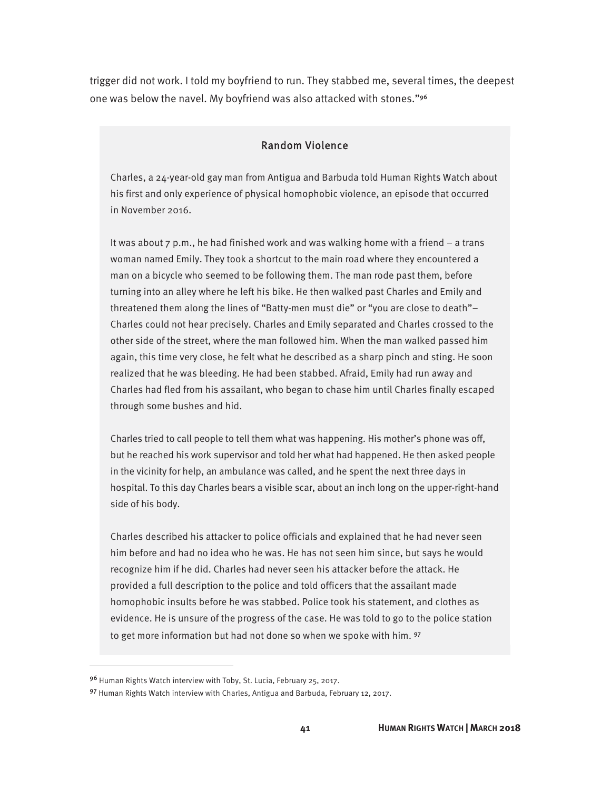trigger did not work. I told my boyfriend to run. They stabbed me, several times, the deepest one was below the navel. My boyfriend was also attacked with stones."<sup>96</sup>

#### Random Violence

Charles, a 24-year-old gay man from Antigua and Barbuda told Human Rights Watch about his first and only experience of physical homophobic violence, an episode that occurred in November 2016.

It was about  $7 \text{ p.m.}$ , he had finished work and was walking home with a friend – a trans woman named Emily. They took a shortcut to the main road where they encountered a man on a bicycle who seemed to be following them. The man rode past them, before turning into an alley where he left his bike. He then walked past Charles and Emily and threatened them along the lines of "Batty-men must die" or "you are close to death"– Charles could not hear precisely. Charles and Emily separated and Charles crossed to the other side of the street, where the man followed him. When the man walked passed him again, this time very close, he felt what he described as a sharp pinch and sting. He soon realized that he was bleeding. He had been stabbed. Afraid, Emily had run away and Charles had fled from his assailant, who began to chase him until Charles finally escaped through some bushes and hid.

Charles tried to call people to tell them what was happening. His mother's phone was off, but he reached his work supervisor and told her what had happened. He then asked people in the vicinity for help, an ambulance was called, and he spent the next three days in hospital. To this day Charles bears a visible scar, about an inch long on the upper-right-hand side of his body.

Charles described his attacker to police officials and explained that he had never seen him before and had no idea who he was. He has not seen him since, but says he would recognize him if he did. Charles had never seen his attacker before the attack. He provided a full description to the police and told officers that the assailant made homophobic insults before he was stabbed. Police took his statement, and clothes as evidence. He is unsure of the progress of the case. He was told to go to the police station to get more information but had not done so when we spoke with him. 97

<sup>96</sup> Human Rights Watch interview with Toby, St. Lucia, February 25, 2017.

<sup>97</sup> Human Rights Watch interview with Charles, Antigua and Barbuda, February 12, 2017.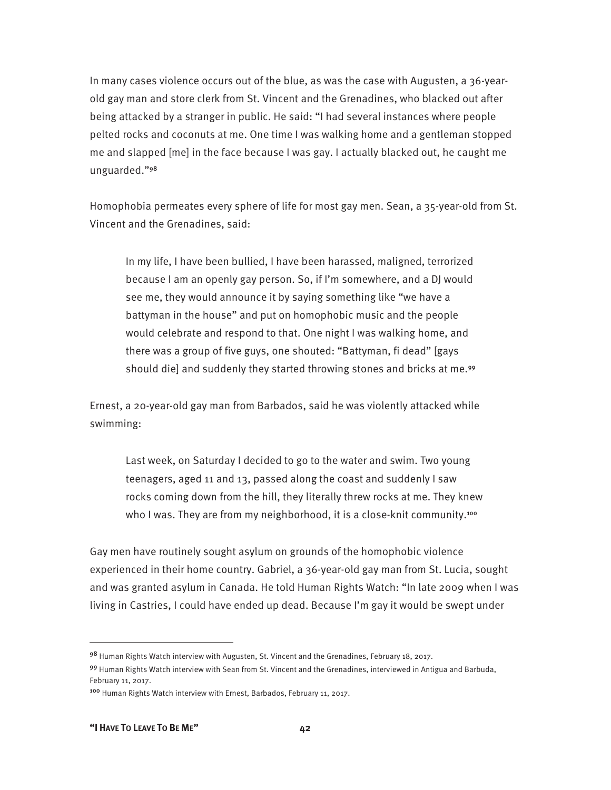In many cases violence occurs out of the blue, as was the case with Augusten, a 36-yearold gay man and store clerk from St. Vincent and the Grenadines, who blacked out after being attacked by a stranger in public. He said: "I had several instances where people pelted rocks and coconuts at me. One time I was walking home and a gentleman stopped me and slapped [me] in the face because I was gay. I actually blacked out, he caught me unguarded."<sup>98</sup>

Homophobia permeates every sphere of life for most gay men. Sean, a 35-year-old from St. Vincent and the Grenadines, said:

In my life, I have been bullied, I have been harassed, maligned, terrorized because I am an openly gay person. So, if I'm somewhere, and a DJ would see me, they would announce it by saying something like "we have a battyman in the house" and put on homophobic music and the people would celebrate and respond to that. One night I was walking home, and there was a group of five guys, one shouted: "Battyman, fi dead" [gays should die] and suddenly they started throwing stones and bricks at me.<sup>99</sup>

Ernest, a 20-year-old gay man from Barbados, said he was violently attacked while swimming:

Last week, on Saturday I decided to go to the water and swim. Two young teenagers, aged 11 and 13, passed along the coast and suddenly I saw rocks coming down from the hill, they literally threw rocks at me. They knew who I was. They are from my neighborhood, it is a close-knit community.<sup>100</sup>

Gay men have routinely sought asylum on grounds of the homophobic violence experienced in their home country. Gabriel, a 36-year-old gay man from St. Lucia, sought and was granted asylum in Canada. He told Human Rights Watch: "In late 2009 when I was living in Castries, I could have ended up dead. Because I'm gay it would be swept under

<sup>98</sup> Human Rights Watch interview with Augusten, St. Vincent and the Grenadines, February 18, 2017.

<sup>99</sup> Human Rights Watch interview with Sean from St. Vincent and the Grenadines, interviewed in Antigua and Barbuda, February 11, 2017.

<sup>100</sup> Human Rights Watch interview with Ernest, Barbados, February 11, 2017.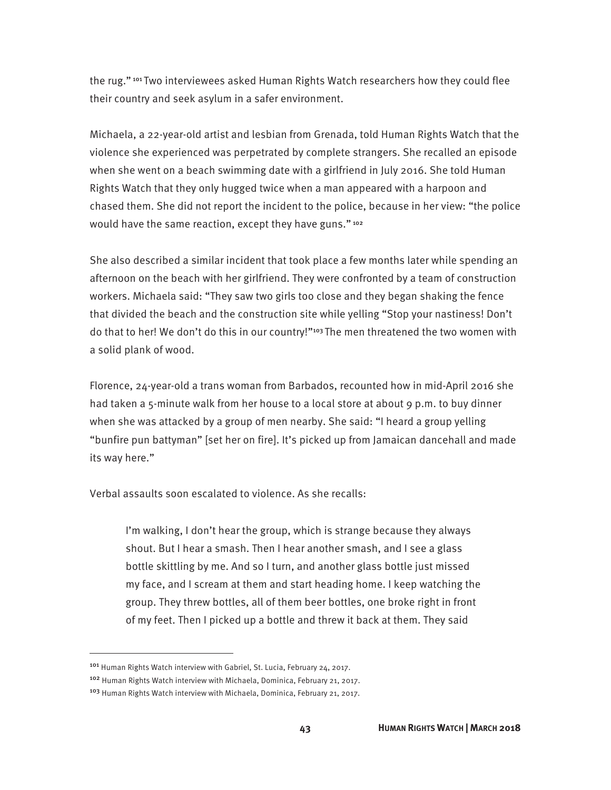the rug." 101 Two interviewees asked Human Rights Watch researchers how they could flee their country and seek asylum in a safer environment.

Michaela, a 22-year-old artist and lesbian from Grenada, told Human Rights Watch that the violence she experienced was perpetrated by complete strangers. She recalled an episode when she went on a beach swimming date with a girlfriend in July 2016. She told Human Rights Watch that they only hugged twice when a man appeared with a harpoon and chased them. She did not report the incident to the police, because in her view: "the police would have the same reaction, except they have guns."<sup>102</sup>

She also described a similar incident that took place a few months later while spending an afternoon on the beach with her girlfriend. They were confronted by a team of construction workers. Michaela said: "They saw two girls too close and they began shaking the fence that divided the beach and the construction site while yelling "Stop your nastiness! Don't do that to her! We don't do this in our country!"<sup>103</sup> The men threatened the two women with a solid plank of wood.

Florence, 24-year-old a trans woman from Barbados, recounted how in mid-April 2016 she had taken a 5-minute walk from her house to a local store at about 9 p.m. to buy dinner when she was attacked by a group of men nearby. She said: "I heard a group yelling "bunfire pun battyman" [set her on fire]. It's picked up from Jamaican dancehall and made its way here."

Verbal assaults soon escalated to violence. As she recalls:

I'm walking, I don't hear the group, which is strange because they always shout. But I hear a smash. Then I hear another smash, and I see a glass bottle skittling by me. And so I turn, and another glass bottle just missed my face, and I scream at them and start heading home. I keep watching the group. They threw bottles, all of them beer bottles, one broke right in front of my feet. Then I picked up a bottle and threw it back at them. They said

<sup>101</sup> Human Rights Watch interview with Gabriel, St. Lucia, February 24, 2017.

<sup>102</sup> Human Rights Watch interview with Michaela, Dominica, February 21, 2017.

<sup>103</sup> Human Rights Watch interview with Michaela, Dominica, February 21, 2017.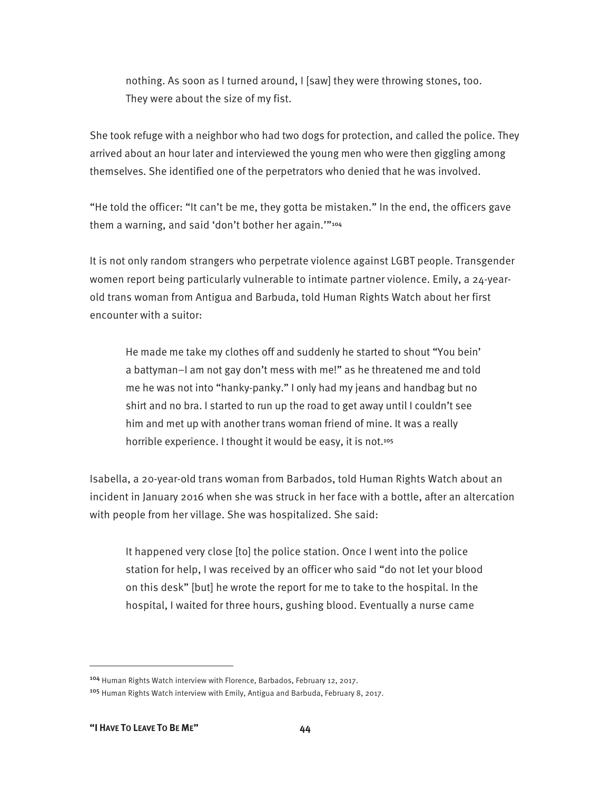nothing. As soon as I turned around, I [saw] they were throwing stones, too. They were about the size of my fist.

She took refuge with a neighbor who had two dogs for protection, and called the police. They arrived about an hour later and interviewed the young men who were then giggling among themselves. She identified one of the perpetrators who denied that he was involved.

"He told the officer: "It can't be me, they gotta be mistaken." In the end, the officers gave them a warning, and said 'don't bother her again.""104

It is not only random strangers who perpetrate violence against LGBT people. Transgender women report being particularly vulnerable to intimate partner violence. Emily, a 24-yearold trans woman from Antigua and Barbuda, told Human Rights Watch about her first encounter with a suitor:

He made me take my clothes off and suddenly he started to shout "You bein' a battyman–I am not gay don't mess with me!" as he threatened me and told me he was not into "hanky-panky." I only had my jeans and handbag but no shirt and no bra. I started to run up the road to get away until I couldn't see him and met up with another trans woman friend of mine. It was a really horrible experience. I thought it would be easy, it is not.<sup>105</sup>

Isabella, a 20-year-old trans woman from Barbados, told Human Rights Watch about an incident in January 2016 when she was struck in her face with a bottle, after an altercation with people from her village. She was hospitalized. She said:

It happened very close [to] the police station. Once I went into the police station for help, I was received by an officer who said "do not let your blood on this desk" [but] he wrote the report for me to take to the hospital. In the hospital, I waited for three hours, gushing blood. Eventually a nurse came

<sup>104</sup> Human Rights Watch interview with Florence, Barbados, February 12, 2017.

<sup>105</sup> Human Rights Watch interview with Emily, Antigua and Barbuda, February 8, 2017.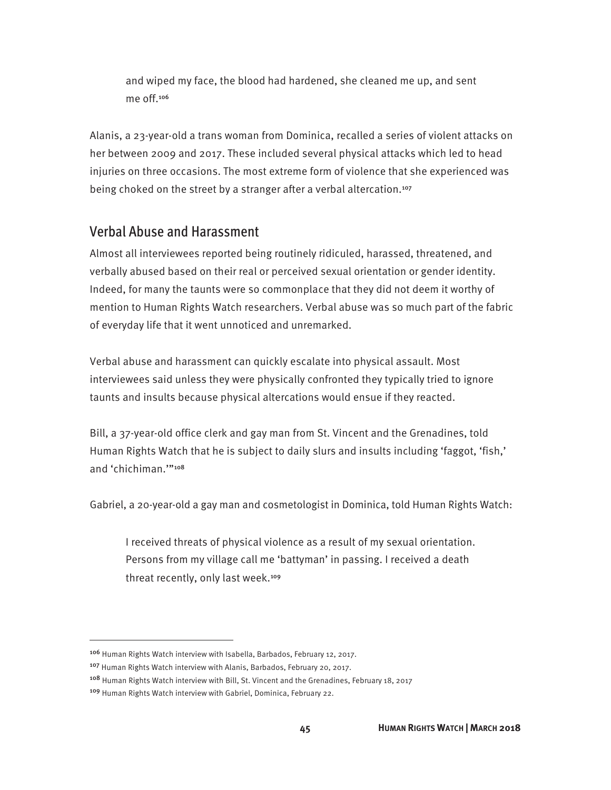and wiped my face, the blood had hardened, she cleaned me up, and sent me off.<sup>106</sup>

Alanis, a 23-year-old a trans woman from Dominica, recalled a series of violent attacks on her between 2009 and 2017. These included several physical attacks which led to head injuries on three occasions. The most extreme form of violence that she experienced was being choked on the street by a stranger after a verbal altercation.<sup>107</sup>

#### Verbal Abuse and Harassment

Almost all interviewees reported being routinely ridiculed, harassed, threatened, and verbally abused based on their real or perceived sexual orientation or gender identity. Indeed, for many the taunts were so commonplace that they did not deem it worthy of mention to Human Rights Watch researchers. Verbal abuse was so much part of the fabric of everyday life that it went unnoticed and unremarked.

Verbal abuse and harassment can quickly escalate into physical assault. Most interviewees said unless they were physically confronted they typically tried to ignore taunts and insults because physical altercations would ensue if they reacted.

Bill, a 37-year-old office clerk and gay man from St. Vincent and the Grenadines, told Human Rights Watch that he is subject to daily slurs and insults including 'faggot, 'fish,' and 'chichiman.'"<sup>108</sup>

Gabriel, a 20-year-old a gay man and cosmetologist in Dominica, told Human Rights Watch:

I received threats of physical violence as a result of my sexual orientation. Persons from my village call me 'battyman' in passing. I received a death threat recently, only last week.<sup>109</sup>

<sup>106</sup> Human Rights Watch interview with Isabella, Barbados, February 12, 2017.

<sup>&</sup>lt;sup>107</sup> Human Rights Watch interview with Alanis, Barbados, February 20, 2017.

<sup>&</sup>lt;sup>108</sup> Human Rights Watch interview with Bill, St. Vincent and the Grenadines, February 18, 2017

<sup>109</sup> Human Rights Watch interview with Gabriel, Dominica, February 22.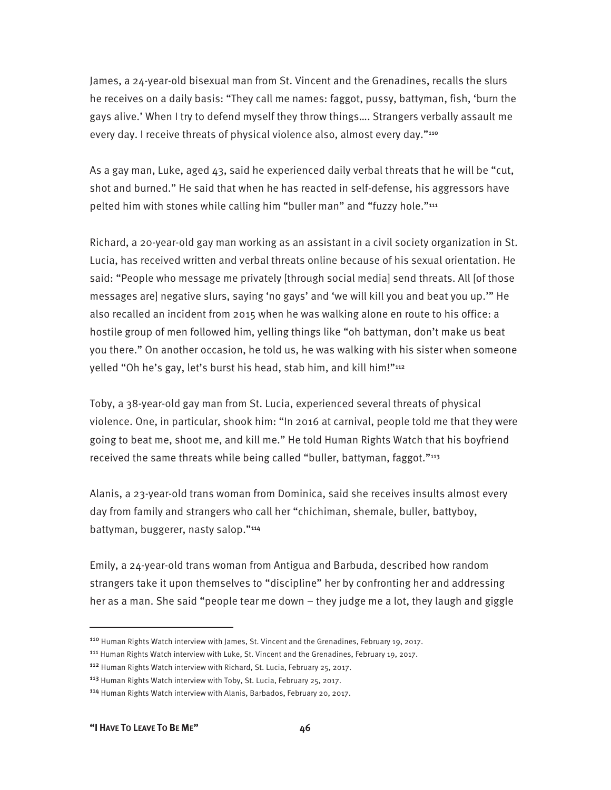James, a 24-year-old bisexual man from St. Vincent and the Grenadines, recalls the slurs he receives on a daily basis: "They call me names: faggot, pussy, battyman, fish, 'burn the gays alive.' When I try to defend myself they throw things…. Strangers verbally assault me every day. I receive threats of physical violence also, almost every day."<sup>110</sup>

As a gay man, Luke, aged 43, said he experienced daily verbal threats that he will be "cut, shot and burned." He said that when he has reacted in self-defense, his aggressors have pelted him with stones while calling him "buller man" and "fuzzy hole."<sup>111</sup>

Richard, a 20-year-old gay man working as an assistant in a civil society organization in St. Lucia, has received written and verbal threats online because of his sexual orientation. He said: "People who message me privately [through social media] send threats. All [of those messages are] negative slurs, saying 'no gays' and 'we will kill you and beat you up.'" He also recalled an incident from 2015 when he was walking alone en route to his office: a hostile group of men followed him, yelling things like "oh battyman, don't make us beat you there." On another occasion, he told us, he was walking with his sister when someone yelled "Oh he's gay, let's burst his head, stab him, and kill him!"<sup>112</sup>

Toby, a 38-year-old gay man from St. Lucia, experienced several threats of physical violence. One, in particular, shook him: "In 2016 at carnival, people told me that they were going to beat me, shoot me, and kill me." He told Human Rights Watch that his boyfriend received the same threats while being called "buller, battyman, faggot."<sup>113</sup>

Alanis, a 23-year-old trans woman from Dominica, said she receives insults almost every day from family and strangers who call her "chichiman, shemale, buller, battyboy, battyman, buggerer, nasty salop."<sup>114</sup>

Emily, a 24-year-old trans woman from Antigua and Barbuda, described how random strangers take it upon themselves to "discipline" her by confronting her and addressing her as a man. She said "people tear me down – they judge me a lot, they laugh and giggle

**"I HAVE TO LEAVE TO BE ME" 46**

<sup>110</sup> Human Rights Watch interview with James, St. Vincent and the Grenadines, February 19, 2017.

<sup>111</sup> Human Rights Watch interview with Luke, St. Vincent and the Grenadines, February 19, 2017.

<sup>112</sup> Human Rights Watch interview with Richard, St. Lucia, February 25, 2017.

<sup>113</sup> Human Rights Watch interview with Toby, St. Lucia, February 25, 2017.

<sup>114</sup> Human Rights Watch interview with Alanis, Barbados, February 20, 2017.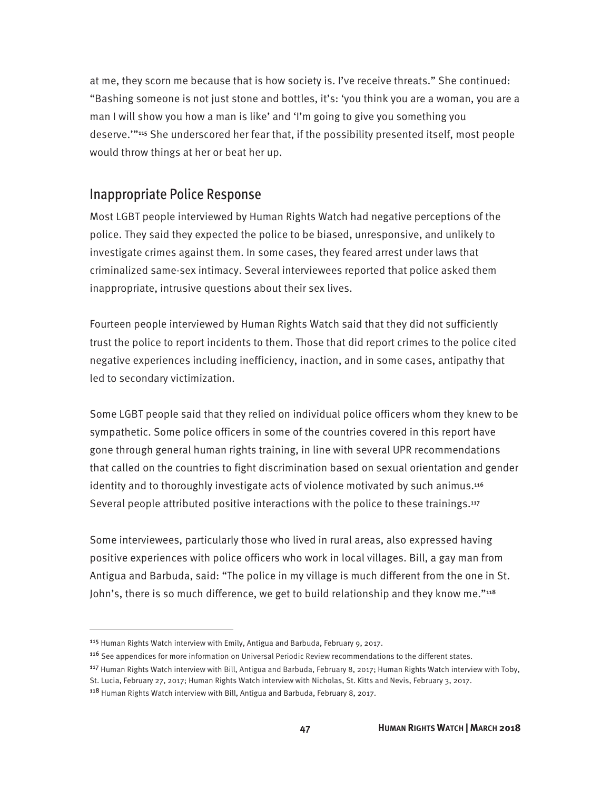at me, they scorn me because that is how society is. I've receive threats." She continued: "Bashing someone is not just stone and bottles, it's: 'you think you are a woman, you are a man I will show you how a man is like' and 'I'm going to give you something you deserve.'"115 She underscored her fear that, if the possibility presented itself, most people would throw things at her or beat her up.

#### Inappropriate Police Response

Most LGBT people interviewed by Human Rights Watch had negative perceptions of the police. They said they expected the police to be biased, unresponsive, and unlikely to investigate crimes against them. In some cases, they feared arrest under laws that criminalized same-sex intimacy. Several interviewees reported that police asked them inappropriate, intrusive questions about their sex lives.

Fourteen people interviewed by Human Rights Watch said that they did not sufficiently trust the police to report incidents to them. Those that did report crimes to the police cited negative experiences including inefficiency, inaction, and in some cases, antipathy that led to secondary victimization.

Some LGBT people said that they relied on individual police officers whom they knew to be sympathetic. Some police officers in some of the countries covered in this report have gone through general human rights training, in line with several UPR recommendations that called on the countries to fight discrimination based on sexual orientation and gender identity and to thoroughly investigate acts of violence motivated by such animus.<sup>116</sup> Several people attributed positive interactions with the police to these trainings.<sup>117</sup>

Some interviewees, particularly those who lived in rural areas, also expressed having positive experiences with police officers who work in local villages. Bill, a gay man from Antigua and Barbuda, said: "The police in my village is much different from the one in St. John's, there is so much difference, we get to build relationship and they know me."<sup>118</sup>

<sup>&</sup>lt;sup>115</sup> Human Rights Watch interview with Emily, Antigua and Barbuda, February 9, 2017.

<sup>116</sup> See appendices for more information on Universal Periodic Review recommendations to the different states.

<sup>&</sup>lt;sup>117</sup> Human Rights Watch interview with Bill, Antigua and Barbuda, February 8, 2017; Human Rights Watch interview with Toby,

St. Lucia, February 27, 2017; Human Rights Watch interview with Nicholas, St. Kitts and Nevis, February 3, 2017.

<sup>118</sup> Human Rights Watch interview with Bill, Antigua and Barbuda, February 8, 2017.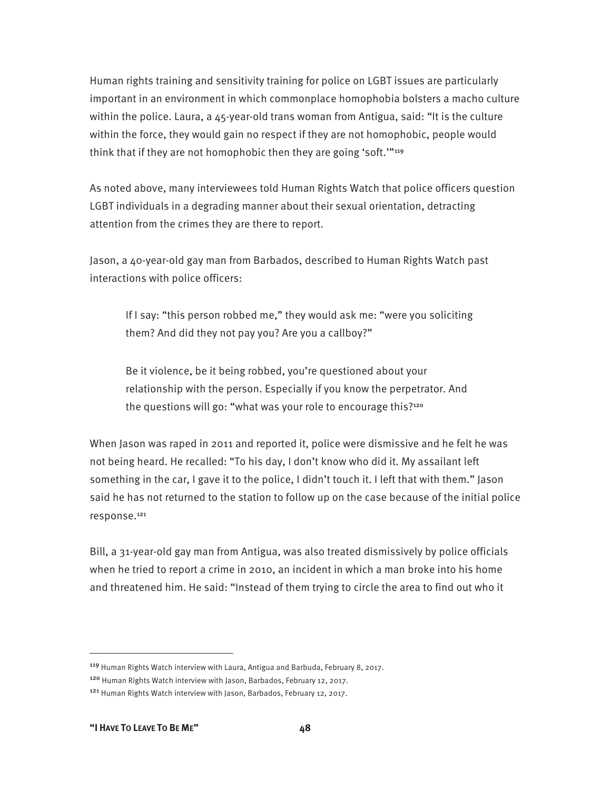Human rights training and sensitivity training for police on LGBT issues are particularly important in an environment in which commonplace homophobia bolsters a macho culture within the police. Laura, a 45-year-old trans woman from Antigua, said: "It is the culture within the force, they would gain no respect if they are not homophobic, people would think that if they are not homophobic then they are going 'soft.'"<sup>119</sup>

As noted above, many interviewees told Human Rights Watch that police officers question LGBT individuals in a degrading manner about their sexual orientation, detracting attention from the crimes they are there to report.

Jason, a 40-year-old gay man from Barbados, described to Human Rights Watch past interactions with police officers:

If I say: "this person robbed me," they would ask me: "were you soliciting them? And did they not pay you? Are you a callboy?"

Be it violence, be it being robbed, you're questioned about your relationship with the person. Especially if you know the perpetrator. And the questions will go: "what was your role to encourage this?<sup>120</sup>

When Jason was raped in 2011 and reported it, police were dismissive and he felt he was not being heard. He recalled: "To his day, I don't know who did it. My assailant left something in the car, I gave it to the police, I didn't touch it. I left that with them." Jason said he has not returned to the station to follow up on the case because of the initial police response.<sup>121</sup>

Bill, a 31-year-old gay man from Antigua, was also treated dismissively by police officials when he tried to report a crime in 2010, an incident in which a man broke into his home and threatened him. He said: "Instead of them trying to circle the area to find out who it

<sup>119</sup> Human Rights Watch interview with Laura, Antigua and Barbuda, February 8, 2017.

<sup>120</sup> Human Rights Watch interview with Jason, Barbados, February 12, 2017.

<sup>&</sup>lt;sup>121</sup> Human Rights Watch interview with Jason, Barbados, February 12, 2017.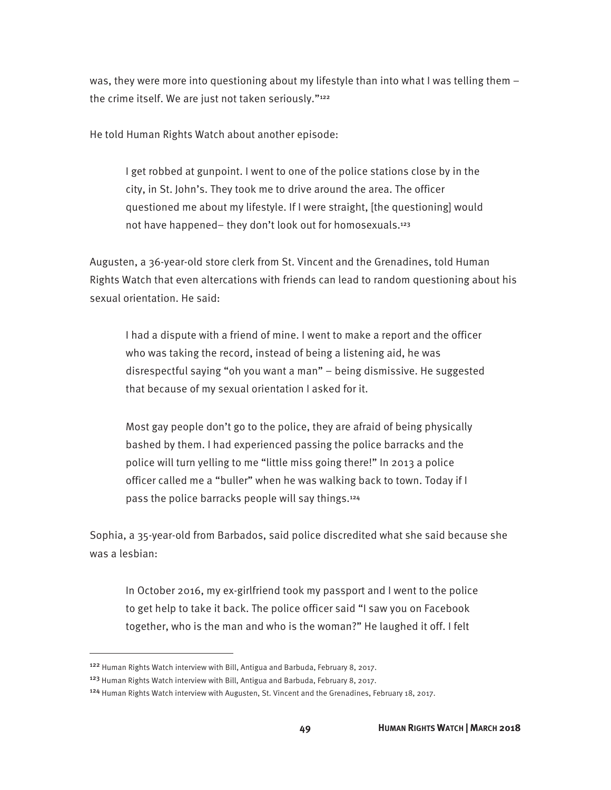was, they were more into questioning about my lifestyle than into what I was telling them – the crime itself. We are just not taken seriously."<sup>122</sup>

He told Human Rights Watch about another episode:

I get robbed at gunpoint. I went to one of the police stations close by in the city, in St. John's. They took me to drive around the area. The officer questioned me about my lifestyle. If I were straight, [the questioning] would not have happened- they don't look out for homosexuals.<sup>123</sup>

Augusten, a 36-year-old store clerk from St. Vincent and the Grenadines, told Human Rights Watch that even altercations with friends can lead to random questioning about his sexual orientation. He said:

I had a dispute with a friend of mine. I went to make a report and the officer who was taking the record, instead of being a listening aid, he was disrespectful saying "oh you want a man" – being dismissive. He suggested that because of my sexual orientation I asked for it.

Most gay people don't go to the police, they are afraid of being physically bashed by them. I had experienced passing the police barracks and the police will turn yelling to me "little miss going there!" In 2013 a police officer called me a "buller" when he was walking back to town. Today if I pass the police barracks people will say things.<sup>124</sup>

Sophia, a 35-year-old from Barbados, said police discredited what she said because she was a lesbian:

In October 2016, my ex-girlfriend took my passport and I went to the police to get help to take it back. The police officer said "I saw you on Facebook together, who is the man and who is the woman?" He laughed it off. I felt

<sup>122</sup> Human Rights Watch interview with Bill, Antigua and Barbuda, February 8, 2017.

<sup>123</sup> Human Rights Watch interview with Bill, Antigua and Barbuda, February 8, 2017.

<sup>124</sup> Human Rights Watch interview with Augusten, St. Vincent and the Grenadines, February 18, 2017.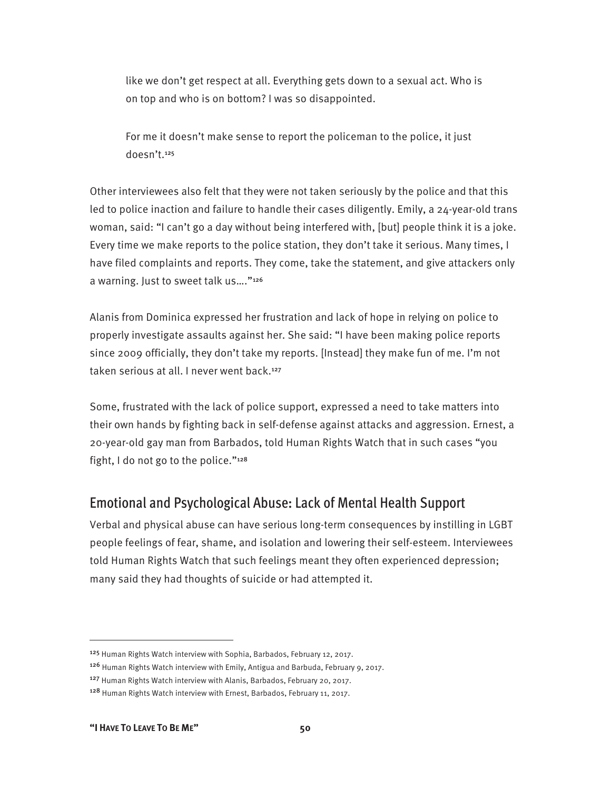like we don't get respect at all. Everything gets down to a sexual act. Who is on top and who is on bottom? I was so disappointed.

For me it doesn't make sense to report the policeman to the police, it just doesn't.<sup>125</sup>

Other interviewees also felt that they were not taken seriously by the police and that this led to police inaction and failure to handle their cases diligently. Emily, a 24-year-old trans woman, said: "I can't go a day without being interfered with, [but] people think it is a joke. Every time we make reports to the police station, they don't take it serious. Many times, I have filed complaints and reports. They come, take the statement, and give attackers only a warning. Just to sweet talk us…."<sup>126</sup>

Alanis from Dominica expressed her frustration and lack of hope in relying on police to properly investigate assaults against her. She said: "I have been making police reports since 2009 officially, they don't take my reports. [Instead] they make fun of me. I'm not taken serious at all. I never went back.<sup>127</sup>

Some, frustrated with the lack of police support, expressed a need to take matters into their own hands by fighting back in self-defense against attacks and aggression. Ernest, a 20-year-old gay man from Barbados, told Human Rights Watch that in such cases "you fight, I do not go to the police."128

### Emotional and Psychological Abuse: Lack of Mental Health Support

Verbal and physical abuse can have serious long-term consequences by instilling in LGBT people feelings of fear, shame, and isolation and lowering their self-esteem. Interviewees told Human Rights Watch that such feelings meant they often experienced depression; many said they had thoughts of suicide or had attempted it.

<sup>&</sup>lt;sup>125</sup> Human Rights Watch interview with Sophia, Barbados, February 12, 2017.

<sup>&</sup>lt;sup>126</sup> Human Rights Watch interview with Emily, Antigua and Barbuda, February 9, 2017.

<sup>127</sup> Human Rights Watch interview with Alanis, Barbados, February 20, 2017.

<sup>128</sup> Human Rights Watch interview with Ernest, Barbados, February 11, 2017.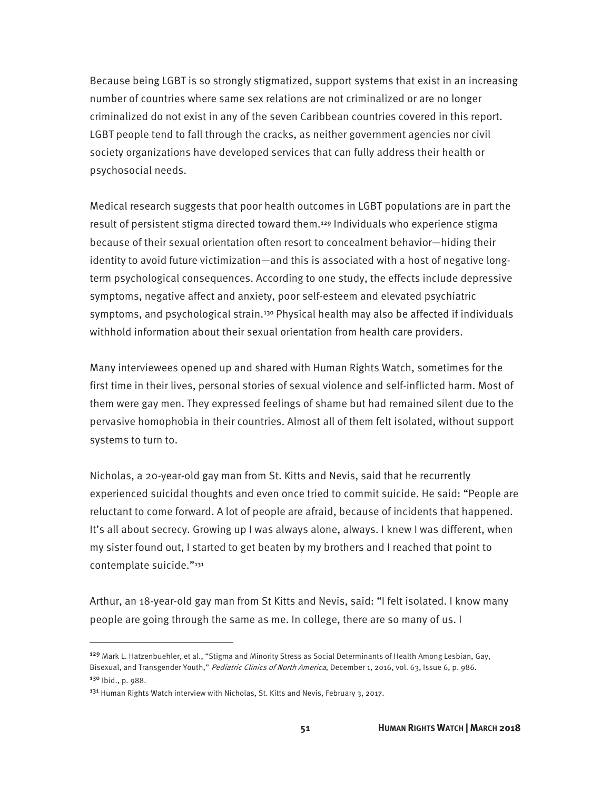Because being LGBT is so strongly stigmatized, support systems that exist in an increasing number of countries where same sex relations are not criminalized or are no longer criminalized do not exist in any of the seven Caribbean countries covered in this report. LGBT people tend to fall through the cracks, as neither government agencies nor civil society organizations have developed services that can fully address their health or psychosocial needs.

Medical research suggests that poor health outcomes in LGBT populations are in part the result of persistent stigma directed toward them.<sup>129</sup> Individuals who experience stigma because of their sexual orientation often resort to concealment behavior—hiding their identity to avoid future victimization—and this is associated with a host of negative longterm psychological consequences. According to one study, the effects include depressive symptoms, negative affect and anxiety, poor self-esteem and elevated psychiatric symptoms, and psychological strain.<sup>130</sup> Physical health may also be affected if individuals withhold information about their sexual orientation from health care providers.

Many interviewees opened up and shared with Human Rights Watch, sometimes for the first time in their lives, personal stories of sexual violence and self-inflicted harm. Most of them were gay men. They expressed feelings of shame but had remained silent due to the pervasive homophobia in their countries. Almost all of them felt isolated, without support systems to turn to.

Nicholas, a 20-year-old gay man from St. Kitts and Nevis, said that he recurrently experienced suicidal thoughts and even once tried to commit suicide. He said: "People are reluctant to come forward. A lot of people are afraid, because of incidents that happened. It's all about secrecy. Growing up I was always alone, always. I knew I was different, when my sister found out, I started to get beaten by my brothers and I reached that point to contemplate suicide."<sup>131</sup>

Arthur, an 18-year-old gay man from St Kitts and Nevis, said: "I felt isolated. I know many people are going through the same as me. In college, there are so many of us. I

<sup>129</sup> Mark L. Hatzenbuehler, et al., "Stigma and Minority Stress as Social Determinants of Health Among Lesbian, Gay, Bisexual, and Transgender Youth," Pediatric Clinics of North America, December 1, 2016, vol. 63, Issue 6, p. 986. 130 Ibid., p. 988.

<sup>131</sup> Human Rights Watch interview with Nicholas, St. Kitts and Nevis, February 3, 2017.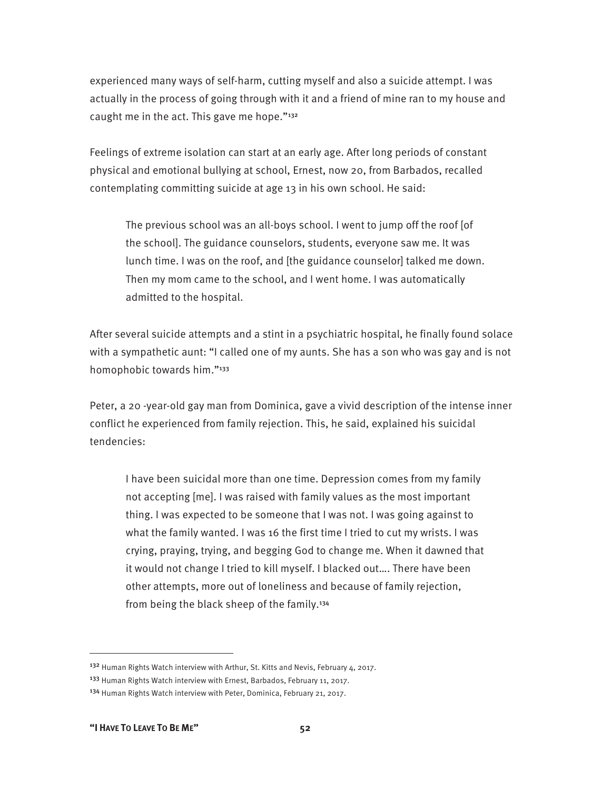experienced many ways of self-harm, cutting myself and also a suicide attempt. I was actually in the process of going through with it and a friend of mine ran to my house and caught me in the act. This gave me hope."<sup>132</sup>

Feelings of extreme isolation can start at an early age. After long periods of constant physical and emotional bullying at school, Ernest, now 20, from Barbados, recalled contemplating committing suicide at age 13 in his own school. He said:

The previous school was an all-boys school. I went to jump off the roof [of the school]. The guidance counselors, students, everyone saw me. It was lunch time. I was on the roof, and [the guidance counselor] talked me down. Then my mom came to the school, and I went home. I was automatically admitted to the hospital.

After several suicide attempts and a stint in a psychiatric hospital, he finally found solace with a sympathetic aunt: "I called one of my aunts. She has a son who was gay and is not homophobic towards him."<sup>133</sup>

Peter, a 20 -year-old gay man from Dominica, gave a vivid description of the intense inner conflict he experienced from family rejection. This, he said, explained his suicidal tendencies:

I have been suicidal more than one time. Depression comes from my family not accepting [me]. I was raised with family values as the most important thing. I was expected to be someone that I was not. I was going against to what the family wanted. I was 16 the first time I tried to cut my wrists. I was crying, praying, trying, and begging God to change me. When it dawned that it would not change I tried to kill myself. I blacked out…. There have been other attempts, more out of loneliness and because of family rejection, from being the black sheep of the family.<sup>134</sup>

<sup>132</sup> Human Rights Watch interview with Arthur, St. Kitts and Nevis, February 4, 2017.

<sup>&</sup>lt;sup>133</sup> Human Rights Watch interview with Ernest, Barbados, February 11, 2017.

<sup>&</sup>lt;sup>134</sup> Human Rights Watch interview with Peter, Dominica, February 21, 2017.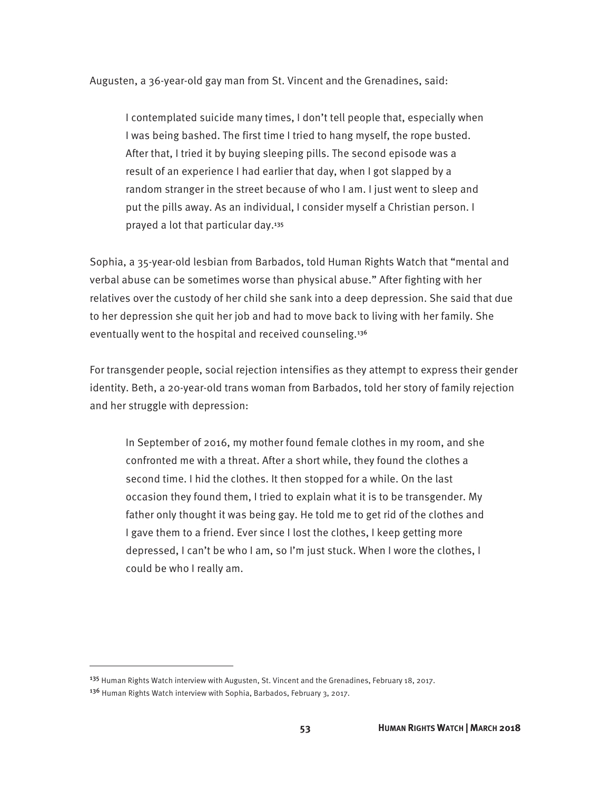Augusten, a 36-year-old gay man from St. Vincent and the Grenadines, said:

I contemplated suicide many times, I don't tell people that, especially when I was being bashed. The first time I tried to hang myself, the rope busted. After that, I tried it by buying sleeping pills. The second episode was a result of an experience I had earlier that day, when I got slapped by a random stranger in the street because of who I am. I just went to sleep and put the pills away. As an individual, I consider myself a Christian person. I prayed a lot that particular day.<sup>135</sup>

Sophia, a 35-year-old lesbian from Barbados, told Human Rights Watch that "mental and verbal abuse can be sometimes worse than physical abuse." After fighting with her relatives over the custody of her child she sank into a deep depression. She said that due to her depression she quit her job and had to move back to living with her family. She eventually went to the hospital and received counseling.<sup>136</sup>

For transgender people, social rejection intensifies as they attempt to express their gender identity. Beth, a 20-year-old trans woman from Barbados, told her story of family rejection and her struggle with depression:

In September of 2016, my mother found female clothes in my room, and she confronted me with a threat. After a short while, they found the clothes a second time. I hid the clothes. It then stopped for a while. On the last occasion they found them, I tried to explain what it is to be transgender. My father only thought it was being gay. He told me to get rid of the clothes and I gave them to a friend. Ever since I lost the clothes, I keep getting more depressed, I can't be who I am, so I'm just stuck. When I wore the clothes, I could be who I really am.

<sup>&</sup>lt;sup>135</sup> Human Rights Watch interview with Augusten, St. Vincent and the Grenadines, February 18, 2017.

<sup>136</sup> Human Rights Watch interview with Sophia, Barbados, February 3, 2017.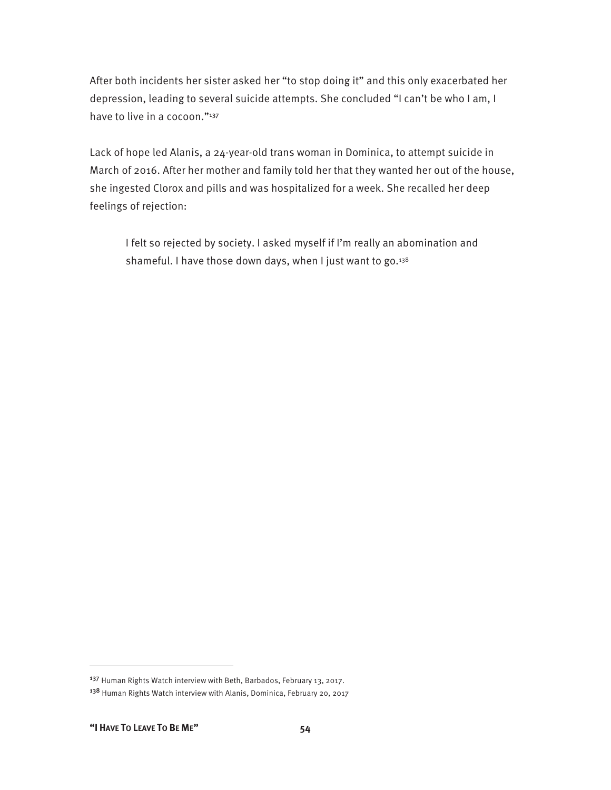After both incidents her sister asked her "to stop doing it" and this only exacerbated her depression, leading to several suicide attempts. She concluded "I can't be who I am, I have to live in a cocoon."<sup>137</sup>

Lack of hope led Alanis, a 24-year-old trans woman in Dominica, to attempt suicide in March of 2016. After her mother and family told her that they wanted her out of the house, she ingested Clorox and pills and was hospitalized for a week. She recalled her deep feelings of rejection:

I felt so rejected by society. I asked myself if I'm really an abomination and shameful. I have those down days, when I just want to go. $138$ 

<sup>137</sup> Human Rights Watch interview with Beth, Barbados, February 13, 2017. <sup>138</sup> Human Rights Watch interview with Alanis, Dominica, February 20, 2017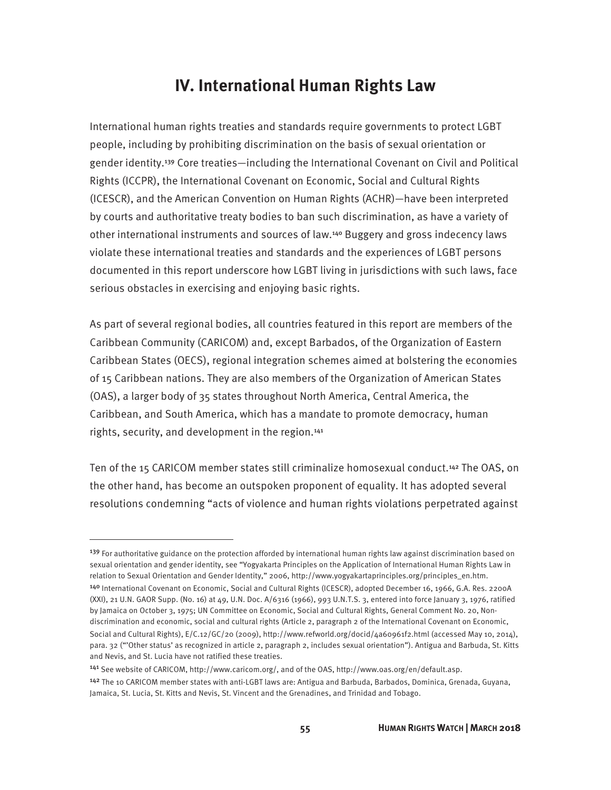# **IV. International Human Rights Law**

International human rights treaties and standards require governments to protect LGBT people, including by prohibiting discrimination on the basis of sexual orientation or gender identity.139 Core treaties—including the International Covenant on Civil and Political Rights (ICCPR), the International Covenant on Economic, Social and Cultural Rights (ICESCR), and the American Convention on Human Rights (ACHR)—have been interpreted by courts and authoritative treaty bodies to ban such discrimination, as have a variety of other international instruments and sources of law.140 Buggery and gross indecency laws violate these international treaties and standards and the experiences of LGBT persons documented in this report underscore how LGBT living in jurisdictions with such laws, face serious obstacles in exercising and enjoying basic rights.

As part of several regional bodies, all countries featured in this report are members of the Caribbean Community (CARICOM) and, except Barbados, of the Organization of Eastern Caribbean States (OECS), regional integration schemes aimed at bolstering the economies of 15 Caribbean nations. They are also members of the Organization of American States (OAS), a larger body of 35 states throughout North America, Central America, the Caribbean, and South America, which has a mandate to promote democracy, human rights, security, and development in the region.<sup>141</sup>

Ten of the 15 CARICOM member states still criminalize homosexual conduct.142 The OAS, on the other hand, has become an outspoken proponent of equality. It has adopted several resolutions condemning "acts of violence and human rights violations perpetrated against

<sup>&</sup>lt;sup>139</sup> For authoritative guidance on the protection afforded by international human rights law against discrimination based on sexual orientation and gender identity, see "Yogyakarta Principles on the Application of International Human Rights Law in relation to Sexual Orientation and Gender Identity," 2006, http://www.yogyakartaprinciples.org/principles\_en.htm. <sup>140</sup> International Covenant on Economic, Social and Cultural Rights (ICESCR), adopted December 16, 1966, G.A. Res. 2200A

<sup>(</sup>XXI), 21 U.N. GAOR Supp. (No. 16) at 49, U.N. Doc. A/6316 (1966), 993 U.N.T.S. 3, entered into force January 3, 1976, ratified by Jamaica on October 3, 1975; UN Committee on Economic, Social and Cultural Rights, General Comment No. 20, Nondiscrimination and economic, social and cultural rights (Article 2, paragraph 2 of the International Covenant on Economic,

Social and Cultural Rights), E/C.12/GC/20 (2009), http://www.refworld.org/docid/4a60961f2.html (accessed May 10, 2014), para. 32 ("'Other status' as recognized in article 2, paragraph 2, includes sexual orientation"). Antigua and Barbuda, St. Kitts and Nevis, and St. Lucia have not ratified these treaties.

<sup>141</sup> See website of CARICOM, http://www.caricom.org/, and of the OAS, http://www.oas.org/en/default.asp.

<sup>142</sup> The 10 CARICOM member states with anti-LGBT laws are: Antigua and Barbuda, Barbados, Dominica, Grenada, Guyana, Jamaica, St. Lucia, St. Kitts and Nevis, St. Vincent and the Grenadines, and Trinidad and Tobago.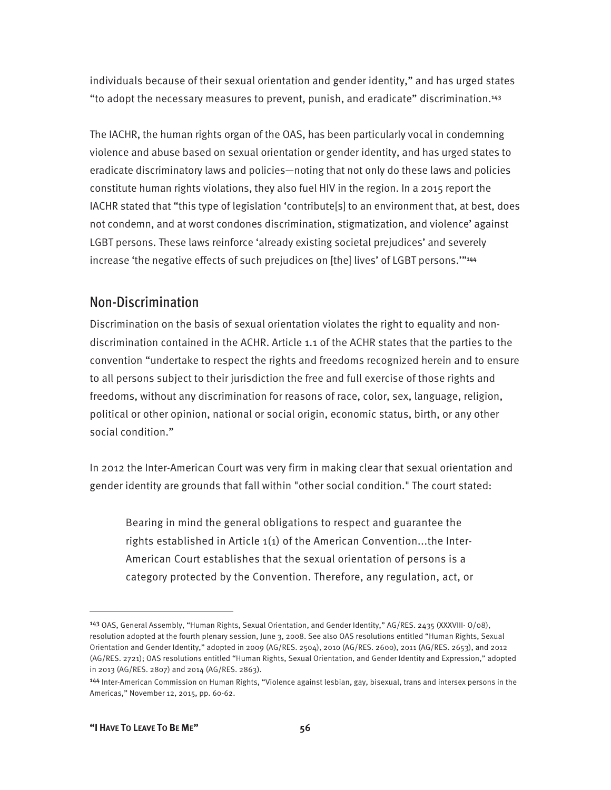individuals because of their sexual orientation and gender identity," and has urged states "to adopt the necessary measures to prevent, punish, and eradicate" discrimination.<sup>143</sup>

The IACHR, the human rights organ of the OAS, has been particularly vocal in condemning violence and abuse based on sexual orientation or gender identity, and has urged states to eradicate discriminatory laws and policies—noting that not only do these laws and policies constitute human rights violations, they also fuel HIV in the region. In a 2015 report the IACHR stated that "this type of legislation 'contribute[s] to an environment that, at best, does not condemn, and at worst condones discrimination, stigmatization, and violence' against LGBT persons. These laws reinforce 'already existing societal prejudices' and severely increase 'the negative effects of such prejudices on [the] lives' of LGBT persons.'"<sup>144</sup>

## Non-Discrimination

Discrimination on the basis of sexual orientation violates the right to equality and nondiscrimination contained in the ACHR. Article 1.1 of the ACHR states that the parties to the convention "undertake to respect the rights and freedoms recognized herein and to ensure to all persons subject to their jurisdiction the free and full exercise of those rights and freedoms, without any discrimination for reasons of race, color, sex, language, religion, political or other opinion, national or social origin, economic status, birth, or any other social condition."

In 2012 the Inter-American Court was very firm in making clear that sexual orientation and gender identity are grounds that fall within "other social condition." The court stated:

Bearing in mind the general obligations to respect and guarantee the rights established in Article 1(1) of the American Convention...the Inter-American Court establishes that the sexual orientation of persons is a category protected by the Convention. Therefore, any regulation, act, or

<sup>143</sup> OAS, General Assembly, "Human Rights, Sexual Orientation, and Gender Identity," AG/RES. 2435 (XXXVIII- O/08), resolution adopted at the fourth plenary session, June 3, 2008. See also OAS resolutions entitled "Human Rights, Sexual Orientation and Gender Identity," adopted in 2009 (AG/RES. 2504), 2010 (AG/RES. 2600), 2011 (AG/RES. 2653), and 2012 (AG/RES. 2721); OAS resolutions entitled "Human Rights, Sexual Orientation, and Gender Identity and Expression," adopted in 2013 (AG/RES. 2807) and 2014 (AG/RES. 2863).

<sup>144</sup> Inter-American Commission on Human Rights, "Violence against lesbian, gay, bisexual, trans and intersex persons in the Americas," November 12, 2015, pp. 60-62.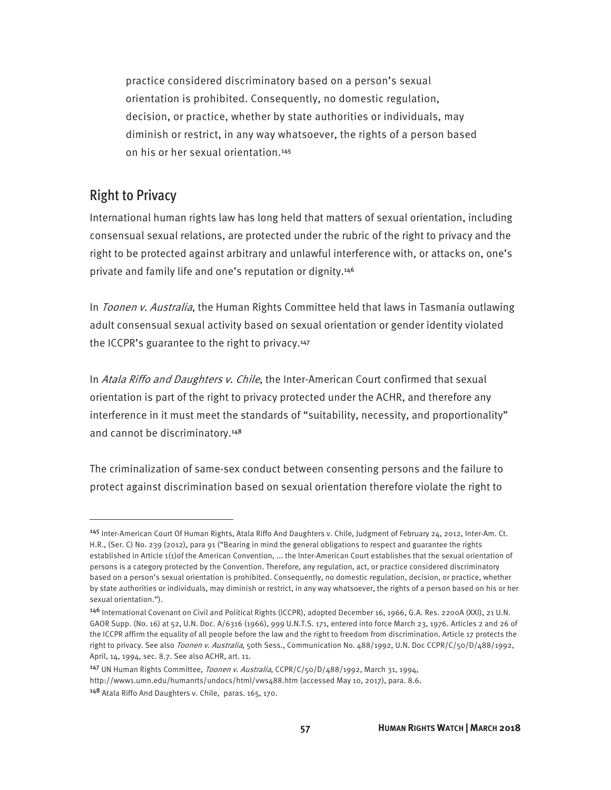practice considered discriminatory based on a person's sexual orientation is prohibited. Consequently, no domestic regulation, decision, or practice, whether by state authorities or individuals, may diminish or restrict, in any way whatsoever, the rights of a person based on his or her sexual orientation.<sup>145</sup>

### Right to Privacy

-

International human rights law has long held that matters of sexual orientation, including consensual sexual relations, are protected under the rubric of the right to privacy and the right to be protected against arbitrary and unlawful interference with, or attacks on, one's private and family life and one's reputation or dignity.<sup>146</sup>

In Toonen v. Australia, the Human Rights Committee held that laws in Tasmania outlawing adult consensual sexual activity based on sexual orientation or gender identity violated the ICCPR's guarantee to the right to privacy.<sup>147</sup>

In Atala Riffo and Daughters v. Chile, the Inter-American Court confirmed that sexual orientation is part of the right to privacy protected under the ACHR, and therefore any interference in it must meet the standards of "suitability, necessity, and proportionality" and cannot be discriminatory.<sup>148</sup>

The criminalization of same-sex conduct between consenting persons and the failure to protect against discrimination based on sexual orientation therefore violate the right to

<sup>147</sup> UN Human Rights Committee, *Toonen v. Australia*, CCPR/C/50/D/488/1992, March 31, 1994,

<sup>145</sup> Inter-American Court Of Human Rights, Atala Riffo And Daughters v. Chile, Judgment of February 24, 2012, Inter-Am. Ct. H.R., (Ser. C) No. 239 (2012), para 91 ("Bearing in mind the general obligations to respect and guarantee the rights established in Article 1(1)of the American Convention, ... the Inter-American Court establishes that the sexual orientation of persons is a category protected by the Convention. Therefore, any regulation, act, or practice considered discriminatory based on a person's sexual orientation is prohibited. Consequently, no domestic regulation, decision, or practice, whether by state authorities or individuals, may diminish or restrict, in any way whatsoever, the rights of a person based on his or her sexual orientation.").

<sup>146</sup> International Covenant on Civil and Political Rights (ICCPR), adopted December 16, 1966, G.A. Res. 2200A (XXI), 21 U.N. GAOR Supp. (No. 16) at 52, U.N. Doc. A/6316 (1966), 999 U.N.T.S. 171, entered into force March 23, 1976. Articles 2 and 26 of the ICCPR affirm the equality of all people before the law and the right to freedom from discrimination. Article 17 protects the right to privacy. See also Toonen v. Australia, 50th Sess., Communication No. 488/1992, U.N. Doc CCPR/C/50/D/488/1992, April, 14, 1994, sec. 8.7. See also ACHR, art. 11.

http://www1.umn.edu/humanrts/undocs/html/vws488.htm (accessed May 10, 2017), para. 8.6.

<sup>148</sup> Atala Riffo And Daughters v. Chile, paras. 165, 170.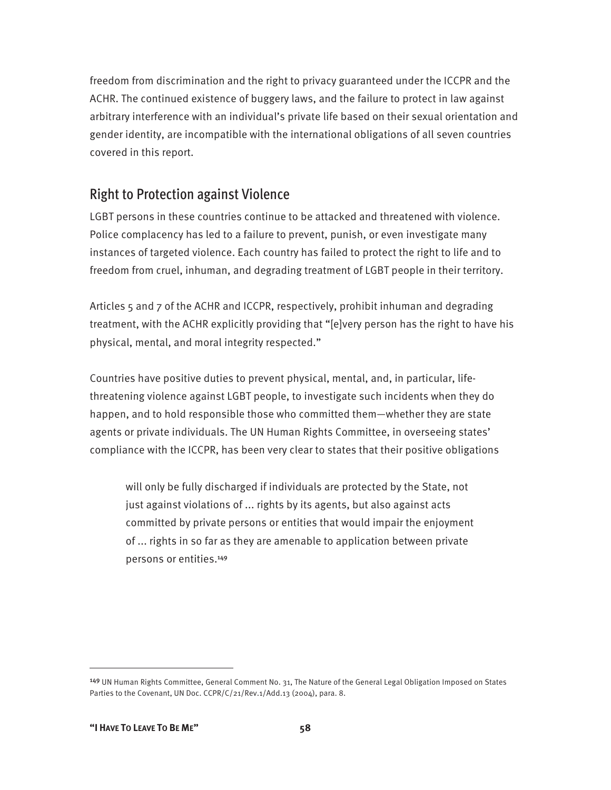freedom from discrimination and the right to privacy guaranteed under the ICCPR and the ACHR. The continued existence of buggery laws, and the failure to protect in law against arbitrary interference with an individual's private life based on their sexual orientation and gender identity, are incompatible with the international obligations of all seven countries covered in this report.

### Right to Protection against Violence

LGBT persons in these countries continue to be attacked and threatened with violence. Police complacency has led to a failure to prevent, punish, or even investigate many instances of targeted violence. Each country has failed to protect the right to life and to freedom from cruel, inhuman, and degrading treatment of LGBT people in their territory.

Articles 5 and 7 of the ACHR and ICCPR, respectively, prohibit inhuman and degrading treatment, with the ACHR explicitly providing that "[e]very person has the right to have his physical, mental, and moral integrity respected."

Countries have positive duties to prevent physical, mental, and, in particular, lifethreatening violence against LGBT people, to investigate such incidents when they do happen, and to hold responsible those who committed them—whether they are state agents or private individuals. The UN Human Rights Committee, in overseeing states' compliance with the ICCPR, has been very clear to states that their positive obligations

will only be fully discharged if individuals are protected by the State, not just against violations of ... rights by its agents, but also against acts committed by private persons or entities that would impair the enjoyment of ... rights in so far as they are amenable to application between private persons or entities.<sup>149</sup>

<sup>149</sup> UN Human Rights Committee, General Comment No. 31, The Nature of the General Legal Obligation Imposed on States Parties to the Covenant, UN Doc. CCPR/C/21/Rev.1/Add.13 (2004), para. 8.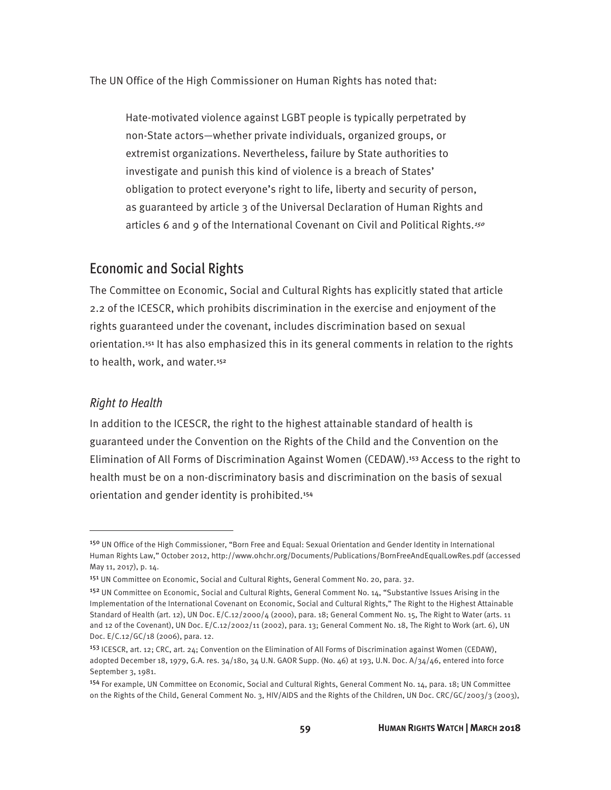The UN Office of the High Commissioner on Human Rights has noted that:

Hate-motivated violence against LGBT people is typically perpetrated by non-State actors—whether private individuals, organized groups, or extremist organizations. Nevertheless, failure by State authorities to investigate and punish this kind of violence is a breach of States' obligation to protect everyone's right to life, liberty and security of person, as guaranteed by article 3 of the Universal Declaration of Human Rights and articles 6 and 9 of the International Covenant on Civil and Political Rights.<sup>150</sup>

#### Economic and Social Rights

The Committee on Economic, Social and Cultural Rights has explicitly stated that article 2.2 of the ICESCR, which prohibits discrimination in the exercise and enjoyment of the rights guaranteed under the covenant, includes discrimination based on sexual orientation.<sup>151</sup> It has also emphasized this in its general comments in relation to the rights to health, work, and water.<sup>152</sup>

#### *Right to Health*

 $\overline{a}$ 

In addition to the ICESCR, the right to the highest attainable standard of health is guaranteed under the Convention on the Rights of the Child and the Convention on the Elimination of All Forms of Discrimination Against Women (CEDAW).153 Access to the right to health must be on a non-discriminatory basis and discrimination on the basis of sexual orientation and gender identity is prohibited.<sup>154</sup>

<sup>150</sup> UN Office of the High Commissioner, "Born Free and Equal: Sexual Orientation and Gender Identity in International Human Rights Law," October 2012, http://www.ohchr.org/Documents/Publications/BornFreeAndEqualLowRes.pdf (accessed May 11, 2017), p. 14.

<sup>151</sup> UN Committee on Economic, Social and Cultural Rights, General Comment No. 20, para. 32.

<sup>&</sup>lt;sup>152</sup> UN Committee on Economic, Social and Cultural Rights, General Comment No. 14, "Substantive Issues Arising in the Implementation of the International Covenant on Economic, Social and Cultural Rights," The Right to the Highest Attainable Standard of Health (art. 12), UN Doc. E/C.12/2000/4 (2000), para. 18; General Comment No. 15, The Right to Water (arts. 11 and 12 of the Covenant), UN Doc. E/C.12/2002/11 (2002), para. 13; General Comment No. 18, The Right to Work (art. 6), UN Doc. E/C.12/GC/18 (2006), para. 12.

<sup>&</sup>lt;sup>153</sup> ICESCR, art. 12; CRC, art. 24; Convention on the Elimination of All Forms of Discrimination against Women (CEDAW), adopted December 18, 1979, G.A. res. 34/180, 34 U.N. GAOR Supp. (No. 46) at 193, U.N. Doc. A/34/46, entered into force September 3, 1981.

<sup>154</sup> For example, UN Committee on Economic, Social and Cultural Rights, General Comment No. 14, para. 18; UN Committee on the Rights of the Child, General Comment No. 3, HIV/AIDS and the Rights of the Children, UN Doc. CRC/GC/2003/3 (2003),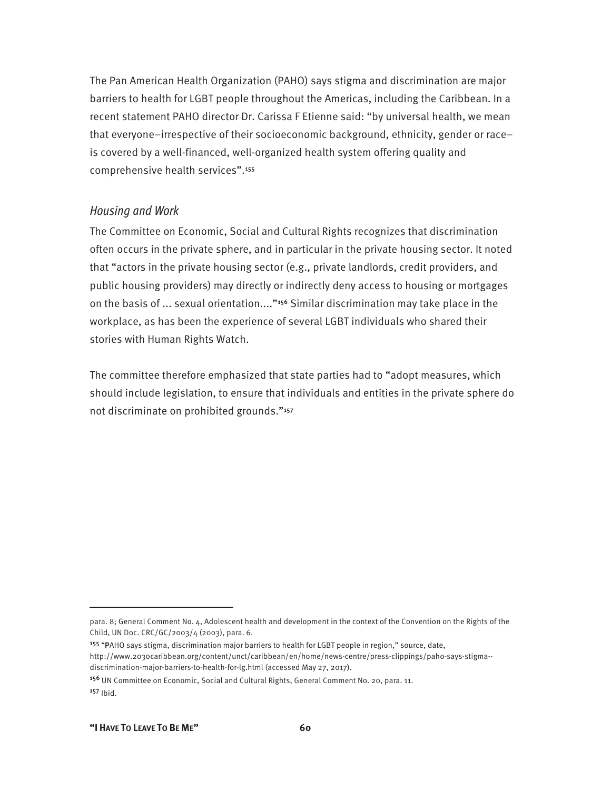The Pan American Health Organization (PAHO) says stigma and discrimination are major barriers to health for LGBT people throughout the Americas, including the Caribbean. In a recent statement PAHO director Dr. Carissa F Etienne said: "by universal health, we mean that everyone–irrespective of their socioeconomic background, ethnicity, gender or race– is covered by a well-financed, well-organized health system offering quality and comprehensive health services".<sup>155</sup>

#### *Housing and Work*

The Committee on Economic, Social and Cultural Rights recognizes that discrimination often occurs in the private sphere, and in particular in the private housing sector. It noted that "actors in the private housing sector (e.g., private landlords, credit providers, and public housing providers) may directly or indirectly deny access to housing or mortgages on the basis of ... sexual orientation...."156 Similar discrimination may take place in the workplace, as has been the experience of several LGBT individuals who shared their stories with Human Rights Watch.

The committee therefore emphasized that state parties had to "adopt measures, which should include legislation, to ensure that individuals and entities in the private sphere do not discriminate on prohibited grounds."<sup>157</sup>

para. 8; General Comment No. 4, Adolescent health and development in the context of the Convention on the Rights of the Child, UN Doc. CRC/GC/2003/4 (2003), para. 6.

<sup>155</sup> "PAHO says stigma, discrimination major barriers to health for LGBT people in region," source, date, http://www.2030caribbean.org/content/unct/caribbean/en/home/news-centre/press-clippings/paho-says-stigma- discrimination-major-barriers-to-health-for-lg.html (accessed May 27, 2017).

<sup>&</sup>lt;sup>156</sup> UN Committee on Economic, Social and Cultural Rights, General Comment No. 20, para. 11. <sup>157</sup> Ibid.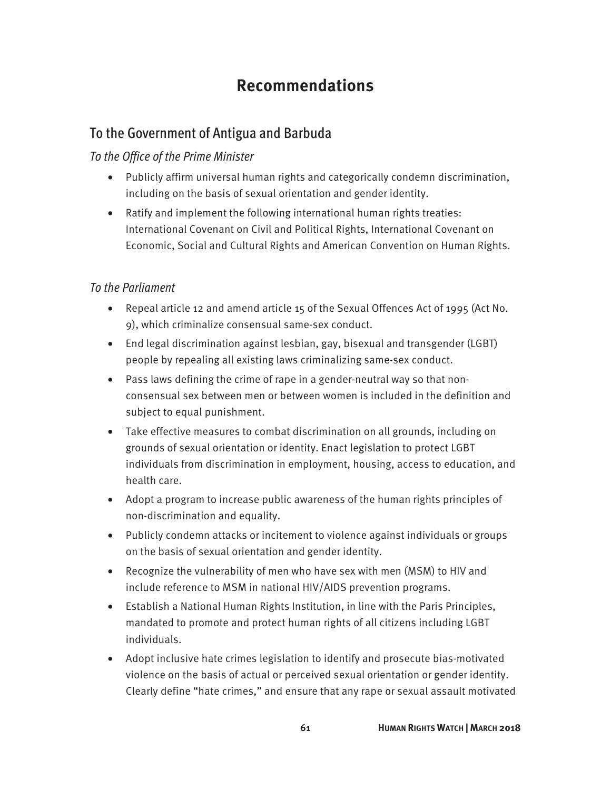# **Recommendations**

## To the Government of Antigua and Barbuda

#### *To the Office of the Prime Minister*

- Publicly affirm universal human rights and categorically condemn discrimination, including on the basis of sexual orientation and gender identity.
- Ratify and implement the following international human rights treaties: International Covenant on Civil and Political Rights, International Covenant on Economic, Social and Cultural Rights and American Convention on Human Rights.

#### *To the Parliament*

- Repeal article 12 and amend article 15 of the Sexual Offences Act of 1995 (Act No. 9), which criminalize consensual same-sex conduct.
- End legal discrimination against lesbian, gay, bisexual and transgender (LGBT) people by repealing all existing laws criminalizing same-sex conduct.
- Pass laws defining the crime of rape in a gender-neutral way so that nonconsensual sex between men or between women is included in the definition and subject to equal punishment.
- Take effective measures to combat discrimination on all grounds, including on grounds of sexual orientation or identity. Enact legislation to protect LGBT individuals from discrimination in employment, housing, access to education, and health care.
- Adopt a program to increase public awareness of the human rights principles of non-discrimination and equality.
- Publicly condemn attacks or incitement to violence against individuals or groups on the basis of sexual orientation and gender identity.
- Recognize the vulnerability of men who have sex with men (MSM) to HIV and include reference to MSM in national HIV/AIDS prevention programs.
- Establish a National Human Rights Institution, in line with the Paris Principles, mandated to promote and protect human rights of all citizens including LGBT individuals.
- Adopt inclusive hate crimes legislation to identify and prosecute bias-motivated violence on the basis of actual or perceived sexual orientation or gender identity. Clearly define "hate crimes," and ensure that any rape or sexual assault motivated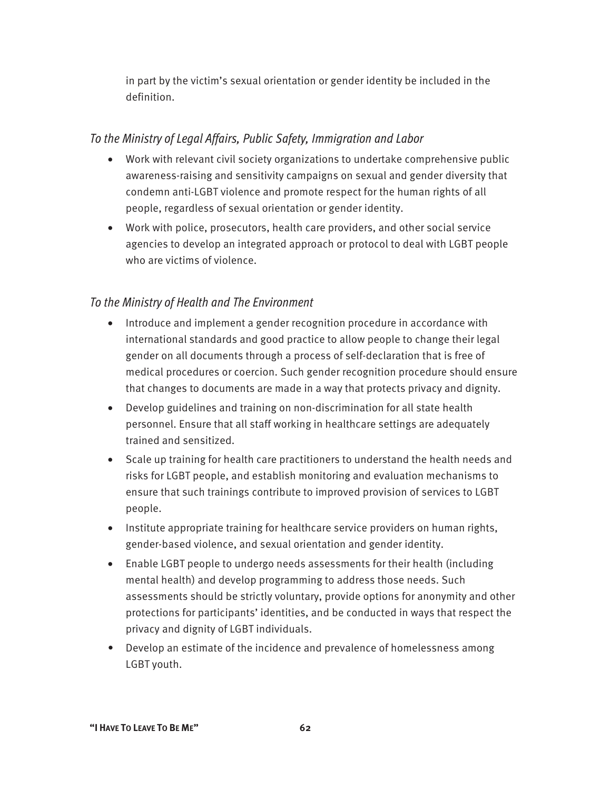in part by the victim's sexual orientation or gender identity be included in the definition.

#### *To the Ministry of Legal Affairs, Public Safety, Immigration and Labor*

- Work with relevant civil society organizations to undertake comprehensive public awareness-raising and sensitivity campaigns on sexual and gender diversity that condemn anti-LGBT violence and promote respect for the human rights of all people, regardless of sexual orientation or gender identity.
- Work with police, prosecutors, health care providers, and other social service agencies to develop an integrated approach or protocol to deal with LGBT people who are victims of violence.

#### *To the Ministry of Health and The Environment*

- Introduce and implement a gender recognition procedure in accordance with international standards and good practice to allow people to change their legal gender on all documents through a process of self-declaration that is free of medical procedures or coercion. Such gender recognition procedure should ensure that changes to documents are made in a way that protects privacy and dignity.
- Develop guidelines and training on non-discrimination for all state health personnel. Ensure that all staff working in healthcare settings are adequately trained and sensitized.
- Scale up training for health care practitioners to understand the health needs and risks for LGBT people, and establish monitoring and evaluation mechanisms to ensure that such trainings contribute to improved provision of services to LGBT people.
- Institute appropriate training for healthcare service providers on human rights, gender-based violence, and sexual orientation and gender identity.
- Enable LGBT people to undergo needs assessments for their health (including mental health) and develop programming to address those needs. Such assessments should be strictly voluntary, provide options for anonymity and other protections for participants' identities, and be conducted in ways that respect the privacy and dignity of LGBT individuals.
- Develop an estimate of the incidence and prevalence of homelessness among LGBT youth.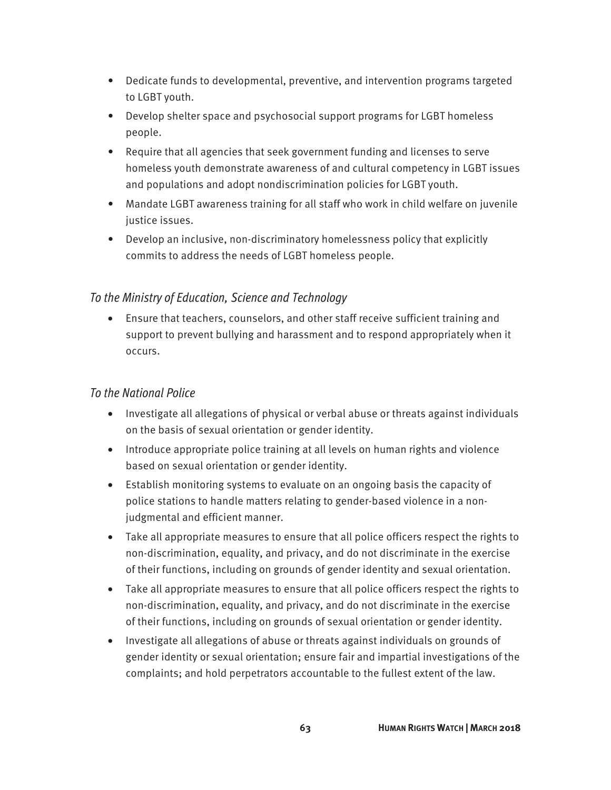- Dedicate funds to developmental, preventive, and intervention programs targeted to LGBT youth.
- Develop shelter space and psychosocial support programs for LGBT homeless people.
- Require that all agencies that seek government funding and licenses to serve homeless youth demonstrate awareness of and cultural competency in LGBT issues and populations and adopt nondiscrimination policies for LGBT youth.
- Mandate LGBT awareness training for all staff who work in child welfare on juvenile justice issues.
- Develop an inclusive, non-discriminatory homelessness policy that explicitly commits to address the needs of LGBT homeless people.

#### *To the Ministry of Education, Science and Technology*

• Ensure that teachers, counselors, and other staff receive sufficient training and support to prevent bullying and harassment and to respond appropriately when it occurs.

#### *To the National Police*

- Investigate all allegations of physical or verbal abuse or threats against individuals on the basis of sexual orientation or gender identity.
- Introduce appropriate police training at all levels on human rights and violence based on sexual orientation or gender identity.
- Establish monitoring systems to evaluate on an ongoing basis the capacity of police stations to handle matters relating to gender-based violence in a nonjudgmental and efficient manner.
- Take all appropriate measures to ensure that all police officers respect the rights to non-discrimination, equality, and privacy, and do not discriminate in the exercise of their functions, including on grounds of gender identity and sexual orientation.
- Take all appropriate measures to ensure that all police officers respect the rights to non-discrimination, equality, and privacy, and do not discriminate in the exercise of their functions, including on grounds of sexual orientation or gender identity.
- Investigate all allegations of abuse or threats against individuals on grounds of gender identity or sexual orientation; ensure fair and impartial investigations of the complaints; and hold perpetrators accountable to the fullest extent of the law.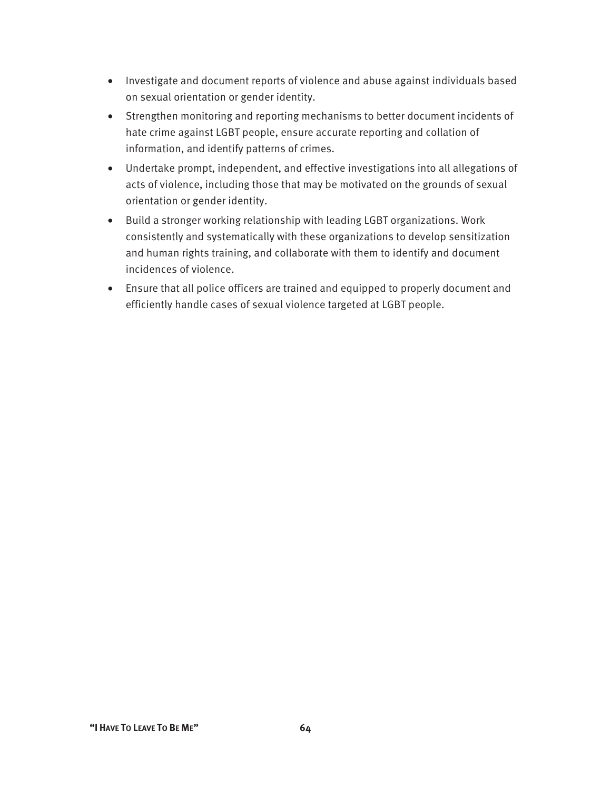- Investigate and document reports of violence and abuse against individuals based on sexual orientation or gender identity.
- Strengthen monitoring and reporting mechanisms to better document incidents of hate crime against LGBT people, ensure accurate reporting and collation of information, and identify patterns of crimes.
- Undertake prompt, independent, and effective investigations into all allegations of acts of violence, including those that may be motivated on the grounds of sexual orientation or gender identity.
- Build a stronger working relationship with leading LGBT organizations. Work consistently and systematically with these organizations to develop sensitization and human rights training, and collaborate with them to identify and document incidences of violence.
- Ensure that all police officers are trained and equipped to properly document and efficiently handle cases of sexual violence targeted at LGBT people.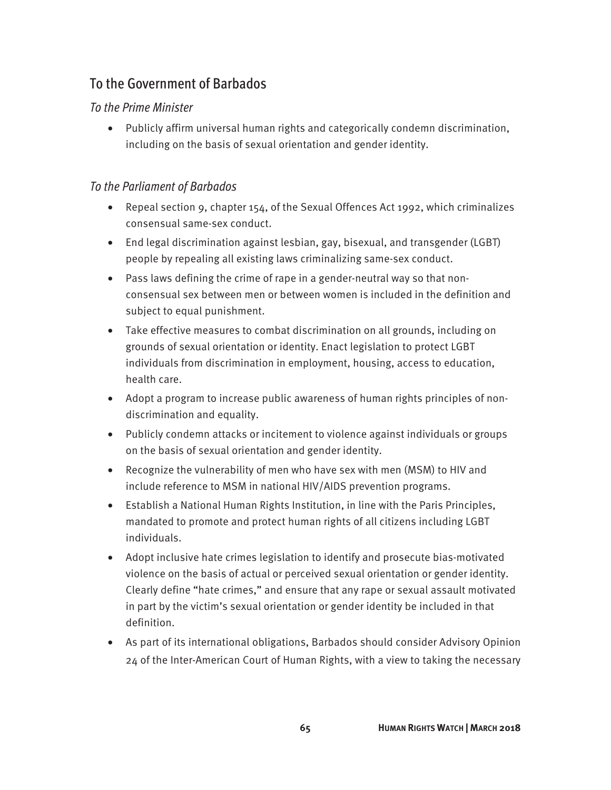## To the Government of Barbados

#### *To the Prime Minister*

• Publicly affirm universal human rights and categorically condemn discrimination, including on the basis of sexual orientation and gender identity.

#### *To the Parliament of Barbados*

- Repeal section 9, chapter 154, of the Sexual Offences Act 1992, which criminalizes consensual same-sex conduct.
- End legal discrimination against lesbian, gay, bisexual, and transgender (LGBT) people by repealing all existing laws criminalizing same-sex conduct.
- Pass laws defining the crime of rape in a gender-neutral way so that nonconsensual sex between men or between women is included in the definition and subject to equal punishment.
- Take effective measures to combat discrimination on all grounds, including on grounds of sexual orientation or identity. Enact legislation to protect LGBT individuals from discrimination in employment, housing, access to education, health care.
- Adopt a program to increase public awareness of human rights principles of nondiscrimination and equality.
- Publicly condemn attacks or incitement to violence against individuals or groups on the basis of sexual orientation and gender identity.
- Recognize the vulnerability of men who have sex with men (MSM) to HIV and include reference to MSM in national HIV/AIDS prevention programs.
- Establish a National Human Rights Institution, in line with the Paris Principles, mandated to promote and protect human rights of all citizens including LGBT individuals.
- Adopt inclusive hate crimes legislation to identify and prosecute bias-motivated violence on the basis of actual or perceived sexual orientation or gender identity. Clearly define "hate crimes," and ensure that any rape or sexual assault motivated in part by the victim's sexual orientation or gender identity be included in that definition.
- As part of its international obligations, Barbados should consider Advisory Opinion 24 of the Inter-American Court of Human Rights, with a view to taking the necessary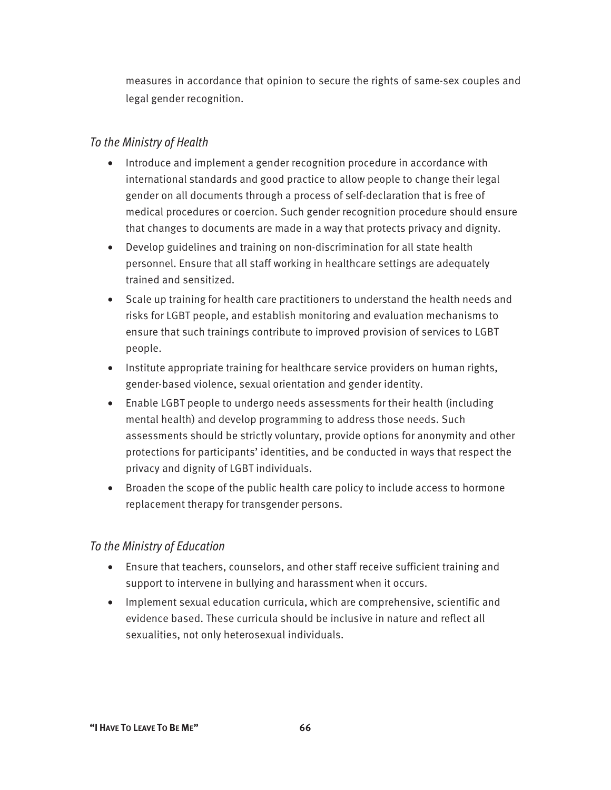measures in accordance that opinion to secure the rights of same-sex couples and legal gender recognition.

#### *To the Ministry of Health*

- Introduce and implement a gender recognition procedure in accordance with international standards and good practice to allow people to change their legal gender on all documents through a process of self-declaration that is free of medical procedures or coercion. Such gender recognition procedure should ensure that changes to documents are made in a way that protects privacy and dignity.
- Develop guidelines and training on non-discrimination for all state health personnel. Ensure that all staff working in healthcare settings are adequately trained and sensitized.
- Scale up training for health care practitioners to understand the health needs and risks for LGBT people, and establish monitoring and evaluation mechanisms to ensure that such trainings contribute to improved provision of services to LGBT people.
- Institute appropriate training for healthcare service providers on human rights, gender-based violence, sexual orientation and gender identity.
- Enable LGBT people to undergo needs assessments for their health (including mental health) and develop programming to address those needs. Such assessments should be strictly voluntary, provide options for anonymity and other protections for participants' identities, and be conducted in ways that respect the privacy and dignity of LGBT individuals.
- Broaden the scope of the public health care policy to include access to hormone replacement therapy for transgender persons.

#### *To the Ministry of Education*

- Ensure that teachers, counselors, and other staff receive sufficient training and support to intervene in bullying and harassment when it occurs.
- Implement sexual education curricula, which are comprehensive, scientific and evidence based. These curricula should be inclusive in nature and reflect all sexualities, not only heterosexual individuals.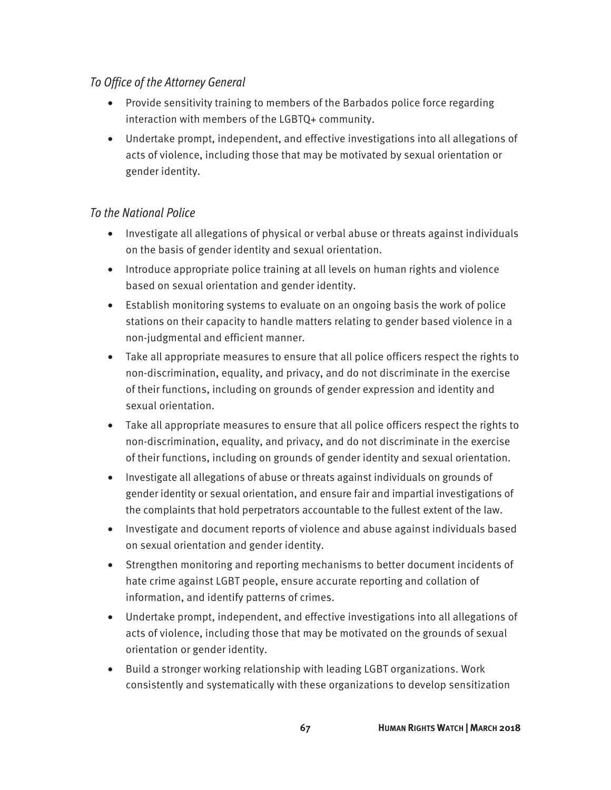#### *To Office of the Attorney General*

- Provide sensitivity training to members of the Barbados police force regarding interaction with members of the LGBTQ+ community.
- Undertake prompt, independent, and effective investigations into all allegations of acts of violence, including those that may be motivated by sexual orientation or gender identity.

- Investigate all allegations of physical or verbal abuse or threats against individuals on the basis of gender identity and sexual orientation.
- Introduce appropriate police training at all levels on human rights and violence based on sexual orientation and gender identity.
- Establish monitoring systems to evaluate on an ongoing basis the work of police stations on their capacity to handle matters relating to gender based violence in a non-judgmental and efficient manner.
- Take all appropriate measures to ensure that all police officers respect the rights to non-discrimination, equality, and privacy, and do not discriminate in the exercise of their functions, including on grounds of gender expression and identity and sexual orientation.
- Take all appropriate measures to ensure that all police officers respect the rights to non-discrimination, equality, and privacy, and do not discriminate in the exercise of their functions, including on grounds of gender identity and sexual orientation.
- Investigate all allegations of abuse or threats against individuals on grounds of gender identity or sexual orientation, and ensure fair and impartial investigations of the complaints that hold perpetrators accountable to the fullest extent of the law.
- Investigate and document reports of violence and abuse against individuals based on sexual orientation and gender identity.
- Strengthen monitoring and reporting mechanisms to better document incidents of hate crime against LGBT people, ensure accurate reporting and collation of information, and identify patterns of crimes.
- Undertake prompt, independent, and effective investigations into all allegations of acts of violence, including those that may be motivated on the grounds of sexual orientation or gender identity.
- Build a stronger working relationship with leading LGBT organizations. Work consistently and systematically with these organizations to develop sensitization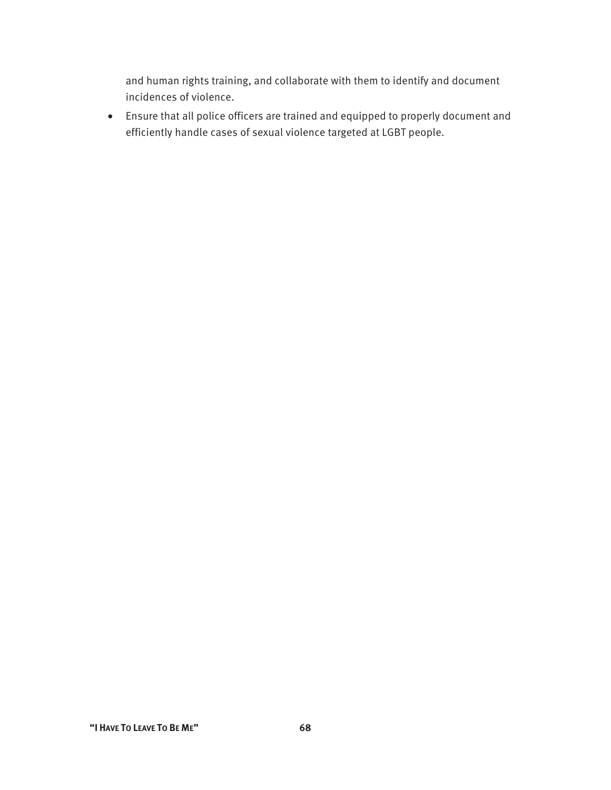and human rights training, and collaborate with them to identify and document incidences of violence.

• Ensure that all police officers are trained and equipped to properly document and efficiently handle cases of sexual violence targeted at LGBT people.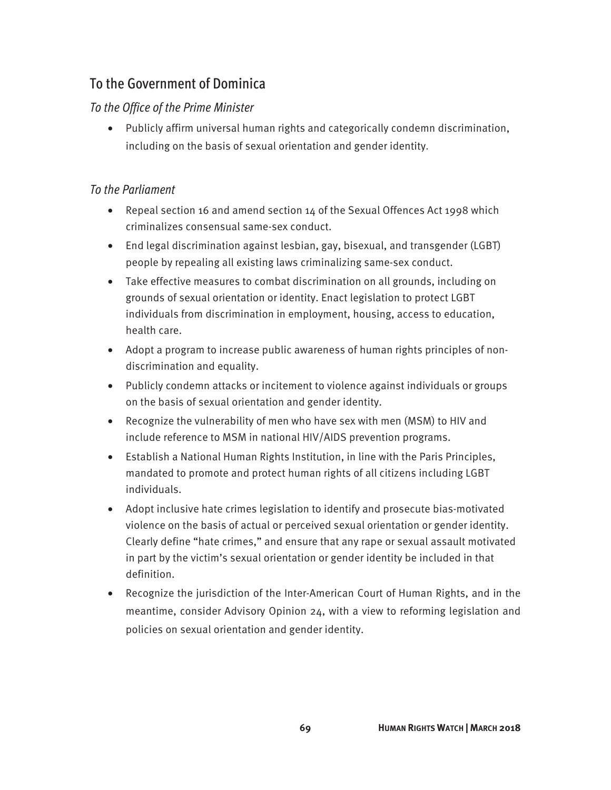## To the Government of Dominica

#### *To the Office of the Prime Minister*

• Publicly affirm universal human rights and categorically condemn discrimination, including on the basis of sexual orientation and gender identity

#### *To the Parliament*

- Repeal section 16 and amend section 14 of the Sexual Offences Act 1998 which criminalizes consensual same-sex conduct.
- End legal discrimination against lesbian, gay, bisexual, and transgender (LGBT) people by repealing all existing laws criminalizing same-sex conduct.
- Take effective measures to combat discrimination on all grounds, including on grounds of sexual orientation or identity. Enact legislation to protect LGBT individuals from discrimination in employment, housing, access to education, health care.
- Adopt a program to increase public awareness of human rights principles of nondiscrimination and equality.
- Publicly condemn attacks or incitement to violence against individuals or groups on the basis of sexual orientation and gender identity.
- Recognize the vulnerability of men who have sex with men (MSM) to HIV and include reference to MSM in national HIV/AIDS prevention programs.
- Establish a National Human Rights Institution, in line with the Paris Principles, mandated to promote and protect human rights of all citizens including LGBT individuals.
- Adopt inclusive hate crimes legislation to identify and prosecute bias-motivated violence on the basis of actual or perceived sexual orientation or gender identity. Clearly define "hate crimes," and ensure that any rape or sexual assault motivated in part by the victim's sexual orientation or gender identity be included in that definition.
- Recognize the jurisdiction of the Inter-American Court of Human Rights, and in the meantime, consider Advisory Opinion 24, with a view to reforming legislation and policies on sexual orientation and gender identity.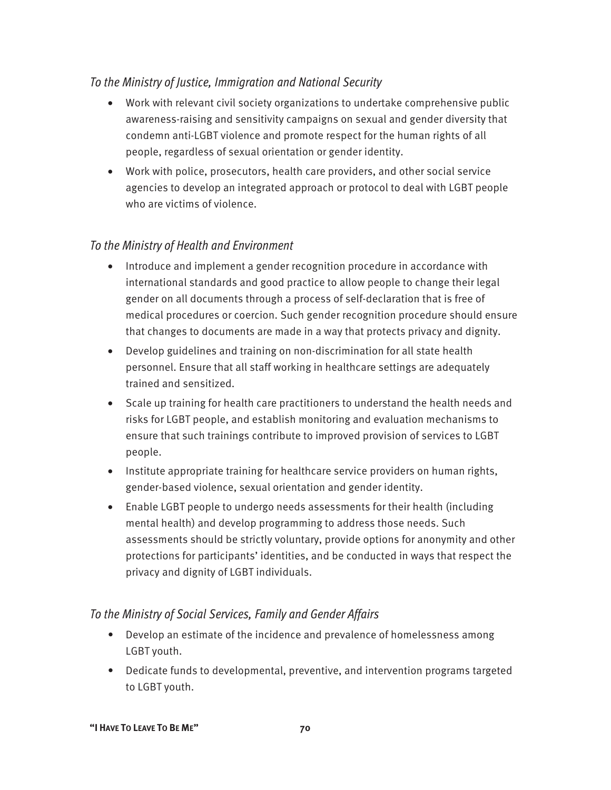#### *To the Ministry of Justice, Immigration and National Security*

- Work with relevant civil society organizations to undertake comprehensive public awareness-raising and sensitivity campaigns on sexual and gender diversity that condemn anti-LGBT violence and promote respect for the human rights of all people, regardless of sexual orientation or gender identity.
- Work with police, prosecutors, health care providers, and other social service agencies to develop an integrated approach or protocol to deal with LGBT people who are victims of violence.

#### *To the Ministry of Health and Environment*

- Introduce and implement a gender recognition procedure in accordance with international standards and good practice to allow people to change their legal gender on all documents through a process of self-declaration that is free of medical procedures or coercion. Such gender recognition procedure should ensure that changes to documents are made in a way that protects privacy and dignity.
- Develop guidelines and training on non-discrimination for all state health personnel. Ensure that all staff working in healthcare settings are adequately trained and sensitized.
- Scale up training for health care practitioners to understand the health needs and risks for LGBT people, and establish monitoring and evaluation mechanisms to ensure that such trainings contribute to improved provision of services to LGBT people.
- Institute appropriate training for healthcare service providers on human rights, gender-based violence, sexual orientation and gender identity.
- Enable LGBT people to undergo needs assessments for their health (including mental health) and develop programming to address those needs. Such assessments should be strictly voluntary, provide options for anonymity and other protections for participants' identities, and be conducted in ways that respect the privacy and dignity of LGBT individuals.

#### *To the Ministry of Social Services, Family and Gender Affairs*

- Develop an estimate of the incidence and prevalence of homelessness among LGBT youth.
- Dedicate funds to developmental, preventive, and intervention programs targeted to LGBT youth.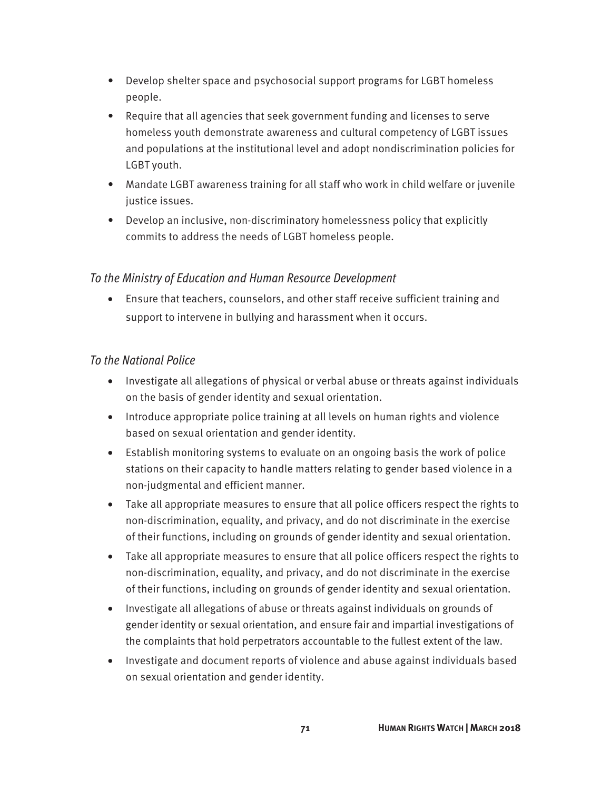- Develop shelter space and psychosocial support programs for LGBT homeless people.
- Require that all agencies that seek government funding and licenses to serve homeless youth demonstrate awareness and cultural competency of LGBT issues and populations at the institutional level and adopt nondiscrimination policies for LGBT youth.
- Mandate LGBT awareness training for all staff who work in child welfare or juvenile justice issues.
- Develop an inclusive, non-discriminatory homelessness policy that explicitly commits to address the needs of LGBT homeless people.

#### *To the Ministry of Education and Human Resource Development*

• Ensure that teachers, counselors, and other staff receive sufficient training and support to intervene in bullying and harassment when it occurs.

- Investigate all allegations of physical or verbal abuse or threats against individuals on the basis of gender identity and sexual orientation.
- Introduce appropriate police training at all levels on human rights and violence based on sexual orientation and gender identity.
- Establish monitoring systems to evaluate on an ongoing basis the work of police stations on their capacity to handle matters relating to gender based violence in a non-judgmental and efficient manner.
- Take all appropriate measures to ensure that all police officers respect the rights to non-discrimination, equality, and privacy, and do not discriminate in the exercise of their functions, including on grounds of gender identity and sexual orientation.
- Take all appropriate measures to ensure that all police officers respect the rights to non-discrimination, equality, and privacy, and do not discriminate in the exercise of their functions, including on grounds of gender identity and sexual orientation.
- Investigate all allegations of abuse or threats against individuals on grounds of gender identity or sexual orientation, and ensure fair and impartial investigations of the complaints that hold perpetrators accountable to the fullest extent of the law.
- Investigate and document reports of violence and abuse against individuals based on sexual orientation and gender identity.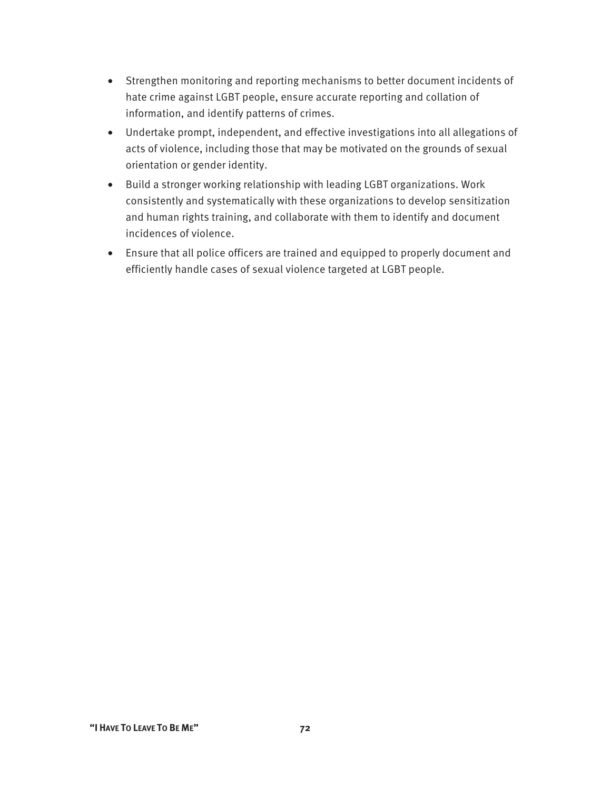- Strengthen monitoring and reporting mechanisms to better document incidents of hate crime against LGBT people, ensure accurate reporting and collation of information, and identify patterns of crimes.
- Undertake prompt, independent, and effective investigations into all allegations of acts of violence, including those that may be motivated on the grounds of sexual orientation or gender identity.
- Build a stronger working relationship with leading LGBT organizations. Work consistently and systematically with these organizations to develop sensitization and human rights training, and collaborate with them to identify and document incidences of violence.
- Ensure that all police officers are trained and equipped to properly document and efficiently handle cases of sexual violence targeted at LGBT people.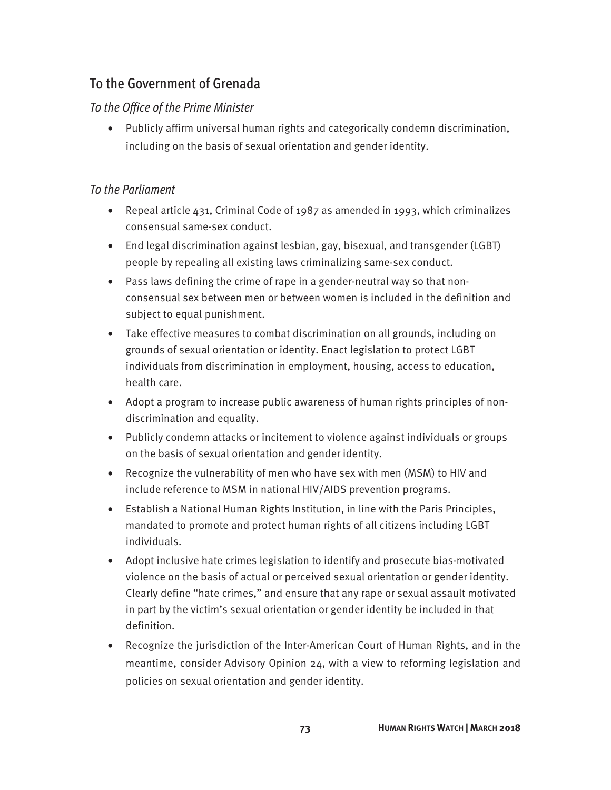## To the Government of Grenada

#### *To the Office of the Prime Minister*

• Publicly affirm universal human rights and categorically condemn discrimination, including on the basis of sexual orientation and gender identity.

#### *To the Parliament*

- Repeal article 431, Criminal Code of 1987 as amended in 1993, which criminalizes consensual same-sex conduct.
- End legal discrimination against lesbian, gay, bisexual, and transgender (LGBT) people by repealing all existing laws criminalizing same-sex conduct.
- Pass laws defining the crime of rape in a gender-neutral way so that nonconsensual sex between men or between women is included in the definition and subject to equal punishment.
- Take effective measures to combat discrimination on all grounds, including on grounds of sexual orientation or identity. Enact legislation to protect LGBT individuals from discrimination in employment, housing, access to education, health care.
- Adopt a program to increase public awareness of human rights principles of nondiscrimination and equality.
- Publicly condemn attacks or incitement to violence against individuals or groups on the basis of sexual orientation and gender identity.
- Recognize the vulnerability of men who have sex with men (MSM) to HIV and include reference to MSM in national HIV/AIDS prevention programs.
- Establish a National Human Rights Institution, in line with the Paris Principles, mandated to promote and protect human rights of all citizens including LGBT individuals.
- Adopt inclusive hate crimes legislation to identify and prosecute bias-motivated violence on the basis of actual or perceived sexual orientation or gender identity. Clearly define "hate crimes," and ensure that any rape or sexual assault motivated in part by the victim's sexual orientation or gender identity be included in that definition.
- Recognize the jurisdiction of the Inter-American Court of Human Rights, and in the meantime, consider Advisory Opinion 24, with a view to reforming legislation and policies on sexual orientation and gender identity.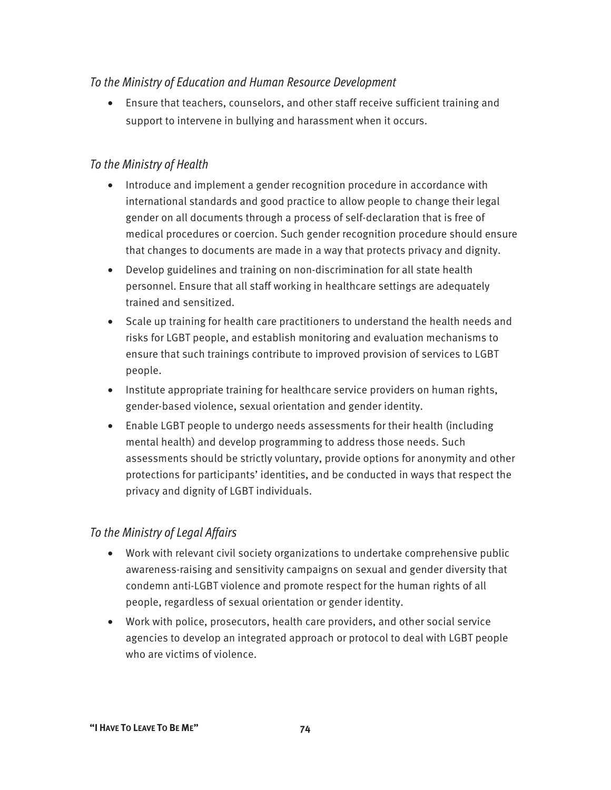#### *To the Ministry of Education and Human Resource Development*

• Ensure that teachers, counselors, and other staff receive sufficient training and support to intervene in bullying and harassment when it occurs.

#### *To the Ministry of Health*

- Introduce and implement a gender recognition procedure in accordance with international standards and good practice to allow people to change their legal gender on all documents through a process of self-declaration that is free of medical procedures or coercion. Such gender recognition procedure should ensure that changes to documents are made in a way that protects privacy and dignity.
- Develop guidelines and training on non-discrimination for all state health personnel. Ensure that all staff working in healthcare settings are adequately trained and sensitized.
- Scale up training for health care practitioners to understand the health needs and risks for LGBT people, and establish monitoring and evaluation mechanisms to ensure that such trainings contribute to improved provision of services to LGBT people.
- Institute appropriate training for healthcare service providers on human rights, gender-based violence, sexual orientation and gender identity.
- Enable LGBT people to undergo needs assessments for their health (including mental health) and develop programming to address those needs. Such assessments should be strictly voluntary, provide options for anonymity and other protections for participants' identities, and be conducted in ways that respect the privacy and dignity of LGBT individuals.

#### *To the Ministry of Legal Affairs*

- Work with relevant civil society organizations to undertake comprehensive public awareness-raising and sensitivity campaigns on sexual and gender diversity that condemn anti-LGBT violence and promote respect for the human rights of all people, regardless of sexual orientation or gender identity.
- Work with police, prosecutors, health care providers, and other social service agencies to develop an integrated approach or protocol to deal with LGBT people who are victims of violence.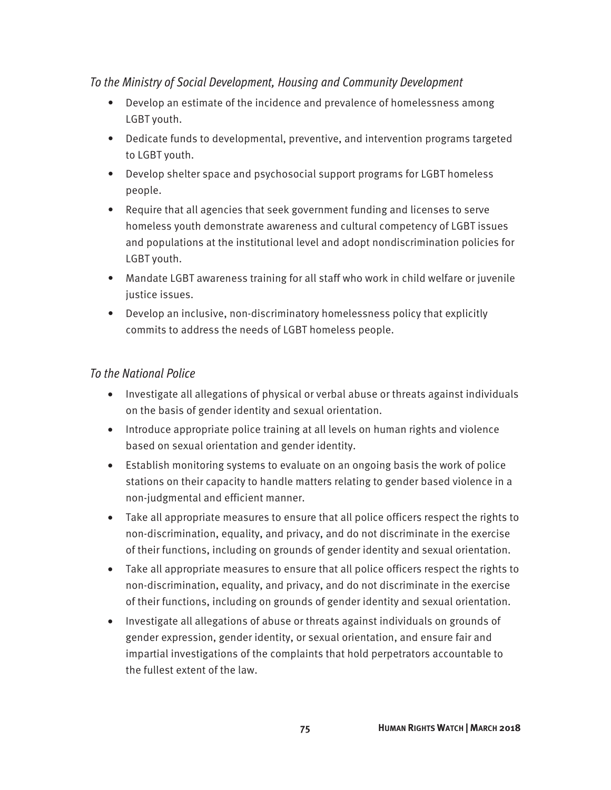#### *To the Ministry of Social Development, Housing and Community Development*

- Develop an estimate of the incidence and prevalence of homelessness among LGBT youth.
- Dedicate funds to developmental, preventive, and intervention programs targeted to LGBT youth.
- Develop shelter space and psychosocial support programs for LGBT homeless people.
- Require that all agencies that seek government funding and licenses to serve homeless youth demonstrate awareness and cultural competency of LGBT issues and populations at the institutional level and adopt nondiscrimination policies for LGBT youth.
- Mandate LGBT awareness training for all staff who work in child welfare or juvenile justice issues.
- Develop an inclusive, non-discriminatory homelessness policy that explicitly commits to address the needs of LGBT homeless people.

- Investigate all allegations of physical or verbal abuse or threats against individuals on the basis of gender identity and sexual orientation.
- Introduce appropriate police training at all levels on human rights and violence based on sexual orientation and gender identity.
- Establish monitoring systems to evaluate on an ongoing basis the work of police stations on their capacity to handle matters relating to gender based violence in a non-judgmental and efficient manner.
- Take all appropriate measures to ensure that all police officers respect the rights to non-discrimination, equality, and privacy, and do not discriminate in the exercise of their functions, including on grounds of gender identity and sexual orientation.
- Take all appropriate measures to ensure that all police officers respect the rights to non-discrimination, equality, and privacy, and do not discriminate in the exercise of their functions, including on grounds of gender identity and sexual orientation.
- Investigate all allegations of abuse or threats against individuals on grounds of gender expression, gender identity, or sexual orientation, and ensure fair and impartial investigations of the complaints that hold perpetrators accountable to the fullest extent of the law.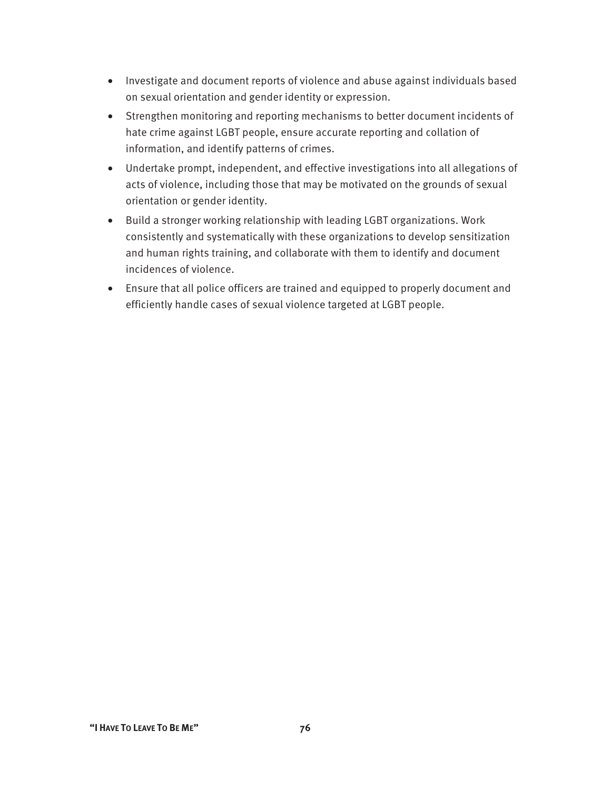- Investigate and document reports of violence and abuse against individuals based on sexual orientation and gender identity or expression.
- Strengthen monitoring and reporting mechanisms to better document incidents of hate crime against LGBT people, ensure accurate reporting and collation of information, and identify patterns of crimes.
- Undertake prompt, independent, and effective investigations into all allegations of acts of violence, including those that may be motivated on the grounds of sexual orientation or gender identity.
- Build a stronger working relationship with leading LGBT organizations. Work consistently and systematically with these organizations to develop sensitization and human rights training, and collaborate with them to identify and document incidences of violence.
- Ensure that all police officers are trained and equipped to properly document and efficiently handle cases of sexual violence targeted at LGBT people.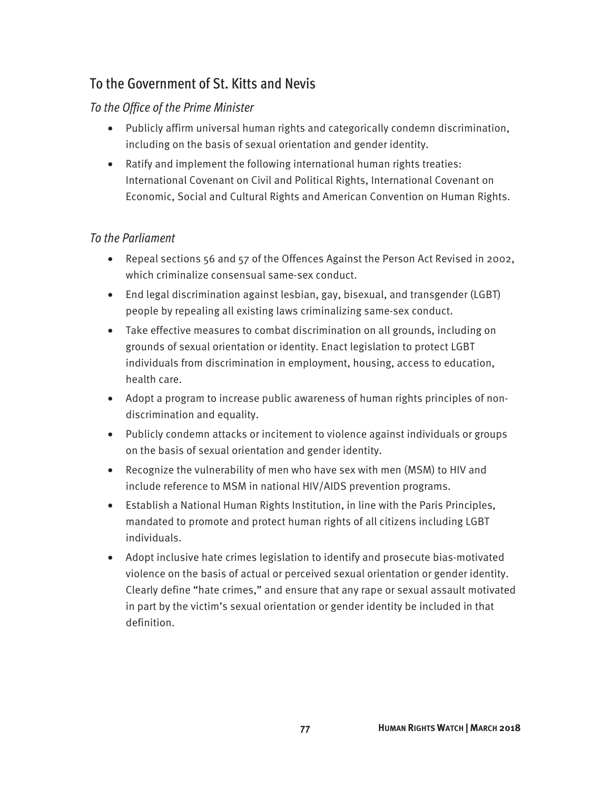## To the Government of St. Kitts and Nevis

#### *To the Office of the Prime Minister*

- Publicly affirm universal human rights and categorically condemn discrimination, including on the basis of sexual orientation and gender identity.
- Ratify and implement the following international human rights treaties: International Covenant on Civil and Political Rights, International Covenant on Economic, Social and Cultural Rights and American Convention on Human Rights.

#### *To the Parliament*

- Repeal sections 56 and 57 of the Offences Against the Person Act Revised in 2002, which criminalize consensual same-sex conduct.
- End legal discrimination against lesbian, gay, bisexual, and transgender (LGBT) people by repealing all existing laws criminalizing same-sex conduct.
- Take effective measures to combat discrimination on all grounds, including on grounds of sexual orientation or identity. Enact legislation to protect LGBT individuals from discrimination in employment, housing, access to education, health care.
- Adopt a program to increase public awareness of human rights principles of nondiscrimination and equality.
- Publicly condemn attacks or incitement to violence against individuals or groups on the basis of sexual orientation and gender identity.
- Recognize the vulnerability of men who have sex with men (MSM) to HIV and include reference to MSM in national HIV/AIDS prevention programs.
- Establish a National Human Rights Institution, in line with the Paris Principles, mandated to promote and protect human rights of all citizens including LGBT individuals.
- Adopt inclusive hate crimes legislation to identify and prosecute bias-motivated violence on the basis of actual or perceived sexual orientation or gender identity. Clearly define "hate crimes," and ensure that any rape or sexual assault motivated in part by the victim's sexual orientation or gender identity be included in that definition.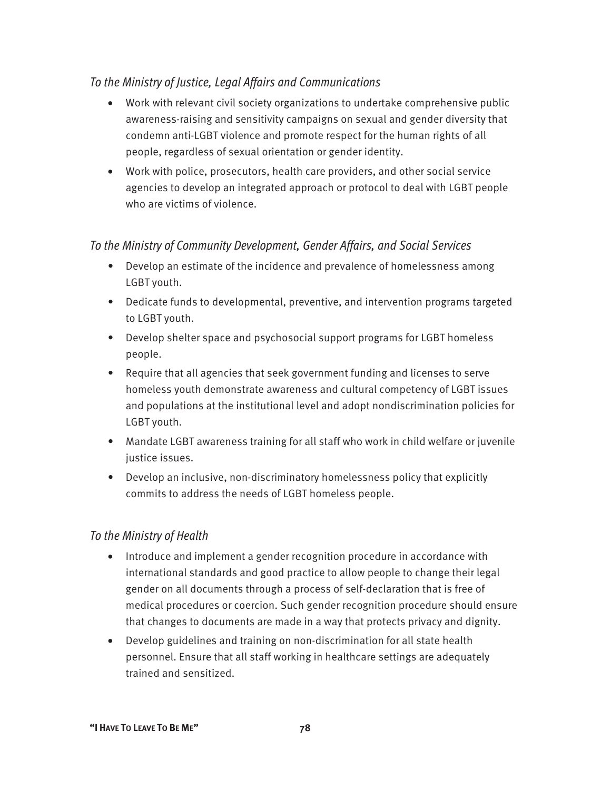#### *To the Ministry of Justice, Legal Affairs and Communications*

- Work with relevant civil society organizations to undertake comprehensive public awareness-raising and sensitivity campaigns on sexual and gender diversity that condemn anti-LGBT violence and promote respect for the human rights of all people, regardless of sexual orientation or gender identity.
- Work with police, prosecutors, health care providers, and other social service agencies to develop an integrated approach or protocol to deal with LGBT people who are victims of violence.

#### *To the Ministry of Community Development, Gender Affairs, and Social Services*

- Develop an estimate of the incidence and prevalence of homelessness among LGBT youth.
- Dedicate funds to developmental, preventive, and intervention programs targeted to LGBT youth.
- Develop shelter space and psychosocial support programs for LGBT homeless people.
- Require that all agencies that seek government funding and licenses to serve homeless youth demonstrate awareness and cultural competency of LGBT issues and populations at the institutional level and adopt nondiscrimination policies for LGBT youth.
- Mandate LGBT awareness training for all staff who work in child welfare or juvenile justice issues.
- Develop an inclusive, non-discriminatory homelessness policy that explicitly commits to address the needs of LGBT homeless people.

#### *To the Ministry of Health*

- Introduce and implement a gender recognition procedure in accordance with international standards and good practice to allow people to change their legal gender on all documents through a process of self-declaration that is free of medical procedures or coercion. Such gender recognition procedure should ensure that changes to documents are made in a way that protects privacy and dignity.
- Develop guidelines and training on non-discrimination for all state health personnel. Ensure that all staff working in healthcare settings are adequately trained and sensitized.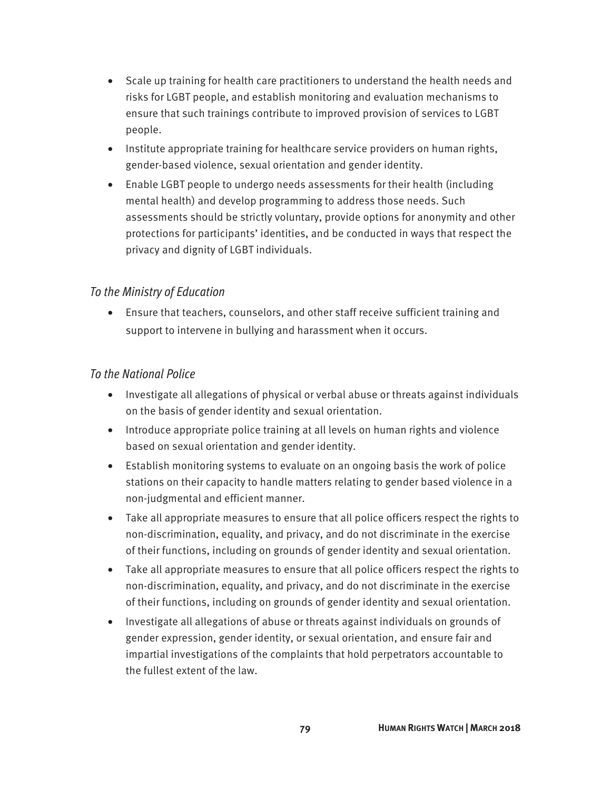- Scale up training for health care practitioners to understand the health needs and risks for LGBT people, and establish monitoring and evaluation mechanisms to ensure that such trainings contribute to improved provision of services to LGBT people.
- Institute appropriate training for healthcare service providers on human rights, gender-based violence, sexual orientation and gender identity.
- Enable LGBT people to undergo needs assessments for their health (including mental health) and develop programming to address those needs. Such assessments should be strictly voluntary, provide options for anonymity and other protections for participants' identities, and be conducted in ways that respect the privacy and dignity of LGBT individuals.

#### *To the Ministry of Education*

• Ensure that teachers, counselors, and other staff receive sufficient training and support to intervene in bullying and harassment when it occurs.

- Investigate all allegations of physical or verbal abuse or threats against individuals on the basis of gender identity and sexual orientation.
- Introduce appropriate police training at all levels on human rights and violence based on sexual orientation and gender identity.
- Establish monitoring systems to evaluate on an ongoing basis the work of police stations on their capacity to handle matters relating to gender based violence in a non-judgmental and efficient manner.
- Take all appropriate measures to ensure that all police officers respect the rights to non-discrimination, equality, and privacy, and do not discriminate in the exercise of their functions, including on grounds of gender identity and sexual orientation.
- Take all appropriate measures to ensure that all police officers respect the rights to non-discrimination, equality, and privacy, and do not discriminate in the exercise of their functions, including on grounds of gender identity and sexual orientation.
- Investigate all allegations of abuse or threats against individuals on grounds of gender expression, gender identity, or sexual orientation, and ensure fair and impartial investigations of the complaints that hold perpetrators accountable to the fullest extent of the law.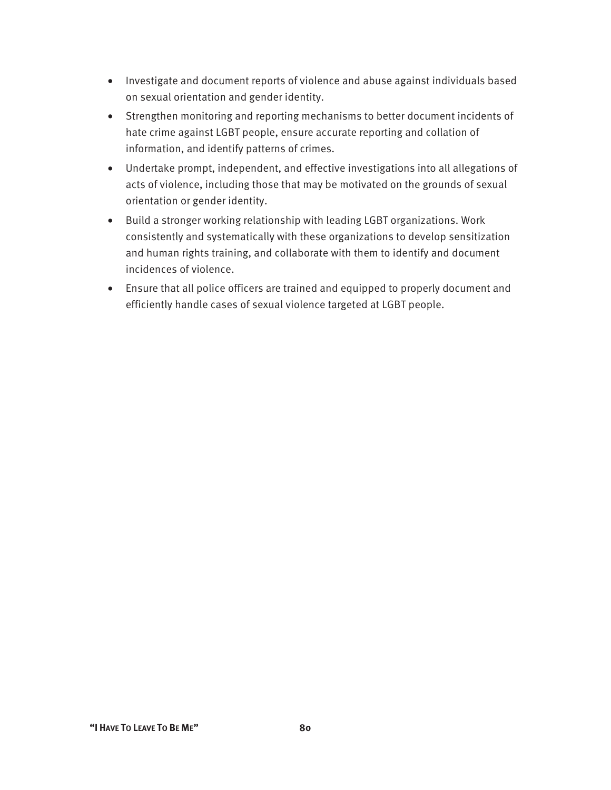- Investigate and document reports of violence and abuse against individuals based on sexual orientation and gender identity.
- Strengthen monitoring and reporting mechanisms to better document incidents of hate crime against LGBT people, ensure accurate reporting and collation of information, and identify patterns of crimes.
- Undertake prompt, independent, and effective investigations into all allegations of acts of violence, including those that may be motivated on the grounds of sexual orientation or gender identity.
- Build a stronger working relationship with leading LGBT organizations. Work consistently and systematically with these organizations to develop sensitization and human rights training, and collaborate with them to identify and document incidences of violence.
- Ensure that all police officers are trained and equipped to properly document and efficiently handle cases of sexual violence targeted at LGBT people.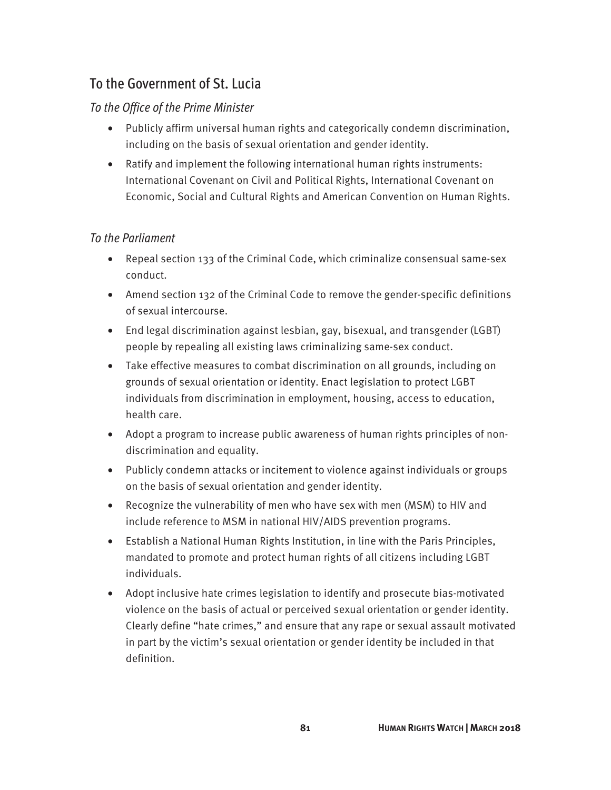## To the Government of St. Lucia

#### *To the Office of the Prime Minister*

- Publicly affirm universal human rights and categorically condemn discrimination, including on the basis of sexual orientation and gender identity.
- Ratify and implement the following international human rights instruments: International Covenant on Civil and Political Rights, International Covenant on Economic, Social and Cultural Rights and American Convention on Human Rights.

#### *To the Parliament*

- Repeal section 133 of the Criminal Code, which criminalize consensual same-sex conduct.
- Amend section 132 of the Criminal Code to remove the gender-specific definitions of sexual intercourse.
- End legal discrimination against lesbian, gay, bisexual, and transgender (LGBT) people by repealing all existing laws criminalizing same-sex conduct.
- Take effective measures to combat discrimination on all grounds, including on grounds of sexual orientation or identity. Enact legislation to protect LGBT individuals from discrimination in employment, housing, access to education, health care.
- Adopt a program to increase public awareness of human rights principles of nondiscrimination and equality.
- Publicly condemn attacks or incitement to violence against individuals or groups on the basis of sexual orientation and gender identity.
- Recognize the vulnerability of men who have sex with men (MSM) to HIV and include reference to MSM in national HIV/AIDS prevention programs.
- Establish a National Human Rights Institution, in line with the Paris Principles, mandated to promote and protect human rights of all citizens including LGBT individuals.
- Adopt inclusive hate crimes legislation to identify and prosecute bias-motivated violence on the basis of actual or perceived sexual orientation or gender identity. Clearly define "hate crimes," and ensure that any rape or sexual assault motivated in part by the victim's sexual orientation or gender identity be included in that definition.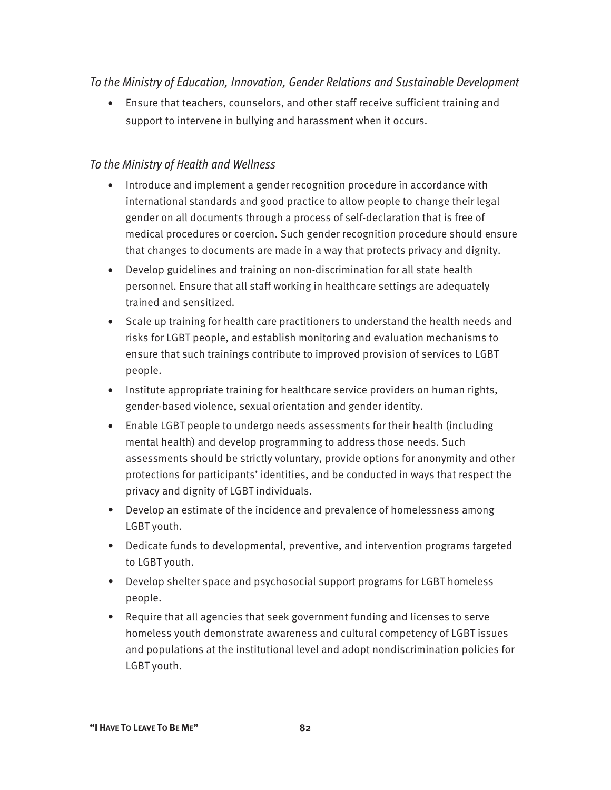#### *To the Ministry of Education, Innovation, Gender Relations and Sustainable Development*

• Ensure that teachers, counselors, and other staff receive sufficient training and support to intervene in bullying and harassment when it occurs.

#### *To the Ministry of Health and Wellness*

- Introduce and implement a gender recognition procedure in accordance with international standards and good practice to allow people to change their legal gender on all documents through a process of self-declaration that is free of medical procedures or coercion. Such gender recognition procedure should ensure that changes to documents are made in a way that protects privacy and dignity.
- Develop guidelines and training on non-discrimination for all state health personnel. Ensure that all staff working in healthcare settings are adequately trained and sensitized.
- Scale up training for health care practitioners to understand the health needs and risks for LGBT people, and establish monitoring and evaluation mechanisms to ensure that such trainings contribute to improved provision of services to LGBT people.
- Institute appropriate training for healthcare service providers on human rights, gender-based violence, sexual orientation and gender identity.
- Enable LGBT people to undergo needs assessments for their health (including mental health) and develop programming to address those needs. Such assessments should be strictly voluntary, provide options for anonymity and other protections for participants' identities, and be conducted in ways that respect the privacy and dignity of LGBT individuals.
- Develop an estimate of the incidence and prevalence of homelessness among LGBT youth.
- Dedicate funds to developmental, preventive, and intervention programs targeted to LGBT youth.
- Develop shelter space and psychosocial support programs for LGBT homeless people.
- Require that all agencies that seek government funding and licenses to serve homeless youth demonstrate awareness and cultural competency of LGBT issues and populations at the institutional level and adopt nondiscrimination policies for LGBT youth.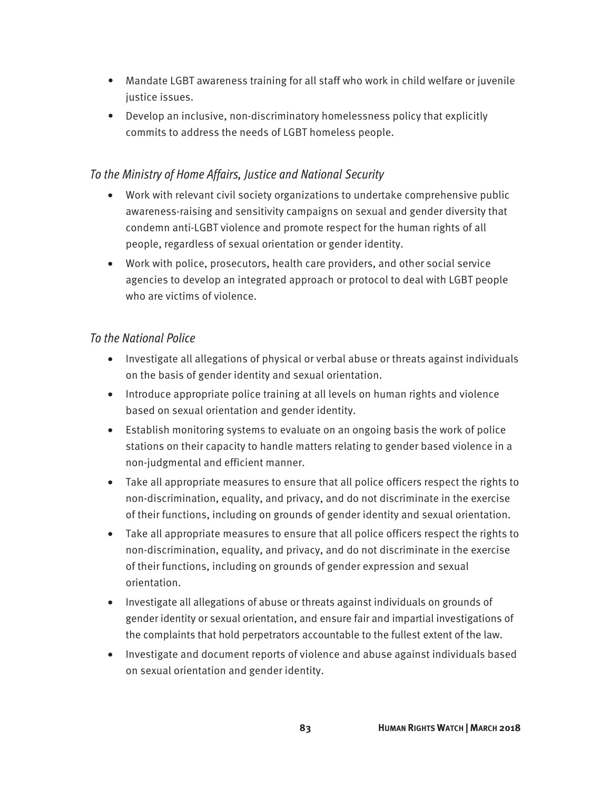- Mandate LGBT awareness training for all staff who work in child welfare or juvenile justice issues.
- Develop an inclusive, non-discriminatory homelessness policy that explicitly commits to address the needs of LGBT homeless people.

#### *To the Ministry of Home Affairs, Justice and National Security*

- Work with relevant civil society organizations to undertake comprehensive public awareness-raising and sensitivity campaigns on sexual and gender diversity that condemn anti-LGBT violence and promote respect for the human rights of all people, regardless of sexual orientation or gender identity.
- Work with police, prosecutors, health care providers, and other social service agencies to develop an integrated approach or protocol to deal with LGBT people who are victims of violence.

- Investigate all allegations of physical or verbal abuse or threats against individuals on the basis of gender identity and sexual orientation.
- Introduce appropriate police training at all levels on human rights and violence based on sexual orientation and gender identity.
- Establish monitoring systems to evaluate on an ongoing basis the work of police stations on their capacity to handle matters relating to gender based violence in a non-judgmental and efficient manner.
- Take all appropriate measures to ensure that all police officers respect the rights to non-discrimination, equality, and privacy, and do not discriminate in the exercise of their functions, including on grounds of gender identity and sexual orientation.
- Take all appropriate measures to ensure that all police officers respect the rights to non-discrimination, equality, and privacy, and do not discriminate in the exercise of their functions, including on grounds of gender expression and sexual orientation.
- Investigate all allegations of abuse or threats against individuals on grounds of gender identity or sexual orientation, and ensure fair and impartial investigations of the complaints that hold perpetrators accountable to the fullest extent of the law.
- Investigate and document reports of violence and abuse against individuals based on sexual orientation and gender identity.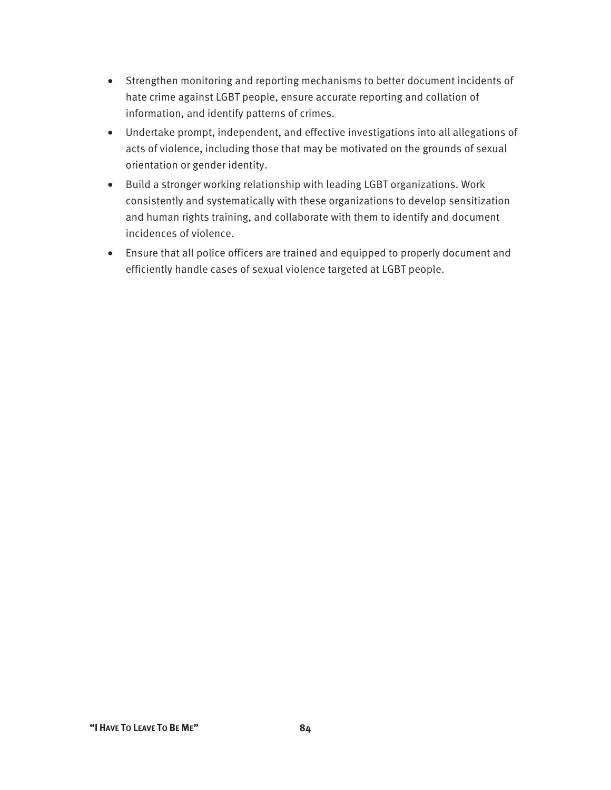- Strengthen monitoring and reporting mechanisms to better document incidents of hate crime against LGBT people, ensure accurate reporting and collation of information, and identify patterns of crimes.
- Undertake prompt, independent, and effective investigations into all allegations of acts of violence, including those that may be motivated on the grounds of sexual orientation or gender identity.
- Build a stronger working relationship with leading LGBT organizations. Work consistently and systematically with these organizations to develop sensitization and human rights training, and collaborate with them to identify and document incidences of violence.
- Ensure that all police officers are trained and equipped to properly document and efficiently handle cases of sexual violence targeted at LGBT people.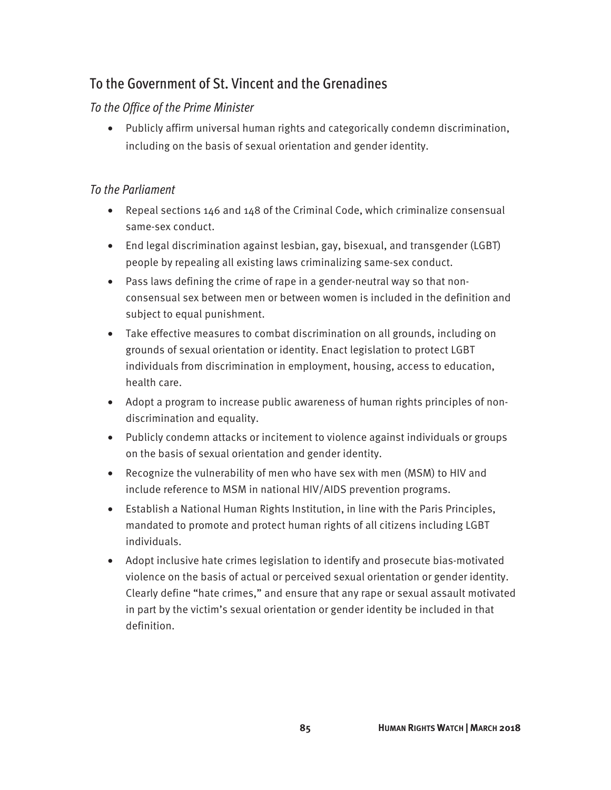## To the Government of St. Vincent and the Grenadines

#### *To the Office of the Prime Minister*

• Publicly affirm universal human rights and categorically condemn discrimination, including on the basis of sexual orientation and gender identity.

#### *To the Parliament*

- Repeal sections 146 and 148 of the Criminal Code, which criminalize consensual same-sex conduct.
- End legal discrimination against lesbian, gay, bisexual, and transgender (LGBT) people by repealing all existing laws criminalizing same-sex conduct.
- Pass laws defining the crime of rape in a gender-neutral way so that nonconsensual sex between men or between women is included in the definition and subject to equal punishment.
- Take effective measures to combat discrimination on all grounds, including on grounds of sexual orientation or identity. Enact legislation to protect LGBT individuals from discrimination in employment, housing, access to education, health care.
- Adopt a program to increase public awareness of human rights principles of nondiscrimination and equality.
- Publicly condemn attacks or incitement to violence against individuals or groups on the basis of sexual orientation and gender identity.
- Recognize the vulnerability of men who have sex with men (MSM) to HIV and include reference to MSM in national HIV/AIDS prevention programs.
- Establish a National Human Rights Institution, in line with the Paris Principles, mandated to promote and protect human rights of all citizens including LGBT individuals.
- Adopt inclusive hate crimes legislation to identify and prosecute bias-motivated violence on the basis of actual or perceived sexual orientation or gender identity. Clearly define "hate crimes," and ensure that any rape or sexual assault motivated in part by the victim's sexual orientation or gender identity be included in that definition.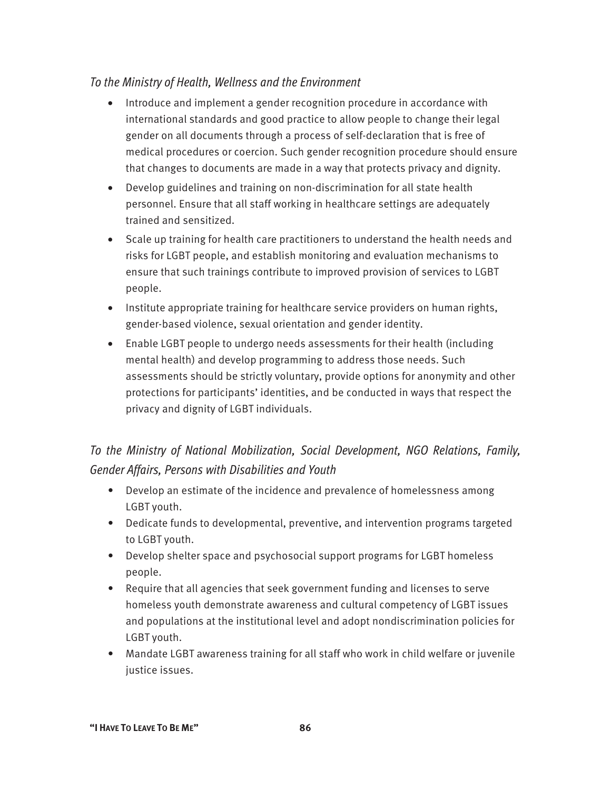#### *To the Ministry of Health, Wellness and the Environment*

- Introduce and implement a gender recognition procedure in accordance with international standards and good practice to allow people to change their legal gender on all documents through a process of self-declaration that is free of medical procedures or coercion. Such gender recognition procedure should ensure that changes to documents are made in a way that protects privacy and dignity.
- Develop guidelines and training on non-discrimination for all state health personnel. Ensure that all staff working in healthcare settings are adequately trained and sensitized.
- Scale up training for health care practitioners to understand the health needs and risks for LGBT people, and establish monitoring and evaluation mechanisms to ensure that such trainings contribute to improved provision of services to LGBT people.
- Institute appropriate training for healthcare service providers on human rights, gender-based violence, sexual orientation and gender identity.
- Enable LGBT people to undergo needs assessments for their health (including mental health) and develop programming to address those needs. Such assessments should be strictly voluntary, provide options for anonymity and other protections for participants' identities, and be conducted in ways that respect the privacy and dignity of LGBT individuals.

## *To the Ministry of National Mobilization, Social Development, NGO Relations, Family, Gender Affairs, Persons with Disabilities and Youth*

- Develop an estimate of the incidence and prevalence of homelessness among LGBT youth.
- Dedicate funds to developmental, preventive, and intervention programs targeted to LGBT youth.
- Develop shelter space and psychosocial support programs for LGBT homeless people.
- Require that all agencies that seek government funding and licenses to serve homeless youth demonstrate awareness and cultural competency of LGBT issues and populations at the institutional level and adopt nondiscrimination policies for LGBT youth.
- Mandate LGBT awareness training for all staff who work in child welfare or juvenile justice issues.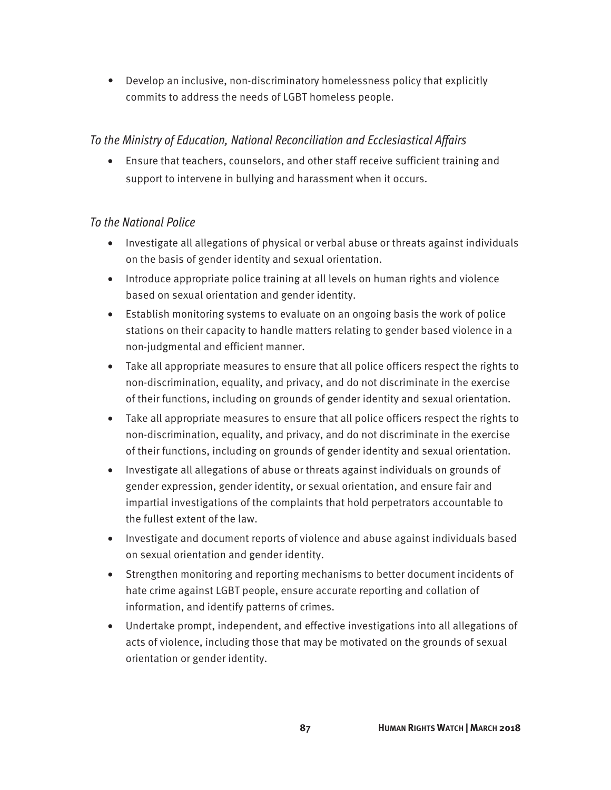• Develop an inclusive, non-discriminatory homelessness policy that explicitly commits to address the needs of LGBT homeless people.

#### *To the Ministry of Education, National Reconciliation and Ecclesiastical Affairs*

• Ensure that teachers, counselors, and other staff receive sufficient training and support to intervene in bullying and harassment when it occurs.

- Investigate all allegations of physical or verbal abuse or threats against individuals on the basis of gender identity and sexual orientation.
- Introduce appropriate police training at all levels on human rights and violence based on sexual orientation and gender identity.
- Establish monitoring systems to evaluate on an ongoing basis the work of police stations on their capacity to handle matters relating to gender based violence in a non-judgmental and efficient manner.
- Take all appropriate measures to ensure that all police officers respect the rights to non-discrimination, equality, and privacy, and do not discriminate in the exercise of their functions, including on grounds of gender identity and sexual orientation.
- Take all appropriate measures to ensure that all police officers respect the rights to non-discrimination, equality, and privacy, and do not discriminate in the exercise of their functions, including on grounds of gender identity and sexual orientation.
- Investigate all allegations of abuse or threats against individuals on grounds of gender expression, gender identity, or sexual orientation, and ensure fair and impartial investigations of the complaints that hold perpetrators accountable to the fullest extent of the law.
- Investigate and document reports of violence and abuse against individuals based on sexual orientation and gender identity.
- Strengthen monitoring and reporting mechanisms to better document incidents of hate crime against LGBT people, ensure accurate reporting and collation of information, and identify patterns of crimes.
- Undertake prompt, independent, and effective investigations into all allegations of acts of violence, including those that may be motivated on the grounds of sexual orientation or gender identity.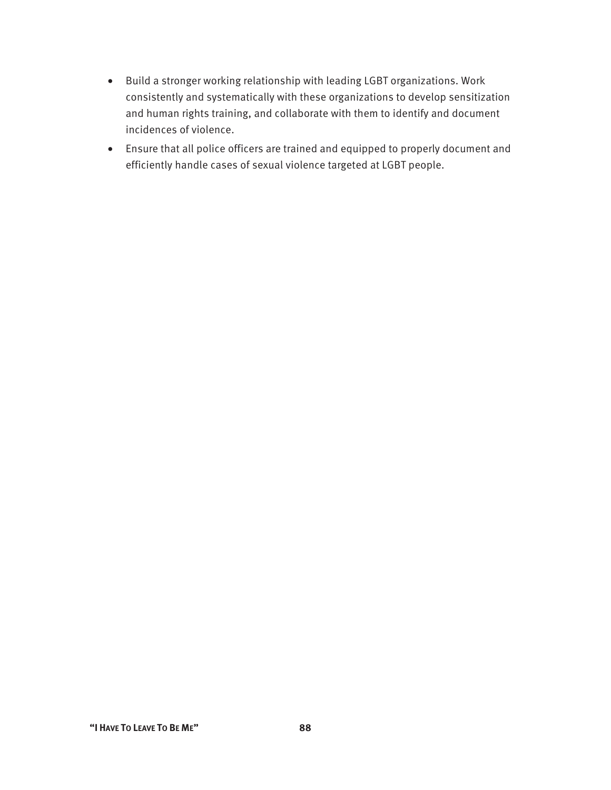- Build a stronger working relationship with leading LGBT organizations. Work consistently and systematically with these organizations to develop sensitization and human rights training, and collaborate with them to identify and document incidences of violence.
- Ensure that all police officers are trained and equipped to properly document and efficiently handle cases of sexual violence targeted at LGBT people.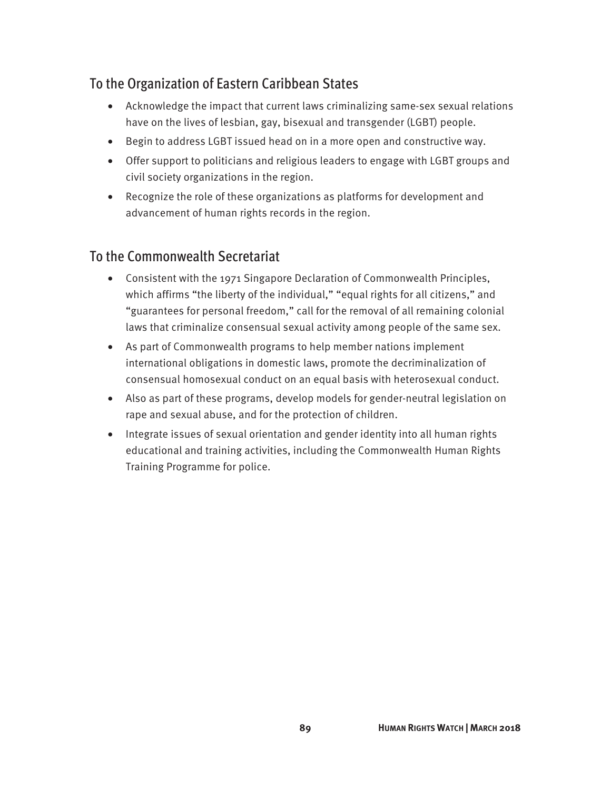## To the Organization of Eastern Caribbean States

- Acknowledge the impact that current laws criminalizing same-sex sexual relations have on the lives of lesbian, gay, bisexual and transgender (LGBT) people.
- Begin to address LGBT issued head on in a more open and constructive way.
- Offer support to politicians and religious leaders to engage with LGBT groups and civil society organizations in the region.
- Recognize the role of these organizations as platforms for development and advancement of human rights records in the region.

### To the Commonwealth Secretariat

- Consistent with the 1971 Singapore Declaration of Commonwealth Principles, which affirms "the liberty of the individual," "equal rights for all citizens," and "guarantees for personal freedom," call for the removal of all remaining colonial laws that criminalize consensual sexual activity among people of the same sex.
- As part of Commonwealth programs to help member nations implement international obligations in domestic laws, promote the decriminalization of consensual homosexual conduct on an equal basis with heterosexual conduct.
- Also as part of these programs, develop models for gender-neutral legislation on rape and sexual abuse, and for the protection of children.
- Integrate issues of sexual orientation and gender identity into all human rights educational and training activities, including the Commonwealth Human Rights Training Programme for police.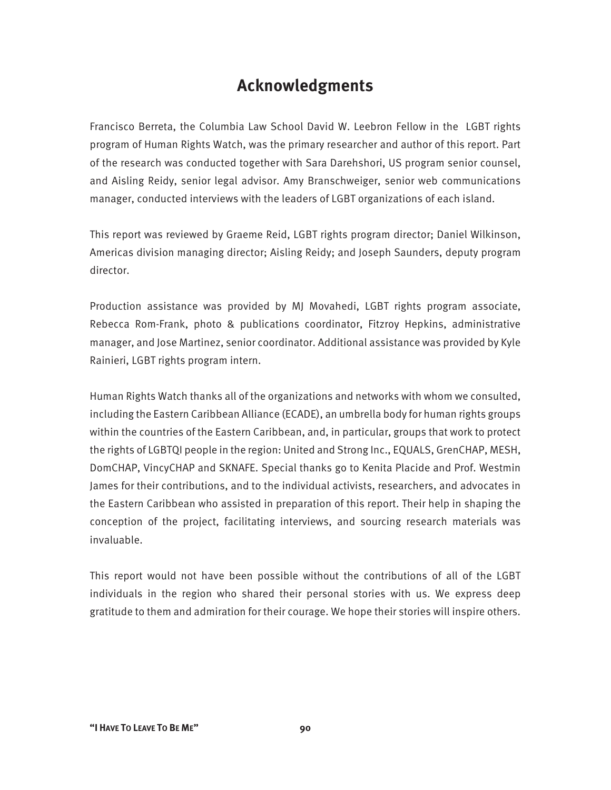## **Acknowledgments**

Francisco Berreta, the Columbia Law School David W. Leebron Fellow in the LGBT rights program of Human Rights Watch, was the primary researcher and author of this report. Part of the research was conducted together with Sara Darehshori, US program senior counsel, and Aisling Reidy, senior legal advisor. Amy Branschweiger, senior web communications manager, conducted interviews with the leaders of LGBT organizations of each island.

This report was reviewed by Graeme Reid, LGBT rights program director; Daniel Wilkinson, Americas division managing director; Aisling Reidy; and Joseph Saunders, deputy program director.

Production assistance was provided by MJ Movahedi, LGBT rights program associate, Rebecca Rom-Frank, photo & publications coordinator, Fitzroy Hepkins, administrative manager, and Jose Martinez, senior coordinator. Additional assistance was provided by Kyle Rainieri, LGBT rights program intern.

Human Rights Watch thanks all of the organizations and networks with whom we consulted, including the Eastern Caribbean Alliance (ECADE), an umbrella body for human rights groups within the countries of the Eastern Caribbean, and, in particular, groups that work to protect the rights of LGBTQI people in the region: United and Strong Inc., EQUALS, GrenCHAP, MESH, DomCHAP, VincyCHAP and SKNAFE. Special thanks go to Kenita Placide and Prof. Westmin James for their contributions, and to the individual activists, researchers, and advocates in the Eastern Caribbean who assisted in preparation of this report. Their help in shaping the conception of the project, facilitating interviews, and sourcing research materials was invaluable.

This report would not have been possible without the contributions of all of the LGBT individuals in the region who shared their personal stories with us. We express deep gratitude to them and admiration for their courage. We hope their stories will inspire others.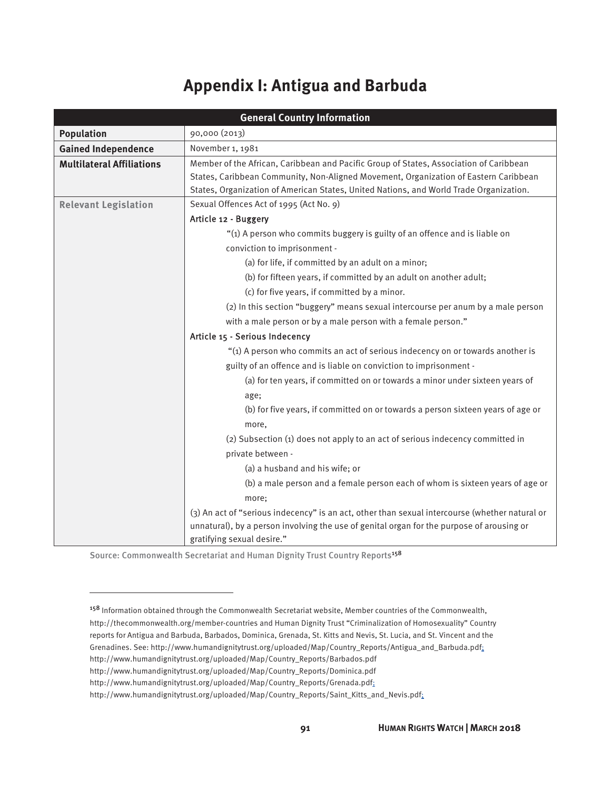## **Appendix I: Antigua and Barbuda**

| <b>General Country Information</b> |                                                                                                |  |
|------------------------------------|------------------------------------------------------------------------------------------------|--|
| <b>Population</b>                  | 90,000 (2013)                                                                                  |  |
| <b>Gained Independence</b>         | November 1, 1981                                                                               |  |
| <b>Multilateral Affiliations</b>   | Member of the African, Caribbean and Pacific Group of States, Association of Caribbean         |  |
|                                    | States, Caribbean Community, Non-Aligned Movement, Organization of Eastern Caribbean           |  |
|                                    | States, Organization of American States, United Nations, and World Trade Organization.         |  |
| <b>Relevant Legislation</b>        | Sexual Offences Act of 1995 (Act No. 9)                                                        |  |
|                                    | Article 12 - Buggery                                                                           |  |
|                                    | "(1) A person who commits buggery is guilty of an offence and is liable on                     |  |
|                                    | conviction to imprisonment -                                                                   |  |
|                                    | (a) for life, if committed by an adult on a minor;                                             |  |
|                                    | (b) for fifteen years, if committed by an adult on another adult;                              |  |
|                                    | (c) for five years, if committed by a minor.                                                   |  |
|                                    | (2) In this section "buggery" means sexual intercourse per anum by a male person               |  |
|                                    | with a male person or by a male person with a female person."                                  |  |
|                                    | Article 15 - Serious Indecency                                                                 |  |
|                                    | "(1) A person who commits an act of serious indecency on or towards another is                 |  |
|                                    | guilty of an offence and is liable on conviction to imprisonment -                             |  |
|                                    | (a) for ten years, if committed on or towards a minor under sixteen years of                   |  |
|                                    | age;                                                                                           |  |
|                                    | (b) for five years, if committed on or towards a person sixteen years of age or                |  |
|                                    | more,                                                                                          |  |
|                                    | (2) Subsection (1) does not apply to an act of serious indecency committed in                  |  |
|                                    | private between -                                                                              |  |
|                                    | (a) a husband and his wife; or                                                                 |  |
|                                    | (b) a male person and a female person each of whom is sixteen years of age or                  |  |
|                                    | more;                                                                                          |  |
|                                    | (3) An act of "serious indecency" is an act, other than sexual intercourse (whether natural or |  |
|                                    | unnatural), by a person involving the use of genital organ for the purpose of arousing or      |  |
|                                    | gratifying sexual desire."                                                                     |  |

Source: Commonwealth Secretariat and Human Dignity Trust Country Reports<sup>158</sup>

reports for Antigua and Barbuda, Barbados, Dominica, Grenada, St. Kitts and Nevis, St. Lucia, and St. Vincent and the

<sup>&</sup>lt;sup>158</sup> Information obtained through the Commonwealth Secretariat website, Member countries of the Commonwealth, http://thecommonwealth.org/member-countries and Human Dignity Trust "Criminalization of Homosexuality" Country

Grenadines. See: http://www.humandignitytrust.org/uploaded/Map/Country\_Reports/Antigua\_and\_Barbuda.pdf;

http://www.humandignitytrust.org/uploaded/Map/Country\_Reports/Barbados.pdf

http://www.humandignitytrust.org/uploaded/Map/Country\_Reports/Dominica.pdf

http://www.humandignitytrust.org/uploaded/Map/Country\_Reports/Grenada.pdf;

http://www.humandignitytrust.org/uploaded/Map/Country\_Reports/Saint\_Kitts\_and\_Nevis.pdf;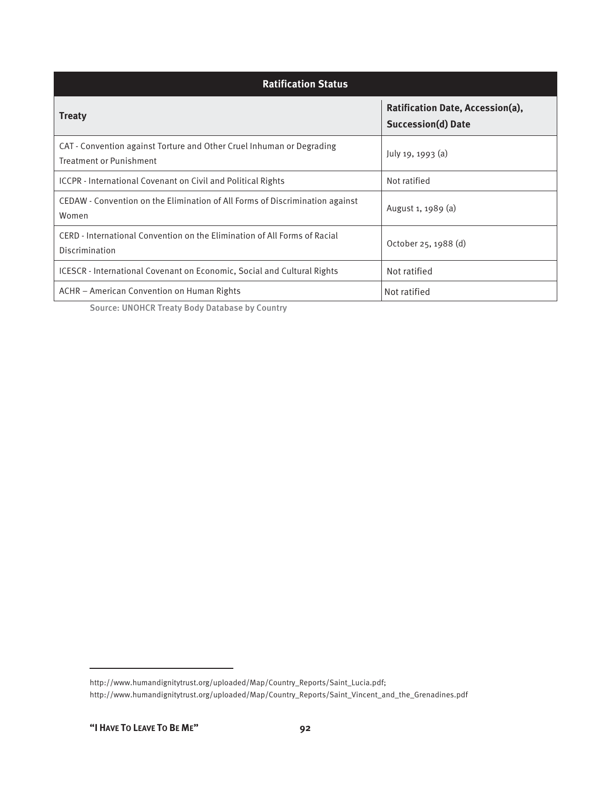| <b>Ratification Status</b>                                                                              |                                                               |
|---------------------------------------------------------------------------------------------------------|---------------------------------------------------------------|
| <b>Treaty</b>                                                                                           | Ratification Date, Accession(a),<br><b>Succession(d) Date</b> |
| CAT - Convention against Torture and Other Cruel Inhuman or Degrading<br><b>Treatment or Punishment</b> | July 19, 1993 (a)                                             |
| ICCPR - International Covenant on Civil and Political Rights                                            | Not ratified                                                  |
| CEDAW - Convention on the Elimination of All Forms of Discrimination against<br>Women                   | August 1, 1989 (a)                                            |
| CERD - International Convention on the Elimination of All Forms of Racial<br>Discrimination             | October 25, 1988 (d)                                          |
| <b>ICESCR</b> - International Covenant on Economic, Social and Cultural Rights                          | Not ratified                                                  |
| ACHR – American Convention on Human Rights                                                              | Not ratified                                                  |

Source: UNOHCR Treaty Body Database by Country

http://www.humandignitytrust.org/uploaded/Map/Country\_Reports/Saint\_Lucia.pdf; http://www.humandignitytrust.org/uploaded/Map/Country\_Reports/Saint\_Vincent\_and\_the\_Grenadines.pdf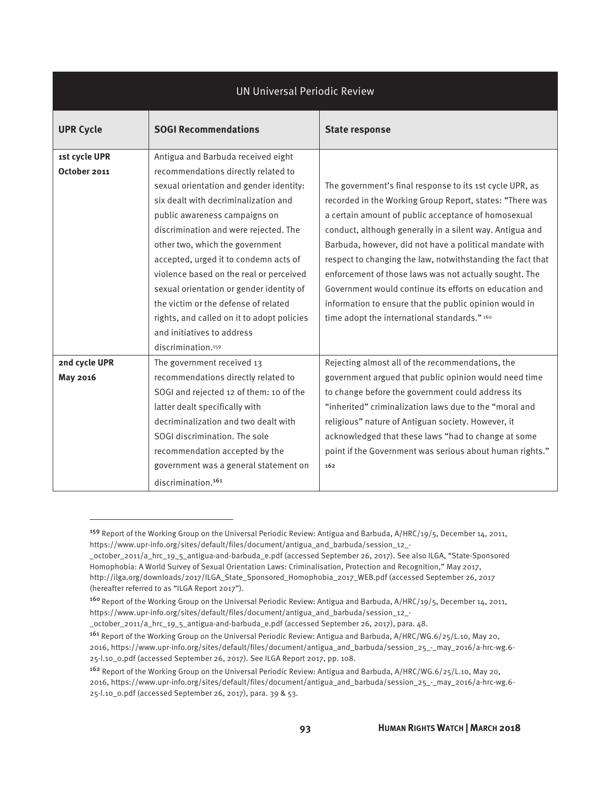| <b>UN Universal Periodic Review</b> |                                            |                                                            |  |
|-------------------------------------|--------------------------------------------|------------------------------------------------------------|--|
| <b>UPR Cycle</b>                    | <b>SOGI Recommendations</b>                | <b>State response</b>                                      |  |
| 1st cycle UPR                       | Antigua and Barbuda received eight         |                                                            |  |
| October 2011                        | recommendations directly related to        |                                                            |  |
|                                     | sexual orientation and gender identity:    | The government's final response to its 1st cycle UPR, as   |  |
|                                     | six dealt with decriminalization and       | recorded in the Working Group Report, states: "There was   |  |
|                                     | public awareness campaigns on              | a certain amount of public acceptance of homosexual        |  |
|                                     | discrimination and were rejected. The      | conduct, although generally in a silent way. Antigua and   |  |
|                                     | other two, which the government            | Barbuda, however, did not have a political mandate with    |  |
|                                     | accepted, urged it to condemn acts of      | respect to changing the law, notwithstanding the fact that |  |
|                                     | violence based on the real or perceived    | enforcement of those laws was not actually sought. The     |  |
|                                     | sexual orientation or gender identity of   | Government would continue its efforts on education and     |  |
|                                     | the victim or the defense of related       | information to ensure that the public opinion would in     |  |
|                                     | rights, and called on it to adopt policies | time adopt the international standards." 160               |  |
|                                     | and initiatives to address                 |                                                            |  |
|                                     | discrimination. <sup>159</sup>             |                                                            |  |
| 2nd cycle UPR                       | The government received 13                 | Rejecting almost all of the recommendations, the           |  |
| May 2016                            | recommendations directly related to        | government argued that public opinion would need time      |  |
|                                     | SOGI and rejected 12 of them: 10 of the    | to change before the government could address its          |  |
|                                     | latter dealt specifically with             | "inherited" criminalization laws due to the "moral and     |  |
|                                     | decriminalization and two dealt with       | religious" nature of Antiguan society. However, it         |  |
|                                     | SOGI discrimination. The sole              | acknowledged that these laws "had to change at some        |  |
|                                     | recommendation accepted by the             | point if the Government was serious about human rights."   |  |
|                                     | government was a general statement on      | 162                                                        |  |
|                                     | discrimination. <sup>161</sup>             |                                                            |  |

\_october\_2011/a\_hrc\_19\_5\_antigua-and-barbuda\_e.pdf (accessed September 26, 2017), para. 48.

<sup>&</sup>lt;sup>159</sup> Report of the Working Group on the Universal Periodic Review: Antigua and Barbuda, A/HRC/19/5, December 14, 2011, https://www.upr-info.org/sites/default/files/document/antigua\_and\_barbuda/session\_12\_-

\_october\_2011/a\_hrc\_19\_5\_antigua-and-barbuda\_e.pdf (accessed September 26, 2017). See also ILGA, "State-Sponsored Homophobia: A World Survey of Sexual Orientation Laws: Criminalisation, Protection and Recognition," May 2017, http://ilga.org/downloads/2017/ILGA\_State\_Sponsored\_Homophobia\_2017\_WEB.pdf (accessed September 26, 2017 (hereafter referred to as "ILGA Report 2017").

<sup>&</sup>lt;sup>160</sup> Report of the Working Group on the Universal Periodic Review: Antigua and Barbuda, A/HRC/19/5, December 14, 2011, https://www.upr-info.org/sites/default/files/document/antigua\_and\_barbuda/session\_12\_-

<sup>161</sup> Report of the Working Group on the Universal Periodic Review: Antigua and Barbuda, A/HRC/WG.6/25/L.10, May 20, 2016, https://www.upr-info.org/sites/default/files/document/antigua\_and\_barbuda/session\_25\_-\_may\_2016/a-hrc-wg.6- 25-l.10\_0.pdf (accessed September 26, 2017). See ILGA Report 2017, pp. 108.

<sup>162</sup> Report of the Working Group on the Universal Periodic Review: Antigua and Barbuda, A/HRC/WG.6/25/L.10, May 20, 2016, https://www.upr-info.org/sites/default/files/document/antigua\_and\_barbuda/session\_25\_-\_may\_2016/a-hrc-wg.6- 25-l.10\_0.pdf (accessed September 26, 2017), para. 39 & 53.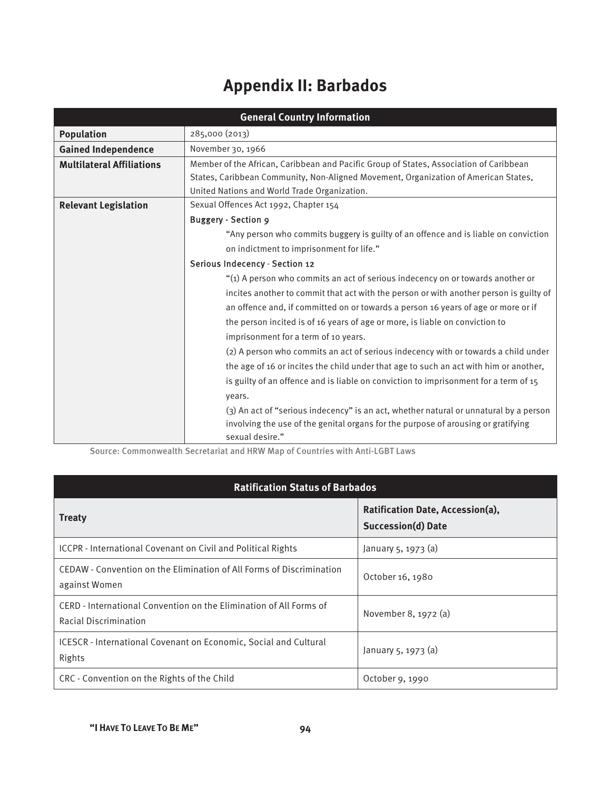# **Appendix II: Barbados**

| <b>General Country Information</b> |                                                                                        |  |
|------------------------------------|----------------------------------------------------------------------------------------|--|
| <b>Population</b>                  | 285,000 (2013)                                                                         |  |
| <b>Gained Independence</b>         | November 30, 1966                                                                      |  |
| <b>Multilateral Affiliations</b>   | Member of the African, Caribbean and Pacific Group of States, Association of Caribbean |  |
|                                    | States, Caribbean Community, Non-Aligned Movement, Organization of American States,    |  |
|                                    | United Nations and World Trade Organization.                                           |  |
| <b>Relevant Legislation</b>        | Sexual Offences Act 1992, Chapter 154                                                  |  |
|                                    | <b>Buggery - Section 9</b>                                                             |  |
|                                    | "Any person who commits buggery is guilty of an offence and is liable on conviction    |  |
|                                    | on indictment to imprisonment for life."                                               |  |
|                                    | Serious Indecency - Section 12                                                         |  |
|                                    | "(1) A person who commits an act of serious indecency on or towards another or         |  |
|                                    | incites another to commit that act with the person or with another person is guilty of |  |
|                                    | an offence and, if committed on or towards a person 16 years of age or more or if      |  |
|                                    | the person incited is of 16 years of age or more, is liable on conviction to           |  |
|                                    | imprisonment for a term of 10 years.                                                   |  |
|                                    | (2) A person who commits an act of serious indecency with or towards a child under     |  |
|                                    | the age of 16 or incites the child under that age to such an act with him or another,  |  |
|                                    | is guilty of an offence and is liable on conviction to imprisonment for a term of 15   |  |
|                                    | years.                                                                                 |  |
|                                    | (3) An act of "serious indecency" is an act, whether natural or unnatural by a person  |  |
|                                    | involving the use of the genital organs for the purpose of arousing or gratifying      |  |
|                                    | sexual desire."                                                                        |  |

Source: Commonwealth Secretariat and HRW Map of Countries with Anti-LGBT Laws

| <b>Ratification Status of Barbados</b>                                                      |                                                               |  |
|---------------------------------------------------------------------------------------------|---------------------------------------------------------------|--|
| <b>Treaty</b>                                                                               | Ratification Date, Accession(a),<br><b>Succession(d) Date</b> |  |
| ICCPR - International Covenant on Civil and Political Rights                                | January $5, 1973$ (a)                                         |  |
| CEDAW - Convention on the Elimination of All Forms of Discrimination<br>against Women       | October 16, 1980                                              |  |
| CERD - International Convention on the Elimination of All Forms of<br>Racial Discrimination | November 8, 1972 (a)                                          |  |
| <b>ICESCR</b> - International Covenant on Economic, Social and Cultural<br>Rights           | January 5, 1973 (a)                                           |  |
| CRC - Convention on the Rights of the Child                                                 | October 9, 1990                                               |  |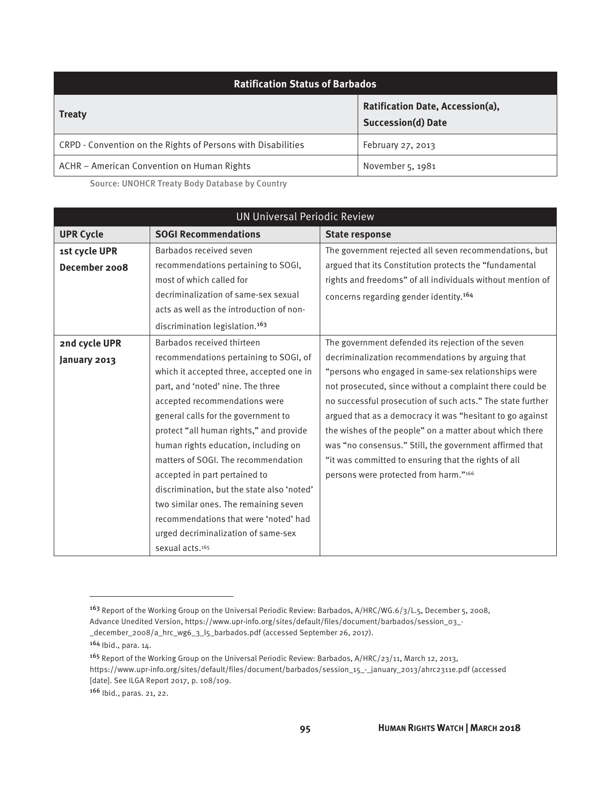| <b>Ratification Status of Barbados</b>                       |                                                               |  |
|--------------------------------------------------------------|---------------------------------------------------------------|--|
| <b>Treaty</b>                                                | Ratification Date, Accession(a),<br><b>Succession(d) Date</b> |  |
| CRPD - Convention on the Rights of Persons with Disabilities | February 27, 2013                                             |  |
| ACHR – American Convention on Human Rights                   | November 5, 1981                                              |  |

Source: UNOHCR Treaty Body Database by Country

| <b>UN Universal Periodic Review</b> |                                            |                                                            |
|-------------------------------------|--------------------------------------------|------------------------------------------------------------|
| <b>UPR Cycle</b>                    | <b>SOGI Recommendations</b>                | <b>State response</b>                                      |
| 1st cycle UPR                       | Barbados received seven                    | The government rejected all seven recommendations, but     |
| December 2008                       | recommendations pertaining to SOGI,        | argued that its Constitution protects the "fundamental     |
|                                     | most of which called for                   | rights and freedoms" of all individuals without mention of |
|                                     | decriminalization of same-sex sexual       | concerns regarding gender identity. <sup>164</sup>         |
|                                     | acts as well as the introduction of non-   |                                                            |
|                                     | discrimination legislation. <sup>163</sup> |                                                            |
| 2nd cycle UPR                       | Barbados received thirteen                 | The government defended its rejection of the seven         |
| January 2013                        | recommendations pertaining to SOGI, of     | decriminalization recommendations by arguing that          |
|                                     | which it accepted three, accepted one in   | "persons who engaged in same-sex relationships were        |
|                                     | part, and 'noted' nine. The three          | not prosecuted, since without a complaint there could be   |
|                                     | accepted recommendations were              | no successful prosecution of such acts." The state further |
|                                     | general calls for the government to        | argued that as a democracy it was "hesitant to go against  |
|                                     | protect "all human rights," and provide    | the wishes of the people" on a matter about which there    |
|                                     | human rights education, including on       | was "no consensus." Still, the government affirmed that    |
|                                     | matters of SOGI. The recommendation        | "it was committed to ensuring that the rights of all       |
|                                     | accepted in part pertained to              | persons were protected from harm."166                      |
|                                     | discrimination, but the state also 'noted' |                                                            |
|                                     | two similar ones. The remaining seven      |                                                            |
|                                     | recommendations that were 'noted' had      |                                                            |
|                                     | urged decriminalization of same-sex        |                                                            |
|                                     | sexual acts. <sup>165</sup>                |                                                            |

<sup>163</sup> Report of the Working Group on the Universal Periodic Review: Barbados, A/HRC/WG.6/3/L.5, December 5, 2008, Advance Unedited Version, https://www.upr-info.org/sites/default/files/document/barbados/session\_03\_- \_december\_2008/a\_hrc\_wg6\_3\_l5\_barbados.pdf (accessed September 26, 2017).

<sup>164</sup> Ibid., para. 14.

<sup>165</sup> Report of the Working Group on the Universal Periodic Review: Barbados, A/HRC/23/11, March 12, 2013, https://www.upr-info.org/sites/default/files/document/barbados/session\_15\_-\_january\_2013/ahrc2311e.pdf (accessed [date]. See ILGA Report 2017, p. 108/109.

<sup>166</sup> Ibid., paras. 21, 22.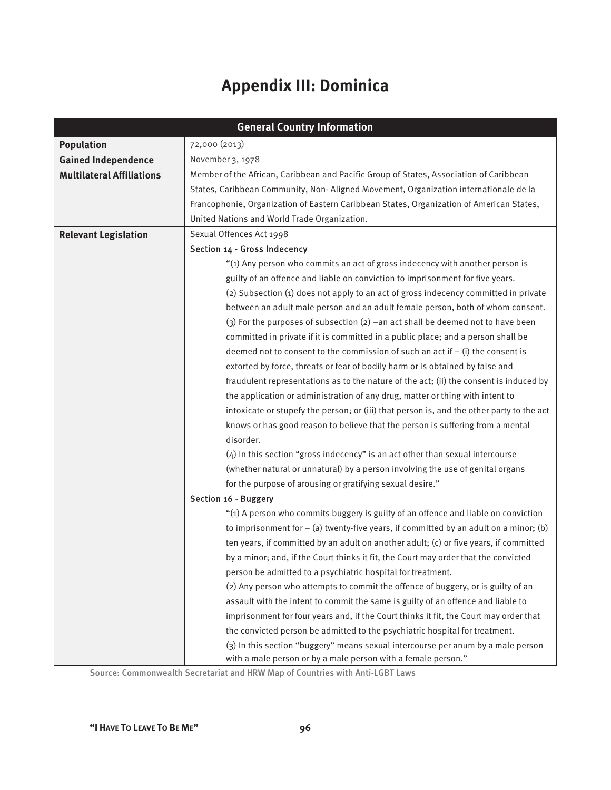# **Appendix III: Dominica**

| <b>General Country Information</b> |                                                                                           |  |
|------------------------------------|-------------------------------------------------------------------------------------------|--|
| <b>Population</b>                  | 72,000 (2013)                                                                             |  |
| <b>Gained Independence</b>         | November 3, 1978                                                                          |  |
| <b>Multilateral Affiliations</b>   | Member of the African, Caribbean and Pacific Group of States, Association of Caribbean    |  |
|                                    | States, Caribbean Community, Non-Aligned Movement, Organization internationale de la      |  |
|                                    | Francophonie, Organization of Eastern Caribbean States, Organization of American States,  |  |
|                                    | United Nations and World Trade Organization.                                              |  |
| <b>Relevant Legislation</b>        | Sexual Offences Act 1998                                                                  |  |
|                                    | Section 14 - Gross Indecency                                                              |  |
|                                    | "(1) Any person who commits an act of gross indecency with another person is              |  |
|                                    | guilty of an offence and liable on conviction to imprisonment for five years.             |  |
|                                    | (2) Subsection (1) does not apply to an act of gross indecency committed in private       |  |
|                                    | between an adult male person and an adult female person, both of whom consent.            |  |
|                                    | (3) For the purposes of subsection (2) -an act shall be deemed not to have been           |  |
|                                    | committed in private if it is committed in a public place; and a person shall be          |  |
|                                    | deemed not to consent to the commission of such an act if $-$ (i) the consent is          |  |
|                                    | extorted by force, threats or fear of bodily harm or is obtained by false and             |  |
|                                    | fraudulent representations as to the nature of the act; (ii) the consent is induced by    |  |
|                                    | the application or administration of any drug, matter or thing with intent to             |  |
|                                    | intoxicate or stupefy the person; or (iii) that person is, and the other party to the act |  |
|                                    | knows or has good reason to believe that the person is suffering from a mental            |  |
|                                    | disorder.                                                                                 |  |
|                                    | (4) In this section "gross indecency" is an act other than sexual intercourse             |  |
|                                    | (whether natural or unnatural) by a person involving the use of genital organs            |  |
|                                    | for the purpose of arousing or gratifying sexual desire."                                 |  |
|                                    | Section 16 - Buggery                                                                      |  |
|                                    | "(1) A person who commits buggery is guilty of an offence and liable on conviction        |  |
|                                    | to imprisonment for $-$ (a) twenty-five years, if committed by an adult on a minor; (b)   |  |
|                                    | ten years, if committed by an adult on another adult; (c) or five years, if committed     |  |
|                                    | by a minor; and, if the Court thinks it fit, the Court may order that the convicted       |  |
|                                    | person be admitted to a psychiatric hospital for treatment.                               |  |
|                                    | (2) Any person who attempts to commit the offence of buggery, or is guilty of an          |  |
|                                    | assault with the intent to commit the same is guilty of an offence and liable to          |  |
|                                    | imprisonment for four years and, if the Court thinks it fit, the Court may order that     |  |
|                                    | the convicted person be admitted to the psychiatric hospital for treatment.               |  |
|                                    | (3) In this section "buggery" means sexual intercourse per anum by a male person          |  |
|                                    | with a male person or by a male person with a female person."                             |  |

Source: Commonwealth Secretariat and HRW Map of Countries with Anti-LGBT Laws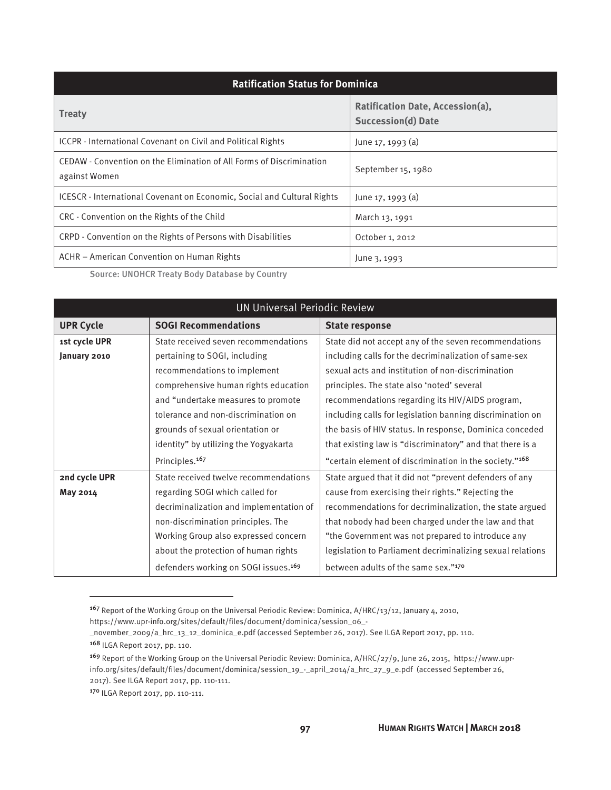| <b>Ratification Status for Dominica</b>                                               |                                                               |  |
|---------------------------------------------------------------------------------------|---------------------------------------------------------------|--|
| <b>Treaty</b>                                                                         | Ratification Date, Accession(a),<br><b>Succession(d) Date</b> |  |
| ICCPR - International Covenant on Civil and Political Rights                          | June $17, 1993$ (a)                                           |  |
| CEDAW - Convention on the Elimination of All Forms of Discrimination<br>against Women | September 15, 1980                                            |  |
| ICESCR - International Covenant on Economic, Social and Cultural Rights               | June $17, 1993$ (a)                                           |  |
| CRC - Convention on the Rights of the Child                                           | March 13, 1991                                                |  |
| CRPD - Convention on the Rights of Persons with Disabilities                          | October 1, 2012                                               |  |
| ACHR – American Convention on Human Rights                                            | June 3, 1993                                                  |  |

Source: UNOHCR Treaty Body Database by Country

| <b>UN Universal Periodic Review</b> |                                                  |                                                            |
|-------------------------------------|--------------------------------------------------|------------------------------------------------------------|
| <b>UPR Cycle</b>                    | <b>SOGI Recommendations</b>                      | <b>State response</b>                                      |
| 1st cycle UPR                       | State received seven recommendations             | State did not accept any of the seven recommendations      |
| January 2010                        | pertaining to SOGI, including                    | including calls for the decriminalization of same-sex      |
|                                     | recommendations to implement                     | sexual acts and institution of non-discrimination          |
|                                     | comprehensive human rights education             | principles. The state also 'noted' several                 |
|                                     | and "undertake measures to promote               | recommendations regarding its HIV/AIDS program,            |
|                                     | tolerance and non-discrimination on              | including calls for legislation banning discrimination on  |
|                                     | grounds of sexual orientation or                 | the basis of HIV status. In response, Dominica conceded    |
|                                     | identity" by utilizing the Yogyakarta            | that existing law is "discriminatory" and that there is a  |
|                                     | Principles. <sup>167</sup>                       | "certain element of discrimination in the society."168     |
| 2nd cycle UPR                       | State received twelve recommendations            | State argued that it did not "prevent defenders of any     |
| May 2014                            | regarding SOGI which called for                  | cause from exercising their rights." Rejecting the         |
|                                     | decriminalization and implementation of          | recommendations for decriminalization, the state argued    |
|                                     | non-discrimination principles. The               | that nobody had been charged under the law and that        |
|                                     | Working Group also expressed concern             | "the Government was not prepared to introduce any          |
|                                     | about the protection of human rights             | legislation to Parliament decriminalizing sexual relations |
|                                     | defenders working on SOGI issues. <sup>169</sup> | between adults of the same sex."170                        |

<sup>167</sup> Report of the Working Group on the Universal Periodic Review: Dominica, A/HRC/13/12, January 4, 2010,

https://www.upr-info.org/sites/default/files/document/dominica/session\_06\_-

\_november\_2009/a\_hrc\_13\_12\_dominica\_e.pdf (accessed September 26, 2017). See ILGA Report 2017, pp. 110.

<sup>168</sup> ILGA Report 2017, pp. 110.

<sup>169</sup> Report of the Working Group on the Universal Periodic Review: Dominica, A/HRC/27/9, June 26, 2015, https://www.uprinfo.org/sites/default/files/document/dominica/session\_19\_-\_april\_2014/a\_hrc\_27\_9\_e.pdf (accessed September 26, 2017). See ILGA Report 2017, pp. 110-111.

<sup>170</sup> ILGA Report 2017, pp. 110-111.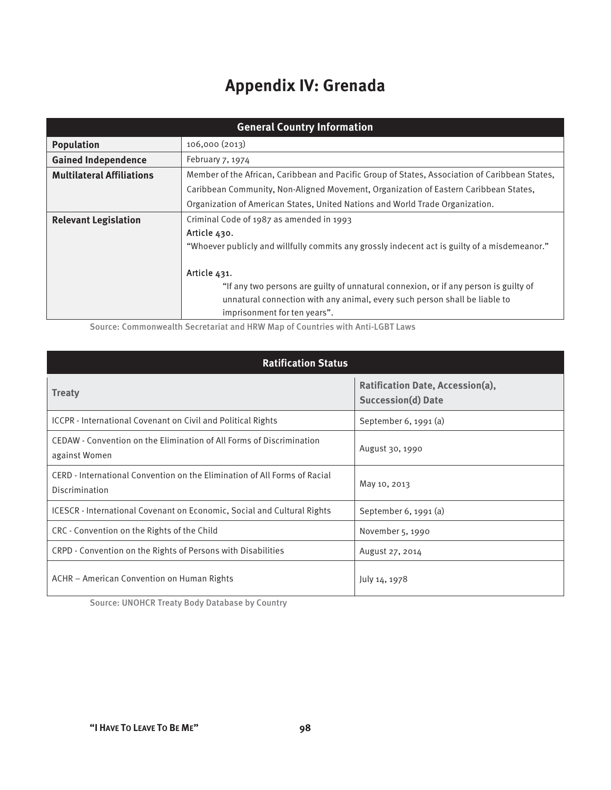# **Appendix IV: Grenada**

| <b>General Country Information</b> |                                                                                                |  |  |
|------------------------------------|------------------------------------------------------------------------------------------------|--|--|
| <b>Population</b>                  | 106,000(2013)                                                                                  |  |  |
| <b>Gained Independence</b>         | February $7, 1974$                                                                             |  |  |
| <b>Multilateral Affiliations</b>   | Member of the African, Caribbean and Pacific Group of States, Association of Caribbean States, |  |  |
|                                    | Caribbean Community, Non-Aligned Movement, Organization of Eastern Caribbean States,           |  |  |
|                                    | Organization of American States, United Nations and World Trade Organization.                  |  |  |
| <b>Relevant Legislation</b>        | Criminal Code of 1987 as amended in 1993                                                       |  |  |
|                                    | Article 430.                                                                                   |  |  |
|                                    | "Whoever publicly and willfully commits any grossly indecent act is guilty of a misdemeanor."  |  |  |
|                                    |                                                                                                |  |  |
|                                    | Article 431.                                                                                   |  |  |
|                                    | "If any two persons are guilty of unnatural connexion, or if any person is guilty of           |  |  |
|                                    | unnatural connection with any animal, every such person shall be liable to                     |  |  |
|                                    | imprisonment for ten years".                                                                   |  |  |

Source: Commonwealth Secretariat and HRW Map of Countries with Anti-LGBT Laws

| <b>Ratification Status</b>                                                                  |                                                               |  |
|---------------------------------------------------------------------------------------------|---------------------------------------------------------------|--|
| <b>Treaty</b>                                                                               | Ratification Date, Accession(a),<br><b>Succession(d) Date</b> |  |
| ICCPR - International Covenant on Civil and Political Rights                                | September $6, 1991$ (a)                                       |  |
| CEDAW - Convention on the Elimination of All Forms of Discrimination<br>against Women       | August 30, 1990                                               |  |
| CERD - International Convention on the Elimination of All Forms of Racial<br>Discrimination | May 10, 2013                                                  |  |
| <b>ICESCR</b> - International Covenant on Economic, Social and Cultural Rights              | September 6, 1991 $(a)$                                       |  |
| CRC - Convention on the Rights of the Child                                                 | November 5, 1990                                              |  |
| CRPD - Convention on the Rights of Persons with Disabilities                                | August 27, 2014                                               |  |
| ACHR – American Convention on Human Rights                                                  | July 14, 1978                                                 |  |

Source: UNOHCR Treaty Body Database by Country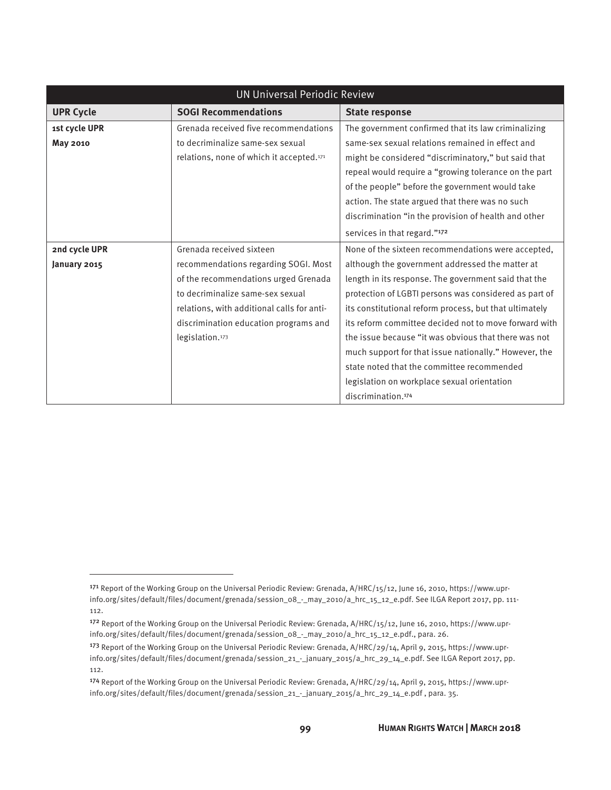| <b>UN Universal Periodic Review</b> |                                                      |                                                        |
|-------------------------------------|------------------------------------------------------|--------------------------------------------------------|
| <b>UPR Cycle</b>                    | <b>SOGI Recommendations</b>                          | <b>State response</b>                                  |
| 1st cycle UPR                       | Grenada received five recommendations                | The government confirmed that its law criminalizing    |
| <b>May 2010</b>                     | to decriminalize same-sex sexual                     | same-sex sexual relations remained in effect and       |
|                                     | relations, none of which it accepted. <sup>171</sup> | might be considered "discriminatory," but said that    |
|                                     |                                                      | repeal would require a "growing tolerance on the part  |
|                                     |                                                      | of the people" before the government would take        |
|                                     |                                                      | action. The state argued that there was no such        |
|                                     |                                                      | discrimination "in the provision of health and other   |
|                                     |                                                      | services in that regard."172                           |
| 2nd cycle UPR                       | Grenada received sixteen                             | None of the sixteen recommendations were accepted,     |
| January 2015                        | recommendations regarding SOGI. Most                 | although the government addressed the matter at        |
|                                     | of the recommendations urged Grenada                 | length in its response. The government said that the   |
|                                     | to decriminalize same-sex sexual                     | protection of LGBTI persons was considered as part of  |
|                                     | relations, with additional calls for anti-           | its constitutional reform process, but that ultimately |
|                                     | discrimination education programs and                | its reform committee decided not to move forward with  |
|                                     | legislation. <sup>173</sup>                          | the issue because "it was obvious that there was not   |
|                                     |                                                      | much support for that issue nationally." However, the  |
|                                     |                                                      | state noted that the committee recommended             |
|                                     |                                                      | legislation on workplace sexual orientation            |
|                                     |                                                      | discrimination. <sup>174</sup>                         |

<sup>171</sup> Report of the Working Group on the Universal Periodic Review: Grenada, A/HRC/15/12, June 16, 2010, https://www.uprinfo.org/sites/default/files/document/grenada/session\_08\_-\_may\_2010/a\_hrc\_15\_12\_e.pdf. See ILGA Report 2017, pp. 111- 112.

<sup>172</sup> Report of the Working Group on the Universal Periodic Review: Grenada, A/HRC/15/12, June 16, 2010, https://www.uprinfo.org/sites/default/files/document/grenada/session\_08\_-\_may\_2010/a\_hrc\_15\_12\_e.pdf., para. 26.

<sup>173</sup> Report of the Working Group on the Universal Periodic Review: Grenada, A/HRC/29/14, April 9, 2015, https://www.uprinfo.org/sites/default/files/document/grenada/session\_21\_-\_january\_2015/a\_hrc\_29\_14\_e.pdf. See ILGA Report 2017, pp. 112.

<sup>174</sup> Report of the Working Group on the Universal Periodic Review: Grenada, A/HRC/29/14, April 9, 2015, https://www.uprinfo.org/sites/default/files/document/grenada/session\_21\_-\_january\_2015/a\_hrc\_29\_14\_e.pdf , para. 35.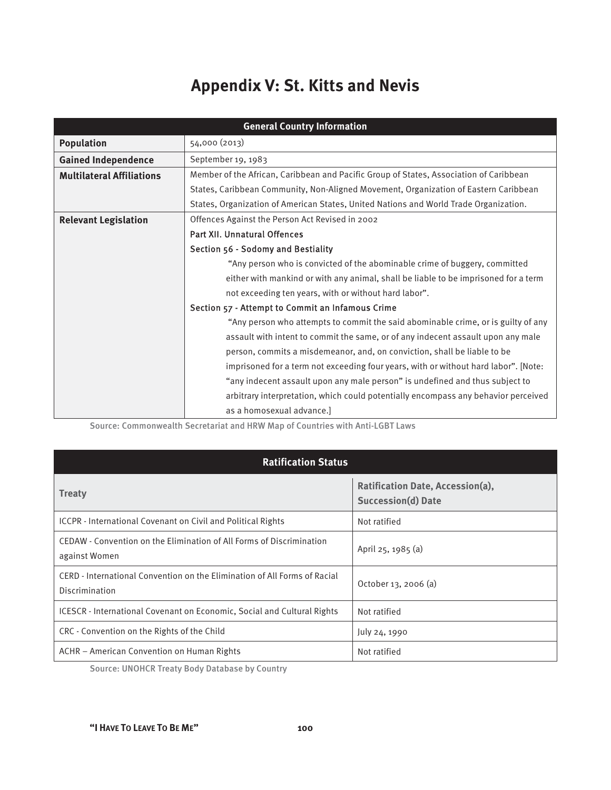# **Appendix V: St. Kitts and Nevis**

| <b>General Country Information</b> |                                                                                        |  |
|------------------------------------|----------------------------------------------------------------------------------------|--|
| <b>Population</b>                  | 54,000 (2013)                                                                          |  |
| <b>Gained Independence</b>         | September 19, 1983                                                                     |  |
| <b>Multilateral Affiliations</b>   | Member of the African, Caribbean and Pacific Group of States, Association of Caribbean |  |
|                                    | States, Caribbean Community, Non-Aligned Movement, Organization of Eastern Caribbean   |  |
|                                    | States, Organization of American States, United Nations and World Trade Organization.  |  |
| <b>Relevant Legislation</b>        | Offences Against the Person Act Revised in 2002                                        |  |
|                                    | Part XII. Unnatural Offences                                                           |  |
|                                    | Section 56 - Sodomy and Bestiality                                                     |  |
|                                    | "Any person who is convicted of the abominable crime of buggery, committed             |  |
|                                    | either with mankind or with any animal, shall be liable to be imprisoned for a term    |  |
|                                    | not exceeding ten years, with or without hard labor".                                  |  |
|                                    | Section 57 - Attempt to Commit an Infamous Crime                                       |  |
|                                    | "Any person who attempts to commit the said abominable crime, or is guilty of any      |  |
|                                    | assault with intent to commit the same, or of any indecent assault upon any male       |  |
|                                    | person, commits a misdemeanor, and, on conviction, shall be liable to be               |  |
|                                    | imprisoned for a term not exceeding four years, with or without hard labor". [Note:    |  |
|                                    | "any indecent assault upon any male person" is undefined and thus subject to           |  |
|                                    | arbitrary interpretation, which could potentially encompass any behavior perceived     |  |
|                                    | as a homosexual advance.]                                                              |  |

Source: Commonwealth Secretariat and HRW Map of Countries with Anti-LGBT Laws

| <b>Ratification Status</b>                                                                  |                                                        |  |
|---------------------------------------------------------------------------------------------|--------------------------------------------------------|--|
| <b>Treaty</b>                                                                               | Ratification Date, Accession(a),<br>Succession(d) Date |  |
| ICCPR - International Covenant on Civil and Political Rights                                | Not ratified                                           |  |
| CEDAW - Convention on the Elimination of All Forms of Discrimination<br>against Women       | April 25, 1985 (a)                                     |  |
| CERD - International Convention on the Elimination of All Forms of Racial<br>Discrimination | October 13, 2006 (a)                                   |  |
| <b>ICESCR</b> - International Covenant on Economic, Social and Cultural Rights              | Not ratified                                           |  |
| CRC - Convention on the Rights of the Child                                                 | July 24, 1990                                          |  |
| ACHR - American Convention on Human Rights                                                  | Not ratified                                           |  |

Source: UNOHCR Treaty Body Database by Country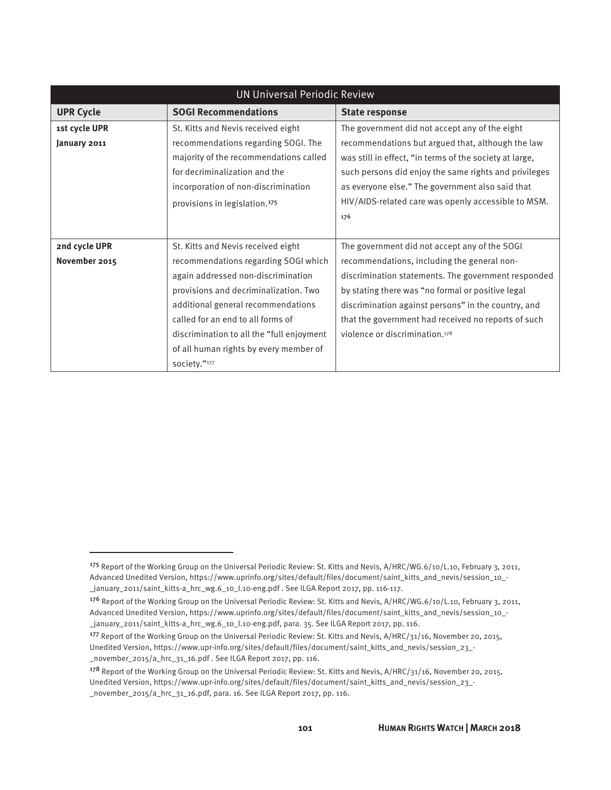| <b>UN Universal Periodic Review</b> |                                           |                                                         |
|-------------------------------------|-------------------------------------------|---------------------------------------------------------|
| <b>UPR Cycle</b>                    | <b>SOGI Recommendations</b>               | <b>State response</b>                                   |
| 1st cycle UPR                       | St. Kitts and Nevis received eight        | The government did not accept any of the eight          |
| January 2011                        | recommendations regarding SOGI. The       | recommendations but argued that, although the law       |
|                                     | majority of the recommendations called    | was still in effect, "in terms of the society at large, |
|                                     | for decriminalization and the             | such persons did enjoy the same rights and privileges   |
|                                     | incorporation of non-discrimination       | as everyone else." The government also said that        |
|                                     | provisions in legislation. <sup>175</sup> | HIV/AIDS-related care was openly accessible to MSM.     |
|                                     |                                           | 176                                                     |
|                                     |                                           |                                                         |
| 2nd cycle UPR                       | St. Kitts and Nevis received eight        | The government did not accept any of the SOGI           |
| November 2015                       | recommendations regarding SOGI which      | recommendations, including the general non-             |
|                                     | again addressed non-discrimination        | discrimination statements. The government responded     |
|                                     | provisions and decriminalization. Two     | by stating there was "no formal or positive legal       |
|                                     | additional general recommendations        | discrimination against persons" in the country, and     |
|                                     | called for an end to all forms of         | that the government had received no reports of such     |
|                                     | discrimination to all the "full enjoyment | violence or discrimination. <sup>178</sup>              |
|                                     | of all human rights by every member of    |                                                         |
|                                     | society."177                              |                                                         |

 $\overline{a}$ 

<sup>&</sup>lt;sup>175</sup> Report of the Working Group on the Universal Periodic Review: St. Kitts and Nevis, A/HRC/WG.6/10/L.10, February 3, 2011, Advanced Unedited Version, https://www.uprinfo.org/sites/default/files/document/saint\_kitts\_and\_nevis/session\_10\_- \_january\_2011/saint\_kitts-a\_hrc\_wg.6\_10\_l.10-eng.pdf . See ILGA Report 2017, pp. 116-117.

<sup>176</sup> Report of the Working Group on the Universal Periodic Review: St. Kitts and Nevis, A/HRC/WG.6/10/L.10, February 3, 2011, Advanced Unedited Version, https://www.uprinfo.org/sites/default/files/document/saint\_kitts\_and\_nevis/session\_10\_- \_january\_2011/saint\_kitts-a\_hrc\_wg.6\_10\_l.10-eng.pdf, para. 35. See ILGA Report 2017, pp. 116.

<sup>177</sup> Report of the Working Group on the Universal Periodic Review: St. Kitts and Nevis, A/HRC/31/16, November 20, 2015, Unedited Version, https://www.upr-info.org/sites/default/files/document/saint\_kitts\_and\_nevis/session\_23\_- \_november\_2015/a\_hrc\_31\_16.pdf . See ILGA Report 2017, pp. 116.

<sup>&</sup>lt;sup>178</sup> Report of the Working Group on the Universal Periodic Review: St. Kitts and Nevis, A/HRC/31/16, November 20, 2015, Unedited Version, https://www.upr-info.org/sites/default/files/document/saint\_kitts\_and\_nevis/session\_23\_- \_november\_2015/a\_hrc\_31\_16.pdf, para. 16. See ILGA Report 2017, pp. 116.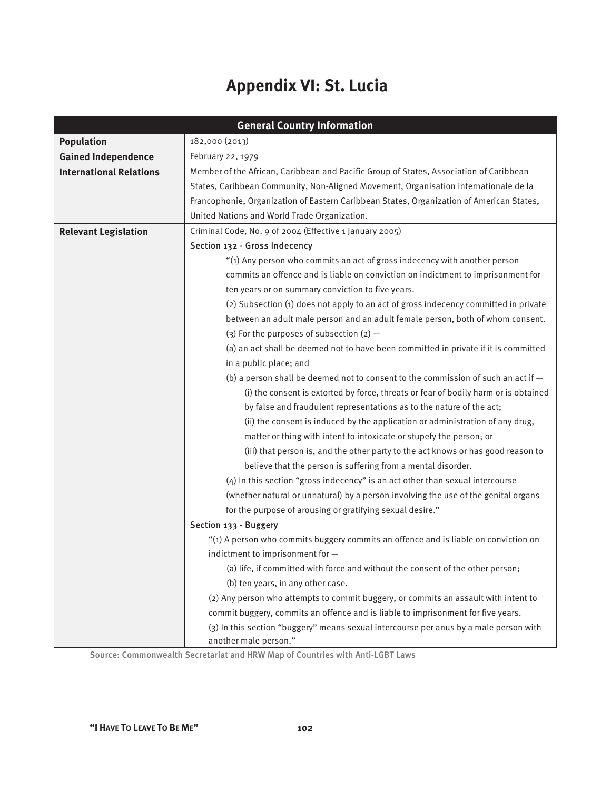# **Appendix VI: St. Lucia**

| <b>General Country Information</b> |                                                                                                                                                                                                                                                                                                                                                                                                                                                                        |  |
|------------------------------------|------------------------------------------------------------------------------------------------------------------------------------------------------------------------------------------------------------------------------------------------------------------------------------------------------------------------------------------------------------------------------------------------------------------------------------------------------------------------|--|
| <b>Population</b>                  | 182,000 (2013)                                                                                                                                                                                                                                                                                                                                                                                                                                                         |  |
| <b>Gained Independence</b>         | February 22, 1979                                                                                                                                                                                                                                                                                                                                                                                                                                                      |  |
| <b>International Relations</b>     | Member of the African, Caribbean and Pacific Group of States, Association of Caribbean                                                                                                                                                                                                                                                                                                                                                                                 |  |
|                                    | States, Caribbean Community, Non-Aligned Movement, Organisation internationale de la                                                                                                                                                                                                                                                                                                                                                                                   |  |
|                                    | Francophonie, Organization of Eastern Caribbean States, Organization of American States,                                                                                                                                                                                                                                                                                                                                                                               |  |
|                                    | United Nations and World Trade Organization.                                                                                                                                                                                                                                                                                                                                                                                                                           |  |
| <b>Relevant Legislation</b>        | Criminal Code, No. 9 of 2004 (Effective 1 January 2005)                                                                                                                                                                                                                                                                                                                                                                                                                |  |
|                                    | Section 132 - Gross Indecency                                                                                                                                                                                                                                                                                                                                                                                                                                          |  |
|                                    | "(1) Any person who commits an act of gross indecency with another person                                                                                                                                                                                                                                                                                                                                                                                              |  |
|                                    | commits an offence and is liable on conviction on indictment to imprisonment for                                                                                                                                                                                                                                                                                                                                                                                       |  |
|                                    | ten years or on summary conviction to five years.                                                                                                                                                                                                                                                                                                                                                                                                                      |  |
|                                    | (2) Subsection (1) does not apply to an act of gross indecency committed in private                                                                                                                                                                                                                                                                                                                                                                                    |  |
|                                    | between an adult male person and an adult female person, both of whom consent.                                                                                                                                                                                                                                                                                                                                                                                         |  |
|                                    | (3) For the purposes of subsection $(2)$ -                                                                                                                                                                                                                                                                                                                                                                                                                             |  |
|                                    | (a) an act shall be deemed not to have been committed in private if it is committed                                                                                                                                                                                                                                                                                                                                                                                    |  |
|                                    | in a public place; and                                                                                                                                                                                                                                                                                                                                                                                                                                                 |  |
|                                    | (b) a person shall be deemed not to consent to the commission of such an act if $-$                                                                                                                                                                                                                                                                                                                                                                                    |  |
|                                    | (i) the consent is extorted by force, threats or fear of bodily harm or is obtained<br>by false and fraudulent representations as to the nature of the act;<br>(ii) the consent is induced by the application or administration of any drug,<br>matter or thing with intent to intoxicate or stupefy the person; or                                                                                                                                                    |  |
|                                    |                                                                                                                                                                                                                                                                                                                                                                                                                                                                        |  |
|                                    |                                                                                                                                                                                                                                                                                                                                                                                                                                                                        |  |
|                                    |                                                                                                                                                                                                                                                                                                                                                                                                                                                                        |  |
|                                    | (iii) that person is, and the other party to the act knows or has good reason to                                                                                                                                                                                                                                                                                                                                                                                       |  |
|                                    | believe that the person is suffering from a mental disorder.                                                                                                                                                                                                                                                                                                                                                                                                           |  |
|                                    | (4) In this section "gross indecency" is an act other than sexual intercourse<br>(whether natural or unnatural) by a person involving the use of the genital organs<br>for the purpose of arousing or gratifying sexual desire."<br>Section 133 - Buggery<br>"(1) A person who commits buggery commits an offence and is liable on conviction on<br>indictment to imprisonment for -<br>(a) life, if committed with force and without the consent of the other person; |  |
|                                    |                                                                                                                                                                                                                                                                                                                                                                                                                                                                        |  |
|                                    |                                                                                                                                                                                                                                                                                                                                                                                                                                                                        |  |
|                                    |                                                                                                                                                                                                                                                                                                                                                                                                                                                                        |  |
|                                    |                                                                                                                                                                                                                                                                                                                                                                                                                                                                        |  |
|                                    |                                                                                                                                                                                                                                                                                                                                                                                                                                                                        |  |
|                                    |                                                                                                                                                                                                                                                                                                                                                                                                                                                                        |  |
|                                    | (b) ten years, in any other case.                                                                                                                                                                                                                                                                                                                                                                                                                                      |  |
|                                    | (2) Any person who attempts to commit buggery, or commits an assault with intent to                                                                                                                                                                                                                                                                                                                                                                                    |  |
|                                    | commit buggery, commits an offence and is liable to imprisonment for five years.                                                                                                                                                                                                                                                                                                                                                                                       |  |
|                                    | (3) In this section "buggery" means sexual intercourse per anus by a male person with                                                                                                                                                                                                                                                                                                                                                                                  |  |
|                                    | another male person."                                                                                                                                                                                                                                                                                                                                                                                                                                                  |  |

Source: Commonwealth Secretariat and HRW Map of Countries with Anti-LGBT Laws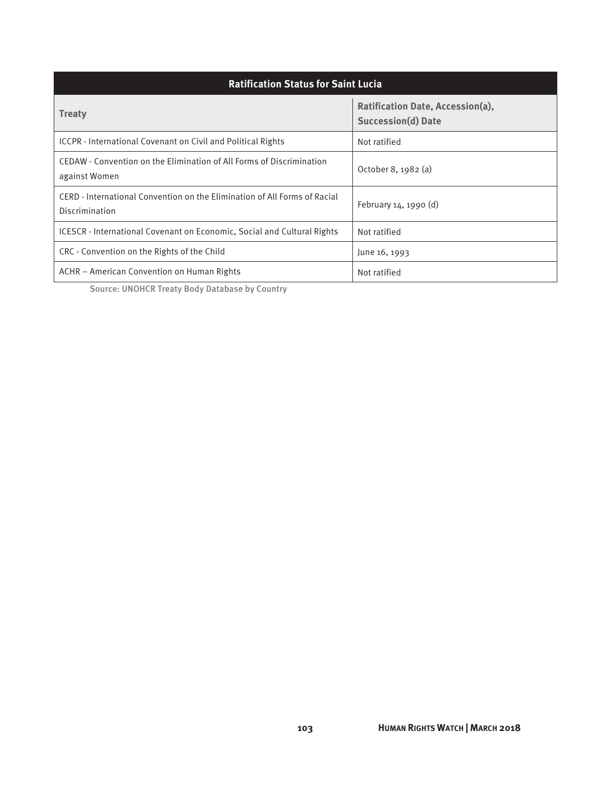| <b>Ratification Status for Saint Lucia</b>                                                         |                                                               |  |
|----------------------------------------------------------------------------------------------------|---------------------------------------------------------------|--|
| <b>Treaty</b>                                                                                      | Ratification Date, Accession(a),<br><b>Succession(d) Date</b> |  |
| ICCPR - International Covenant on Civil and Political Rights                                       | Not ratified                                                  |  |
| CEDAW - Convention on the Elimination of All Forms of Discrimination<br>against Women              | October 8, 1982 (a)                                           |  |
| CERD - International Convention on the Elimination of All Forms of Racial<br><b>Discrimination</b> | February 14, 1990 (d)                                         |  |
| ICESCR - International Covenant on Economic, Social and Cultural Rights                            | Not ratified                                                  |  |
| CRC - Convention on the Rights of the Child                                                        | June 16, 1993                                                 |  |
| ACHR – American Convention on Human Rights                                                         | Not ratified                                                  |  |

Source: UNOHCR Treaty Body Database by Country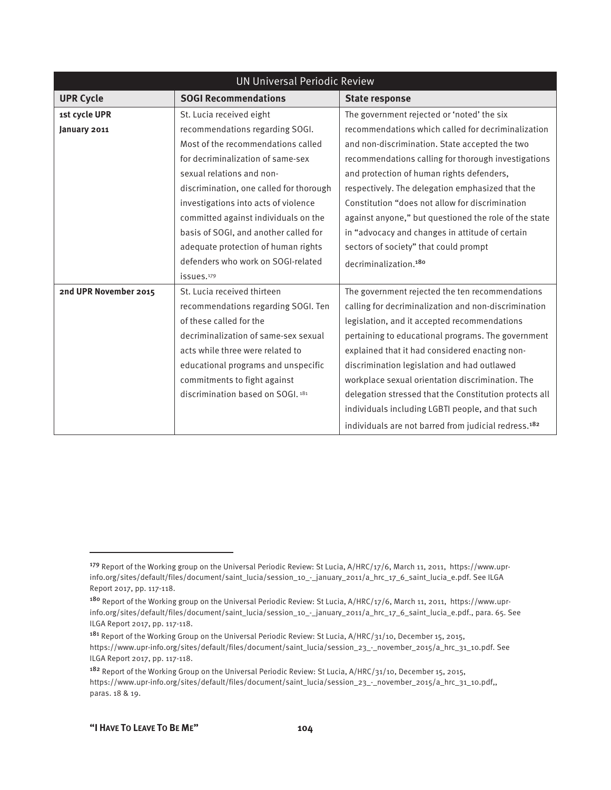| <b>UN Universal Periodic Review</b> |                                         |                                                                  |
|-------------------------------------|-----------------------------------------|------------------------------------------------------------------|
| <b>UPR Cycle</b>                    | <b>SOGI Recommendations</b>             | <b>State response</b>                                            |
| 1st cycle UPR                       | St. Lucia received eight                | The government rejected or 'noted' the six                       |
| January 2011                        | recommendations regarding SOGI.         | recommendations which called for decriminalization               |
|                                     | Most of the recommendations called      | and non-discrimination. State accepted the two                   |
|                                     | for decriminalization of same-sex       | recommendations calling for thorough investigations              |
|                                     | sexual relations and non-               | and protection of human rights defenders,                        |
|                                     | discrimination, one called for thorough | respectively. The delegation emphasized that the                 |
|                                     | investigations into acts of violence    | Constitution "does not allow for discrimination                  |
|                                     | committed against individuals on the    | against anyone," but questioned the role of the state            |
|                                     | basis of SOGI, and another called for   | in "advocacy and changes in attitude of certain                  |
|                                     | adequate protection of human rights     | sectors of society" that could prompt                            |
|                                     | defenders who work on SOGI-related      | decriminalization. <sup>180</sup>                                |
|                                     | issues.179                              |                                                                  |
| 2nd UPR November 2015               | St. Lucia received thirteen             | The government rejected the ten recommendations                  |
|                                     | recommendations regarding SOGI. Ten     | calling for decriminalization and non-discrimination             |
|                                     | of these called for the                 | legislation, and it accepted recommendations                     |
|                                     | decriminalization of same-sex sexual    | pertaining to educational programs. The government               |
|                                     | acts while three were related to        | explained that it had considered enacting non-                   |
|                                     | educational programs and unspecific     | discrimination legislation and had outlawed                      |
|                                     | commitments to fight against            | workplace sexual orientation discrimination. The                 |
|                                     | discrimination based on SOGI. 181       | delegation stressed that the Constitution protects all           |
|                                     |                                         | individuals including LGBTI people, and that such                |
|                                     |                                         | individuals are not barred from judicial redress. <sup>182</sup> |

 $\overline{a}$ 

<sup>179</sup> Report of the Working group on the Universal Periodic Review: St Lucia, A/HRC/17/6, March 11, 2011, https://www.uprinfo.org/sites/default/files/document/saint\_lucia/session\_10\_-\_january\_2011/a\_hrc\_17\_6\_saint\_lucia\_e.pdf. See ILGA Report 2017, pp. 117-118.

<sup>180</sup> Report of the Working group on the Universal Periodic Review: St Lucia, A/HRC/17/6, March 11, 2011, https://www.uprinfo.org/sites/default/files/document/saint\_lucia/session\_10\_-\_january\_2011/a\_hrc\_17\_6\_saint\_lucia\_e.pdf., para. 65. See ILGA Report 2017, pp. 117-118.

<sup>&</sup>lt;sup>181</sup> Report of the Working Group on the Universal Periodic Review: St Lucia, A/HRC/31/10, December 15, 2015, https://www.upr-info.org/sites/default/files/document/saint\_lucia/session\_23\_-\_november\_2015/a\_hrc\_31\_10.pdf. See ILGA Report 2017, pp. 117-118.

<sup>&</sup>lt;sup>182</sup> Report of the Working Group on the Universal Periodic Review: St Lucia, A/HRC/31/10, December 15, 2015, https://www.upr-info.org/sites/default/files/document/saint\_lucia/session\_23\_-\_november\_2015/a\_hrc\_31\_10.pdf,, paras. 18 & 19.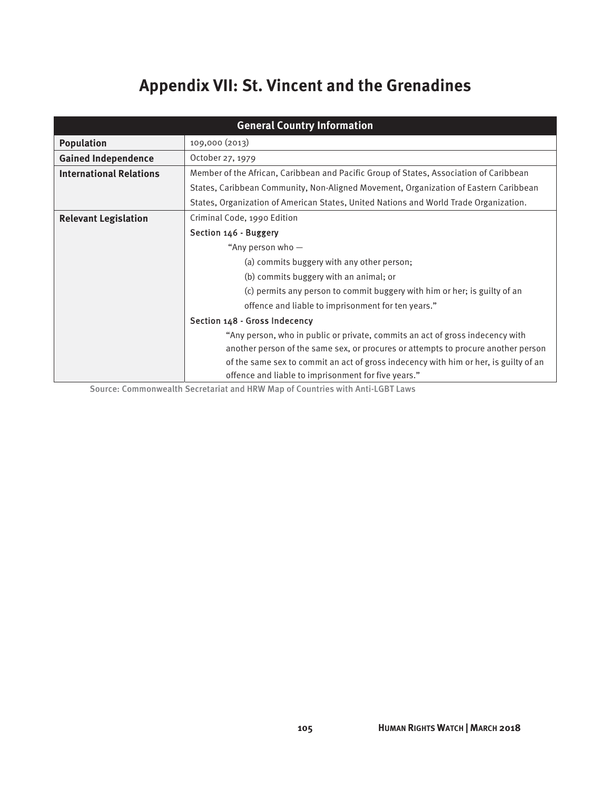# **Appendix VII: St. Vincent and the Grenadines**

| <b>General Country Information</b> |                                                                                                                                      |  |
|------------------------------------|--------------------------------------------------------------------------------------------------------------------------------------|--|
| <b>Population</b>                  | 109,000 (2013)                                                                                                                       |  |
| <b>Gained Independence</b>         | October 27, 1979                                                                                                                     |  |
| <b>International Relations</b>     | Member of the African, Caribbean and Pacific Group of States, Association of Caribbean                                               |  |
|                                    | States, Caribbean Community, Non-Aligned Movement, Organization of Eastern Caribbean                                                 |  |
|                                    | States, Organization of American States, United Nations and World Trade Organization.                                                |  |
| <b>Relevant Legislation</b>        | Criminal Code, 1990 Edition                                                                                                          |  |
|                                    | Section 146 - Buggery<br>"Any person who $-$<br>(a) commits buggery with any other person;<br>(b) commits buggery with an animal; or |  |
|                                    |                                                                                                                                      |  |
|                                    |                                                                                                                                      |  |
|                                    |                                                                                                                                      |  |
|                                    | (c) permits any person to commit buggery with him or her; is guilty of an                                                            |  |
|                                    | offence and liable to imprisonment for ten years."<br>Section 148 - Gross Indecency                                                  |  |
|                                    |                                                                                                                                      |  |
|                                    | "Any person, who in public or private, commits an act of gross indecency with                                                        |  |
|                                    | another person of the same sex, or procures or attempts to procure another person                                                    |  |
|                                    | of the same sex to commit an act of gross indecency with him or her, is guilty of an                                                 |  |
|                                    | offence and liable to imprisonment for five years."                                                                                  |  |

Source: Commonwealth Secretariat and HRW Map of Countries with Anti-LGBT Laws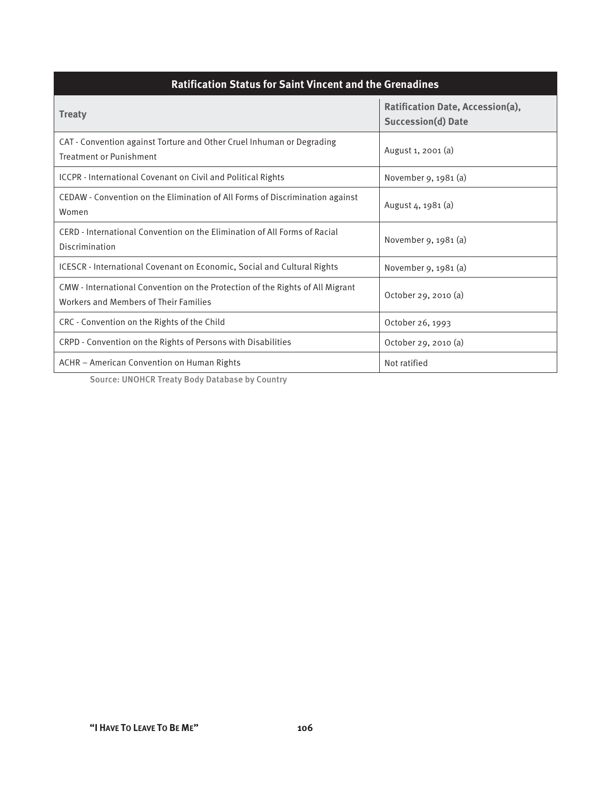| <b>Ratification Status for Saint Vincent and the Grenadines</b>                                                        |                                                               |  |
|------------------------------------------------------------------------------------------------------------------------|---------------------------------------------------------------|--|
| <b>Treaty</b>                                                                                                          | Ratification Date, Accession(a),<br><b>Succession(d) Date</b> |  |
| CAT - Convention against Torture and Other Cruel Inhuman or Degrading<br><b>Treatment or Punishment</b>                | August 1, 2001 (a)                                            |  |
| <b>ICCPR</b> - International Covenant on Civil and Political Rights                                                    | November 9, 1981 (a)                                          |  |
| CEDAW - Convention on the Elimination of All Forms of Discrimination against<br>Women                                  | August 4, 1981 (a)                                            |  |
| CERD - International Convention on the Elimination of All Forms of Racial<br>Discrimination                            | November 9, 1981 (a)                                          |  |
| ICESCR - International Covenant on Economic, Social and Cultural Rights                                                | November 9, 1981 (a)                                          |  |
| CMW - International Convention on the Protection of the Rights of All Migrant<br>Workers and Members of Their Families | October 29, 2010 (a)                                          |  |
| CRC - Convention on the Rights of the Child                                                                            | October 26, 1993                                              |  |
| CRPD - Convention on the Rights of Persons with Disabilities                                                           | October 29, 2010 (a)                                          |  |
| ACHR - American Convention on Human Rights                                                                             | Not ratified                                                  |  |

Source: UNOHCR Treaty Body Database by Country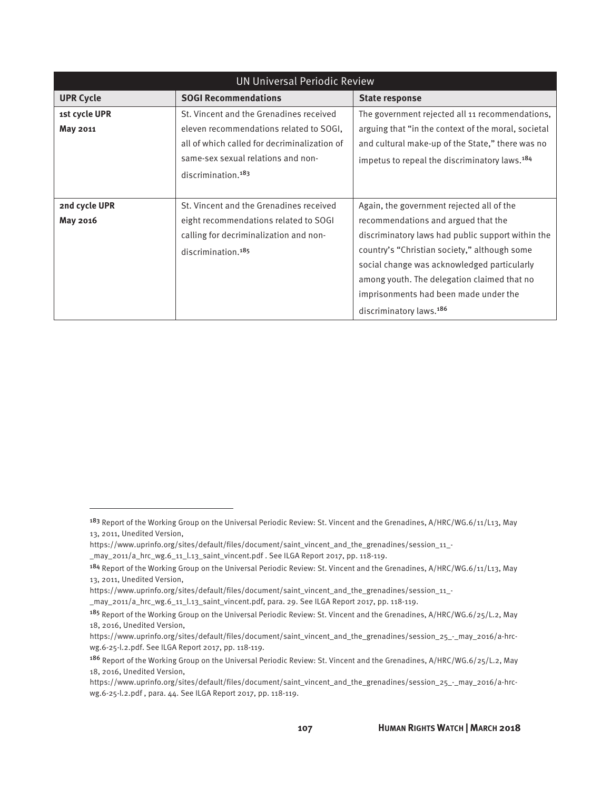| <b>UN Universal Periodic Review</b> |                                              |                                                           |
|-------------------------------------|----------------------------------------------|-----------------------------------------------------------|
| <b>UPR Cycle</b>                    | <b>SOGI Recommendations</b>                  | <b>State response</b>                                     |
| 1st cycle UPR                       | St. Vincent and the Grenadines received      | The government rejected all 11 recommendations,           |
| May 2011                            | eleven recommendations related to SOGI,      | arguing that "in the context of the moral, societal       |
|                                     | all of which called for decriminalization of | and cultural make-up of the State," there was no          |
|                                     | same-sex sexual relations and non-           | impetus to repeal the discriminatory laws. <sup>184</sup> |
|                                     | discrimination. <sup>183</sup>               |                                                           |
|                                     |                                              |                                                           |
| 2nd cycle UPR                       | St. Vincent and the Grenadines received      | Again, the government rejected all of the                 |
| May 2016                            | eight recommendations related to SOGI        | recommendations and argued that the                       |
|                                     | calling for decriminalization and non-       | discriminatory laws had public support within the         |
|                                     | discrimination. <sup>185</sup>               | country's "Christian society," although some              |
|                                     |                                              | social change was acknowledged particularly               |
|                                     |                                              | among youth. The delegation claimed that no               |
|                                     |                                              | imprisonments had been made under the                     |
|                                     |                                              | discriminatory laws. <sup>186</sup>                       |

 $\overline{a}$ 

<sup>&</sup>lt;sup>183</sup> Report of the Working Group on the Universal Periodic Review: St. Vincent and the Grenadines, A/HRC/WG.6/11/L13, May 13, 2011, Unedited Version,

https://www.uprinfo.org/sites/default/files/document/saint\_vincent\_and\_the\_grenadines/session\_11\_- \_may\_2011/a\_hrc\_wg.6\_11\_l.13\_saint\_vincent.pdf . See ILGA Report 2017, pp. 118-119.

<sup>184</sup> Report of the Working Group on the Universal Periodic Review: St. Vincent and the Grenadines, A/HRC/WG.6/11/L13, May 13, 2011, Unedited Version,

https://www.uprinfo.org/sites/default/files/document/saint\_vincent\_and\_the\_grenadines/session\_11\_-

\_may\_2011/a\_hrc\_wg.6\_11\_l.13\_saint\_vincent.pdf, para. 29. See ILGA Report 2017, pp. 118-119.

<sup>&</sup>lt;sup>185</sup> Report of the Working Group on the Universal Periodic Review: St. Vincent and the Grenadines, A/HRC/WG.6/25/L.2, May 18, 2016, Unedited Version,

https://www.uprinfo.org/sites/default/files/document/saint\_vincent\_and\_the\_grenadines/session\_25\_-\_may\_2016/a-hrcwg.6-25-l.2.pdf. See ILGA Report 2017, pp. 118-119.

<sup>186</sup> Report of the Working Group on the Universal Periodic Review: St. Vincent and the Grenadines, A/HRC/WG.6/25/L.2, May 18, 2016, Unedited Version,

https://www.uprinfo.org/sites/default/files/document/saint\_vincent\_and\_the\_grenadines/session\_25\_-\_may\_2016/a-hrcwg.6-25-l.2.pdf , para. 44. See ILGA Report 2017, pp. 118-119.